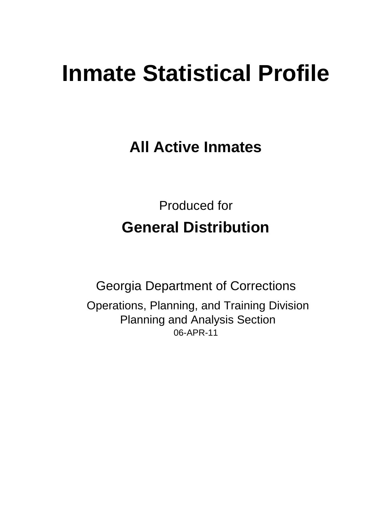# **Inmate Statistical Profile**

**All Active Inmates**

Produced for **General Distribution**

06-APR-11 Georgia Department of Corrections Operations, Planning, and Training Division Planning and Analysis Section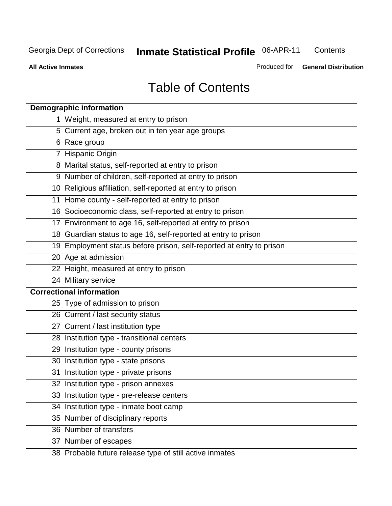**Contents** 

**All Active Inmates**

Produced for **General Distribution**

## Table of Contents

| <b>Demographic information</b>                                       |
|----------------------------------------------------------------------|
| 1 Weight, measured at entry to prison                                |
| 5 Current age, broken out in ten year age groups                     |
| 6 Race group                                                         |
| 7 Hispanic Origin                                                    |
| 8 Marital status, self-reported at entry to prison                   |
| 9 Number of children, self-reported at entry to prison               |
| 10 Religious affiliation, self-reported at entry to prison           |
| 11 Home county - self-reported at entry to prison                    |
| 16 Socioeconomic class, self-reported at entry to prison             |
| 17 Environment to age 16, self-reported at entry to prison           |
| 18 Guardian status to age 16, self-reported at entry to prison       |
| 19 Employment status before prison, self-reported at entry to prison |
| 20 Age at admission                                                  |
| 22 Height, measured at entry to prison                               |
| 24 Military service                                                  |
| <b>Correctional information</b>                                      |
| 25 Type of admission to prison                                       |
| 26 Current / last security status                                    |
| 27 Current / last institution type                                   |
| 28 Institution type - transitional centers                           |
| 29 Institution type - county prisons                                 |
| 30 Institution type - state prisons                                  |
| 31 Institution type - private prisons                                |
| 32 Institution type - prison annexes                                 |
| 33 Institution type - pre-release centers                            |
| 34 Institution type - inmate boot camp                               |
| 35 Number of disciplinary reports                                    |
| 36 Number of transfers                                               |
| 37 Number of escapes                                                 |
| 38 Probable future release type of still active inmates              |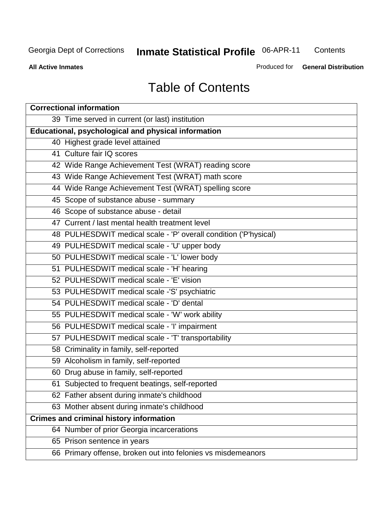**Contents** 

**All Active Inmates**

Produced for **General Distribution**

## Table of Contents

| <b>Correctional information</b>                                  |
|------------------------------------------------------------------|
| 39 Time served in current (or last) institution                  |
| Educational, psychological and physical information              |
| 40 Highest grade level attained                                  |
| 41 Culture fair IQ scores                                        |
| 42 Wide Range Achievement Test (WRAT) reading score              |
| 43 Wide Range Achievement Test (WRAT) math score                 |
| 44 Wide Range Achievement Test (WRAT) spelling score             |
| 45 Scope of substance abuse - summary                            |
| 46 Scope of substance abuse - detail                             |
| 47 Current / last mental health treatment level                  |
| 48 PULHESDWIT medical scale - 'P' overall condition ('P'hysical) |
| 49 PULHESDWIT medical scale - 'U' upper body                     |
| 50 PULHESDWIT medical scale - 'L' lower body                     |
| 51 PULHESDWIT medical scale - 'H' hearing                        |
| 52 PULHESDWIT medical scale - 'E' vision                         |
| 53 PULHESDWIT medical scale -'S' psychiatric                     |
| 54 PULHESDWIT medical scale - 'D' dental                         |
| 55 PULHESDWIT medical scale - 'W' work ability                   |
| 56 PULHESDWIT medical scale - 'I' impairment                     |
| 57 PULHESDWIT medical scale - 'T' transportability               |
| 58 Criminality in family, self-reported                          |
| 59 Alcoholism in family, self-reported                           |
| 60 Drug abuse in family, self-reported                           |
| 61 Subjected to frequent beatings, self-reported                 |
| 62 Father absent during inmate's childhood                       |
| 63 Mother absent during inmate's childhood                       |
| <b>Crimes and criminal history information</b>                   |
| 64 Number of prior Georgia incarcerations                        |
| 65 Prison sentence in years                                      |
| 66 Primary offense, broken out into felonies vs misdemeanors     |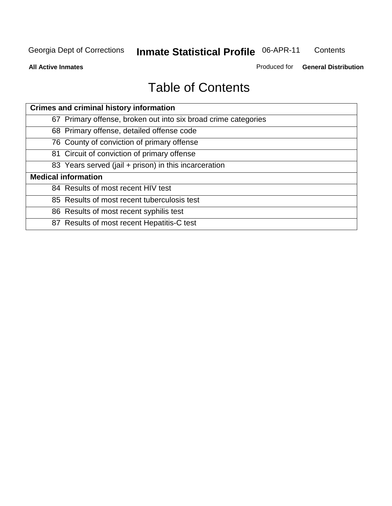**Contents** 

**All Active Inmates**

Produced for **General Distribution**

## Table of Contents

| <b>Crimes and criminal history information</b>                 |
|----------------------------------------------------------------|
| 67 Primary offense, broken out into six broad crime categories |
| 68 Primary offense, detailed offense code                      |
| 76 County of conviction of primary offense                     |
| 81 Circuit of conviction of primary offense                    |
| 83 Years served (jail + prison) in this incarceration          |
| <b>Medical information</b>                                     |
| 84 Results of most recent HIV test                             |
| 85 Results of most recent tuberculosis test                    |
| 86 Results of most recent syphilis test                        |
| 87 Results of most recent Hepatitis-C test                     |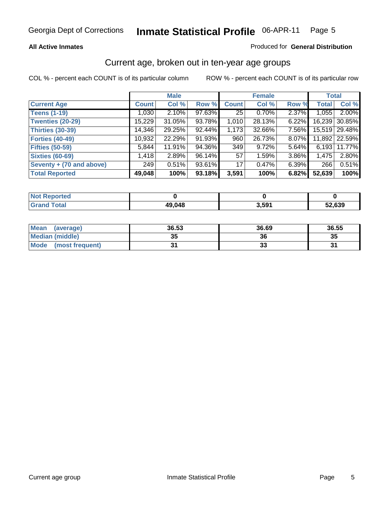#### **All Active Inmates**

#### Produced for **General Distribution**

#### Current age, broken out in ten-year age groups

|                          |              | <b>Male</b> |        |                 | <b>Female</b> |          | <b>Total</b> |                 |
|--------------------------|--------------|-------------|--------|-----------------|---------------|----------|--------------|-----------------|
| <b>Current Age</b>       | <b>Count</b> | Col %       | Row %  | <b>Count</b>    | Col %         | Row %    | <b>Total</b> | Col %           |
| <b>Teens (1-19)</b>      | 1,030        | 2.10%       | 97.63% | 25 <sub>1</sub> | $0.70\%$      | 2.37%    | 1,055        | $2.00\%$        |
| <b>Twenties (20-29)</b>  | 15,229       | 31.05%      | 93.78% | 1,010           | 28.13%        | $6.22\%$ | 16,239       | 30.85%          |
| <b>Thirties (30-39)</b>  | 14,346       | 29.25%      | 92.44% | 1,173           | 32.66%        | $7.56\%$ |              | 15,519 29.48%   |
| <b>Forties (40-49)</b>   | 10,932       | 22.29%      | 91.93% | 960             | 26.73%        | $8.07\%$ |              | 11,892   22.59% |
| <b>Fifties (50-59)</b>   | 5,844        | 11.91%      | 94.36% | 349             | 9.72%         | $5.64\%$ | 6,193        | 11.77%          |
| <b>Sixties (60-69)</b>   | 1,418        | 2.89%       | 96.14% | 57              | 1.59%         | 3.86%    | 1,475        | 2.80%           |
| Seventy + (70 and above) | 249          | 0.51%       | 93.61% | 17 <sup>1</sup> | $0.47\%$      | $6.39\%$ | 266          | 0.51%           |
| <b>Total Reported</b>    | 49,048       | 100%        | 93.18% | 3,591           | 100%          | 6.82%    | 52,639       | 100%            |

| <b>Not Reported</b> |        |       |       |
|---------------------|--------|-------|-------|
| <b>Total</b>        | 49,048 | 3,591 | 2,639 |

| <b>Mean</b><br>(average) | 36.53     | 36.69    | 36.55 |
|--------------------------|-----------|----------|-------|
| Median (middle)          | 25<br>JJ. | 36       | 35    |
| Mode<br>(most frequent)  |           | o.<br>vu | o.    |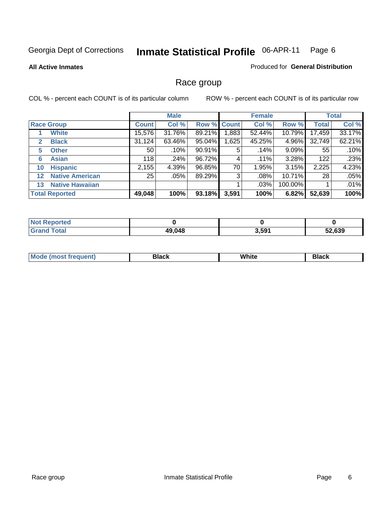#### **All Active Inmates**

#### Produced for **General Distribution**

## Race group

|              |                        |                 | <b>Male</b> |        |             | <b>Female</b> |         |              | <b>Total</b> |  |
|--------------|------------------------|-----------------|-------------|--------|-------------|---------------|---------|--------------|--------------|--|
|              | <b>Race Group</b>      | <b>Count</b>    | Col %       |        | Row % Count | Col %         | Row %   | <b>Total</b> | Col %        |  |
|              | <b>White</b>           | 15,576          | 31.76%      | 89.21% | ,883        | 52.44%        | 10.79%  | 17,459       | 33.17%       |  |
| $\mathbf{2}$ | <b>Black</b>           | 31,124          | 63.46%      | 95.04% | .625        | 45.25%        | 4.96%   | 32,749       | 62.21%       |  |
| 5            | <b>Other</b>           | 50              | .10%        | 90.91% | 5           | .14%          | 9.09%   | 55           | .10%         |  |
| 6            | <b>Asian</b>           | 118             | .24%        | 96.72% | 4           | .11%          | 3.28%   | 122          | .23%         |  |
| 10           | <b>Hispanic</b>        | 2,155           | 4.39%       | 96.85% | 70          | 1.95%         | 3.15%   | 2,225        | 4.23%        |  |
| $12 \,$      | <b>Native American</b> | 25 <sub>1</sub> | .05%        | 89.29% | 3           | .08%          | 10.71%  | 28           | .05%         |  |
| 13           | <b>Native Hawaiian</b> |                 |             |        |             | .03%          | 100.00% |              | .01%         |  |
|              | <b>Total Reported</b>  | 49,048          | 100%        | 93.18% | 3,591       | 100%          | 6.82%   | 52,639       | 100%         |  |

| <b>Not Reported</b> |        |       |        |
|---------------------|--------|-------|--------|
| <b>Total</b>        | 49,048 | 3,591 | 52.639 |

| Mc | --- | .<br>$\sim$ $\sim$ $\sim$ | . |
|----|-----|---------------------------|---|
|    |     |                           |   |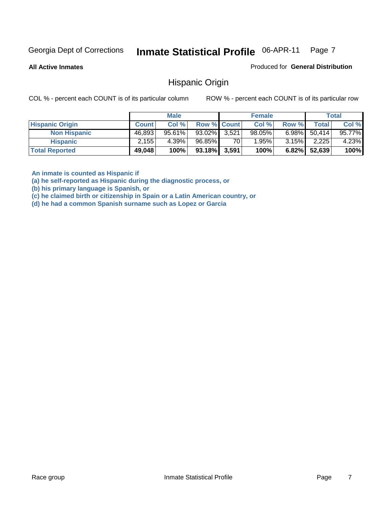**All Active Inmates**

Produced for **General Distribution**

#### Hispanic Origin

COL % - percent each COUNT is of its particular column ROW % - percent each COUNT is of its particular row

|                        |              | <b>Male</b> |                    |    | <b>Female</b> |          |        | <b>Total</b> |
|------------------------|--------------|-------------|--------------------|----|---------------|----------|--------|--------------|
| <b>Hispanic Origin</b> | <b>Count</b> | Col %       | <b>Row % Count</b> |    | Col %         | Row %    | Total  | Col %        |
| <b>Non Hispanic</b>    | 46,893       | 95.61%      | 93.02% 3,521       |    | $98.05\%$     | $6.98\%$ | 50.414 | 95.77%       |
| <b>Hispanic</b>        | 2.155        | 4.39%       | 96.85%             | 70 | $1.95\%$      | $3.15\%$ | 2,225  | 4.23%        |
| <b>Total Reported</b>  | 49,048       | 100%        | 93.18% 3,591       |    | 100%          | 6.82%    | 52,639 | 100%         |

**An inmate is counted as Hispanic if** 

**(a) he self-reported as Hispanic during the diagnostic process, or** 

**(b) his primary language is Spanish, or** 

**(c) he claimed birth or citizenship in Spain or a Latin American country, or** 

**(d) he had a common Spanish surname such as Lopez or Garcia**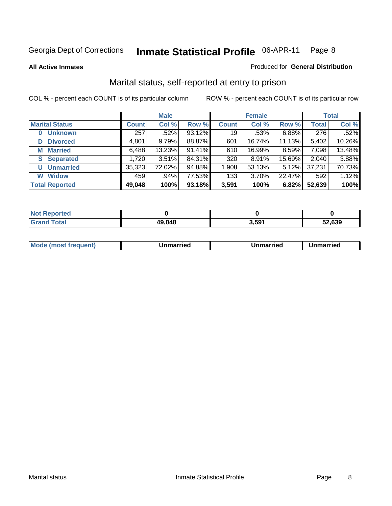**All Active Inmates**

#### Produced for **General Distribution**

## Marital status, self-reported at entry to prison

|                       | <b>Male</b>  |          |        | <b>Female</b>   |        |        | <b>Total</b> |        |
|-----------------------|--------------|----------|--------|-----------------|--------|--------|--------------|--------|
| <b>Marital Status</b> | <b>Count</b> | Col %    | Row %  | <b>Count</b>    | Col %  | Row %  | <b>Total</b> | Col %  |
| <b>Unknown</b>        | 257          | $.52\%$  | 93.12% | 19 <sup>1</sup> | .53%   | 6.88%  | 276          | .52%   |
| <b>Divorced</b><br>D  | 4,801        | 9.79%    | 88.87% | 601             | 16.74% | 11.13% | 5,402        | 10.26% |
| <b>Married</b><br>М   | 6,488        | 13.23%   | 91.41% | 610             | 16.99% | 8.59%  | 7,098        | 13.48% |
| <b>Separated</b><br>S | 1,720        | $3.51\%$ | 84.31% | 320             | 8.91%  | 15.69% | 2,040        | 3.88%  |
| <b>Unmarried</b><br>U | 35,323       | 72.02%   | 94.88% | 1,908           | 53.13% | 5.12%  | 37,231       | 70.73% |
| <b>Widow</b><br>W     | 459          | .94%     | 77.53% | 133             | 3.70%  | 22.47% | 592          | 1.12%  |
| <b>Total Reported</b> | 49,048       | 100%     | 93.18% | 3,591           | 100%   | 6.82%  | 52,639       | 100%   |

| .<br>тен.        |       |             |        |
|------------------|-------|-------------|--------|
| $\sim$<br>______ | a nar | 501<br>J,JJ | 52.639 |

|  | Mode<br>(most frequent) | Jnmarried | Unmarried | Jnmarried |
|--|-------------------------|-----------|-----------|-----------|
|--|-------------------------|-----------|-----------|-----------|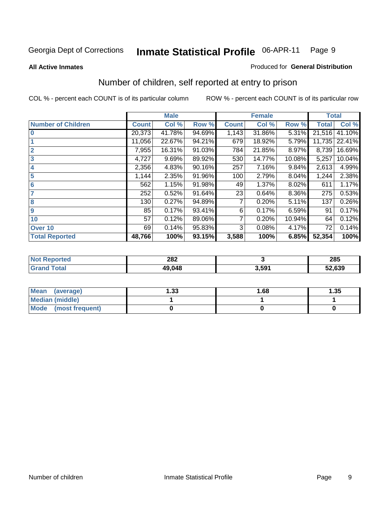#### **All Active Inmates**

#### Produced for **General Distribution**

## Number of children, self reported at entry to prison

|                           |              | <b>Male</b> |        |              | <b>Female</b> |        | <b>Total</b> |        |
|---------------------------|--------------|-------------|--------|--------------|---------------|--------|--------------|--------|
| <b>Number of Children</b> | <b>Count</b> | Col %       | Row %  | <b>Count</b> | Col %         | Row %  | <b>Total</b> | Col %  |
| $\bf{0}$                  | 20,373       | 41.78%      | 94.69% | 1,143        | 31.86%        | 5.31%  | 21,516       | 41.10% |
|                           | 11,056       | 22.67%      | 94.21% | 679          | 18.92%        | 5.79%  | 11,735       | 22.41% |
| $\overline{2}$            | 7,955        | 16.31%      | 91.03% | 784          | 21.85%        | 8.97%  | 8,739        | 16.69% |
| 3                         | 4,727        | 9.69%       | 89.92% | 530          | 14.77%        | 10.08% | 5,257        | 10.04% |
| 4                         | 2,356        | 4.83%       | 90.16% | 257          | 7.16%         | 9.84%  | 2,613        | 4.99%  |
| 5                         | 1,144        | 2.35%       | 91.96% | 100          | 2.79%         | 8.04%  | 1,244        | 2.38%  |
| 6                         | 562          | 1.15%       | 91.98% | 49           | 1.37%         | 8.02%  | 611          | 1.17%  |
| 7                         | 252          | 0.52%       | 91.64% | 23           | 0.64%         | 8.36%  | 275          | 0.53%  |
| 8                         | 130          | 0.27%       | 94.89% |              | 0.20%         | 5.11%  | 137          | 0.26%  |
| $\boldsymbol{9}$          | 85           | 0.17%       | 93.41% | 6            | 0.17%         | 6.59%  | 91           | 0.17%  |
| 10                        | 57           | 0.12%       | 89.06% | 7            | 0.20%         | 10.94% | 64           | 0.12%  |
| Over 10                   | 69           | 0.14%       | 95.83% | 3            | 0.08%         | 4.17%  | 72           | 0.14%  |
| <b>Total Reported</b>     | 48,766       | 100%        | 93.15% | 3,588        | 100%          | 6.85%  | 52,354       | 100%   |

| 282<br>$\sim$ $\sim$ $\sim$ $\sim$ $\sim$ $\sim$ |                   | 285          |
|--------------------------------------------------|-------------------|--------------|
| 49 NAP                                           | 3.59 <sup>4</sup> | 52,639<br>JZ |

| Mean<br>(average)       | l.33 | 1.68 | 1.35 |
|-------------------------|------|------|------|
| <b>Median (middle)</b>  |      |      |      |
| Mode<br>(most frequent) |      |      |      |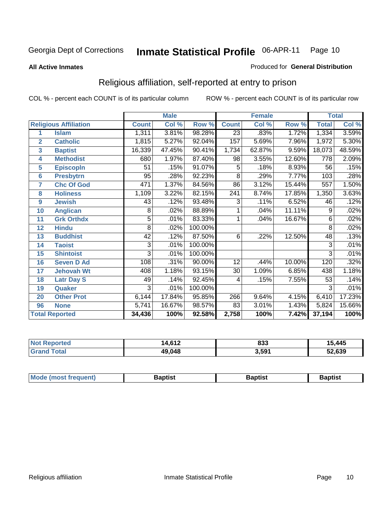#### **All Active Inmates**

#### Produced for **General Distribution**

## Religious affiliation, self-reported at entry to prison

|                  |                              |              | <b>Male</b> |         |                 | <b>Female</b>             |        | <b>Total</b>   |        |  |
|------------------|------------------------------|--------------|-------------|---------|-----------------|---------------------------|--------|----------------|--------|--|
|                  | <b>Religious Affiliation</b> | <b>Count</b> | Col %       | Row %   | <b>Count</b>    | $\overline{\text{Col}}$ % | Row %  | <b>Total</b>   | Col %  |  |
| 1                | <b>Islam</b>                 | 1,311        | 3.81%       | 98.28%  | $\overline{23}$ | .83%                      | 1.72%  | 1,334          | 3.59%  |  |
| $\overline{2}$   | <b>Catholic</b>              | 1,815        | 5.27%       | 92.04%  | 157             | 5.69%                     | 7.96%  | 1,972          | 5.30%  |  |
| 3                | <b>Baptist</b>               | 16,339       | 47.45%      | 90.41%  | 1,734           | 62.87%                    | 9.59%  | 18,073         | 48.59% |  |
| 4                | <b>Methodist</b>             | 680          | 1.97%       | 87.40%  | 98              | 3.55%                     | 12.60% | 778            | 2.09%  |  |
| 5                | <b>EpiscopIn</b>             | 51           | .15%        | 91.07%  | 5               | .18%                      | 8.93%  | 56             | .15%   |  |
| 6                | <b>Presbytrn</b>             | 95           | .28%        | 92.23%  | $\overline{8}$  | .29%                      | 7.77%  | 103            | .28%   |  |
| 7                | <b>Chc Of God</b>            | 471          | 1.37%       | 84.56%  | 86              | 3.12%                     | 15.44% | 557            | 1.50%  |  |
| 8                | <b>Holiness</b>              | 1,109        | 3.22%       | 82.15%  | 241             | 8.74%                     | 17.85% | 1,350          | 3.63%  |  |
| $\boldsymbol{9}$ | <b>Jewish</b>                | 43           | .12%        | 93.48%  | 3               | .11%                      | 6.52%  | 46             | .12%   |  |
| 10               | <b>Anglican</b>              | 8            | .02%        | 88.89%  |                 | .04%                      | 11.11% | 9              | .02%   |  |
| 11               | <b>Grk Orthdx</b>            | 5            | .01%        | 83.33%  | 1               | .04%                      | 16.67% | $\overline{6}$ | .02%   |  |
| 12               | <b>Hindu</b>                 | 8            | .02%        | 100.00% |                 |                           |        | $\overline{8}$ | .02%   |  |
| 13               | <b>Buddhist</b>              | 42           | .12%        | 87.50%  | 6               | .22%                      | 12.50% | 48             | .13%   |  |
| 14               | <b>Taoist</b>                | 3            | .01%        | 100.00% |                 |                           |        | 3              | .01%   |  |
| 15               | <b>Shintoist</b>             | 3            | .01%        | 100.00% |                 |                           |        | 3              | .01%   |  |
| 16               | <b>Seven D Ad</b>            | 108          | .31%        | 90.00%  | 12              | .44%                      | 10.00% | 120            | .32%   |  |
| 17               | <b>Jehovah Wt</b>            | 408          | 1.18%       | 93.15%  | 30              | 1.09%                     | 6.85%  | 438            | 1.18%  |  |
| 18               | <b>Latr Day S</b>            | 49           | .14%        | 92.45%  | 4               | .15%                      | 7.55%  | 53             | .14%   |  |
| 19               | Quaker                       | 3            | .01%        | 100.00% |                 |                           |        | 3              | .01%   |  |
| 20               | <b>Other Prot</b>            | 6,144        | 17.84%      | 95.85%  | 266             | 9.64%                     | 4.15%  | 6,410          | 17.23% |  |
| 96               | <b>None</b>                  | 5,741        | 16.67%      | 98.57%  | 83              | 3.01%                     | 1.43%  | 5,824          | 15.66% |  |
|                  | <b>Total Reported</b>        | 34,436       | 100%        | 92.58%  | 2,758           | 100%                      | 7.42%  | 37,194         | 100%   |  |

| <b>Not Reported</b> | 14.612 | 833   | 15,445 |
|---------------------|--------|-------|--------|
| <b>Grand Total</b>  | 49,048 | 3,591 | 52,639 |

|  | Mode (most frequent) | Baptist | Baptist<br>$\sim$ | Baptist |
|--|----------------------|---------|-------------------|---------|
|--|----------------------|---------|-------------------|---------|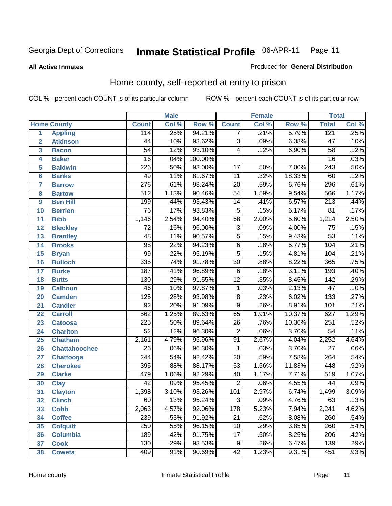#### **All Active Inmates**

#### Produced for **General Distribution**

## Home county, self-reported at entry to prison

|                 |                      |                  | <b>Male</b> |         |                  | <b>Female</b> |        | <b>Total</b>     |       |
|-----------------|----------------------|------------------|-------------|---------|------------------|---------------|--------|------------------|-------|
|                 | <b>Home County</b>   | <b>Count</b>     | Col %       | Row %   | <b>Count</b>     | Col %         | Row %  | <b>Total</b>     | Col % |
| 1               | <b>Appling</b>       | 114              | .25%        | 94.21%  | 7                | .21%          | 5.79%  | 121              | .25%  |
| $\overline{2}$  | <b>Atkinson</b>      | $\overline{44}$  | .10%        | 93.62%  | $\overline{3}$   | .09%          | 6.38%  | $\overline{47}$  | .10%  |
| 3               | <b>Bacon</b>         | $\overline{54}$  | .12%        | 93.10%  | 4                | .12%          | 6.90%  | $\overline{58}$  | .12%  |
| 4               | <b>Baker</b>         | $\overline{16}$  | .04%        | 100.00% |                  |               |        | $\overline{16}$  | .03%  |
| 5               | <b>Baldwin</b>       | $\overline{226}$ | .50%        | 93.00%  | $\overline{17}$  | .50%          | 7.00%  | $\sqrt{243}$     | .50%  |
| $6\phantom{a}$  | <b>Banks</b>         | 49               | .11%        | 81.67%  | $\overline{11}$  | .32%          | 18.33% | 60               | .12%  |
| $\overline{7}$  | <b>Barrow</b>        | $\overline{276}$ | .61%        | 93.24%  | $\overline{20}$  | .59%          | 6.76%  | 296              | .61%  |
| 8               | <b>Bartow</b>        | $\overline{512}$ | 1.13%       | 90.46%  | $\overline{54}$  | 1.59%         | 9.54%  | 566              | 1.17% |
| 9               | <b>Ben Hill</b>      | 199              | .44%        | 93.43%  | $\overline{14}$  | .41%          | 6.57%  | $\overline{213}$ | .44%  |
| 10              | <b>Berrien</b>       | $\overline{76}$  | .17%        | 93.83%  | $\overline{5}$   | .15%          | 6.17%  | $\overline{81}$  | .17%  |
| 11              | <b>Bibb</b>          | 1,146            | 2.54%       | 94.40%  | 68               | 2.00%         | 5.60%  | 1,214            | 2.50% |
| 12              | <b>Bleckley</b>      | $\overline{72}$  | .16%        | 96.00%  | $\overline{3}$   | .09%          | 4.00%  | $\overline{75}$  | .15%  |
| $\overline{13}$ | <b>Brantley</b>      | $\overline{48}$  | .11%        | 90.57%  | $\overline{5}$   | .15%          | 9.43%  | $\overline{53}$  | .11%  |
| $\overline{14}$ | <b>Brooks</b>        | $\overline{98}$  | .22%        | 94.23%  | $\overline{6}$   | .18%          | 5.77%  | 104              | .21%  |
| 15              | <b>Bryan</b>         | $\overline{99}$  | .22%        | 95.19%  | $\overline{5}$   | .15%          | 4.81%  | 104              | .21%  |
| 16              | <b>Bulloch</b>       | 335              | .74%        | 91.78%  | $\overline{30}$  | .88%          | 8.22%  | 365              | .75%  |
| $\overline{17}$ | <b>Burke</b>         | 187              | .41%        | 96.89%  | $\overline{6}$   | .18%          | 3.11%  | 193              | .40%  |
| 18              | <b>Butts</b>         | 130              | .29%        | 91.55%  | $\overline{12}$  | .35%          | 8.45%  | $\overline{142}$ | .29%  |
| 19              | <b>Calhoun</b>       | $\overline{46}$  | .10%        | 97.87%  | $\mathbf{1}$     | .03%          | 2.13%  | $\overline{47}$  | .10%  |
| 20              | <b>Camden</b>        | 125              | .28%        | 93.98%  | $\overline{8}$   | .23%          | 6.02%  | 133              | .27%  |
| 21              | <b>Candler</b>       | $\overline{92}$  | .20%        | 91.09%  | $\overline{9}$   | .26%          | 8.91%  | 101              | .21%  |
| $\overline{22}$ | <b>Carroll</b>       | $\overline{562}$ | 1.25%       | 89.63%  | 65               | 1.91%         | 10.37% | 627              | 1.29% |
| 23              | <b>Catoosa</b>       | $\overline{225}$ | .50%        | 89.64%  | $\overline{26}$  | .76%          | 10.36% | 251              | .52%  |
| 24              | <b>Charlton</b>      | $\overline{52}$  | .12%        | 96.30%  | $\overline{2}$   | .06%          | 3.70%  | $\overline{54}$  | .11%  |
| 25              | <b>Chatham</b>       | 2,161            | 4.79%       | 95.96%  | 91               | 2.67%         | 4.04%  | 2,252            | 4.64% |
| 26              | <b>Chattahoochee</b> | $\overline{26}$  | .06%        | 96.30%  | 1                | .03%          | 3.70%  | $\overline{27}$  | .06%  |
| 27              | <b>Chattooga</b>     | $\overline{244}$ | .54%        | 92.42%  | $\overline{20}$  | .59%          | 7.58%  | 264              | .54%  |
| 28              | <b>Cherokee</b>      | 395              | .88%        | 88.17%  | $\overline{53}$  | 1.56%         | 11.83% | 448              | .92%  |
| 29              | <b>Clarke</b>        | 479              | 1.06%       | 92.29%  | $\overline{40}$  | 1.17%         | 7.71%  | 519              | 1.07% |
| 30              | <b>Clay</b>          | $\overline{42}$  | .09%        | 95.45%  | $\overline{2}$   | .06%          | 4.55%  | 44               | .09%  |
| $\overline{31}$ | <b>Clayton</b>       | 1,398            | 3.10%       | 93.26%  | 101              | 2.97%         | 6.74%  | 1,499            | 3.09% |
| 32              | <b>Clinch</b>        | 60               | .13%        | 95.24%  | 3                | .09%          | 4.76%  | 63               | .13%  |
| 33              | <b>Cobb</b>          | 2,063            | 4.57%       | 92.06%  | $\overline{178}$ | 5.23%         | 7.94%  | 2,241            | 4.62% |
| 34              | <b>Coffee</b>        | 239              | .53%        | 91.92%  | $\overline{21}$  | .62%          | 8.08%  | 260              | .54%  |
| 35              | <b>Colquitt</b>      | $\overline{250}$ | .55%        | 96.15%  | 10               | .29%          | 3.85%  | 260              | .54%  |
| 36              | <b>Columbia</b>      | 189              | .42%        | 91.75%  | $\overline{17}$  | .50%          | 8.25%  | 206              | .42%  |
| 37              | <b>Cook</b>          | 130              | .29%        | 93.53%  | 9                | .26%          | 6.47%  | 139              | .29%  |
| 38              | <b>Coweta</b>        | 409              | .91%        | 90.69%  | $\overline{42}$  | 1.23%         | 9.31%  | 451              | .93%  |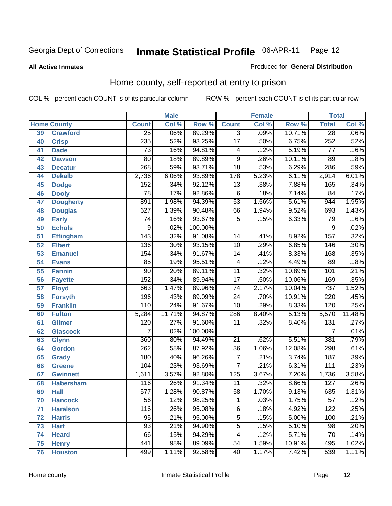#### **All Active Inmates**

#### Produced for **General Distribution**

## Home county, self-reported at entry to prison

|                 |                    |                  | <b>Male</b> |                  |                  | <b>Female</b> |        | <b>Total</b>     |        |
|-----------------|--------------------|------------------|-------------|------------------|------------------|---------------|--------|------------------|--------|
|                 | <b>Home County</b> | <b>Count</b>     | Col %       | Row <sup>%</sup> | <b>Count</b>     | Col %         | Row %  | <b>Total</b>     | Col %  |
| 39              | <b>Crawford</b>    | $\overline{25}$  | .06%        | 89.29%           | $\overline{3}$   | .09%          | 10.71% | $\overline{28}$  | .06%   |
| 40              | <b>Crisp</b>       | 235              | .52%        | 93.25%           | $\overline{17}$  | .50%          | 6.75%  | 252              | .52%   |
| 41              | <b>Dade</b>        | $\overline{73}$  | .16%        | 94.81%           | 4                | .12%          | 5.19%  | 77               | .16%   |
| 42              | <b>Dawson</b>      | $\overline{80}$  | .18%        | 89.89%           | $\overline{9}$   | .26%          | 10.11% | $\overline{89}$  | .18%   |
| 43              | <b>Decatur</b>     | 268              | .59%        | 93.71%           | $\overline{18}$  | .53%          | 6.29%  | 286              | .59%   |
| 44              | <b>Dekalb</b>      | 2,736            | 6.06%       | 93.89%           | 178              | 5.23%         | 6.11%  | 2,914            | 6.01%  |
| 45              | <b>Dodge</b>       | 152              | .34%        | 92.12%           | $\overline{13}$  | .38%          | 7.88%  | 165              | .34%   |
| 46              | <b>Dooly</b>       | $\overline{78}$  | .17%        | 92.86%           | $\overline{6}$   | .18%          | 7.14%  | 84               | .17%   |
| 47              | <b>Dougherty</b>   | 891              | 1.98%       | 94.39%           | $\overline{53}$  | 1.56%         | 5.61%  | 944              | 1.95%  |
| 48              | <b>Douglas</b>     | 627              | 1.39%       | 90.48%           | 66               | 1.94%         | 9.52%  | 693              | 1.43%  |
| 49              | <b>Early</b>       | $\overline{74}$  | .16%        | 93.67%           | $\overline{5}$   | .15%          | 6.33%  | 79               | .16%   |
| 50              | <b>Echols</b>      | $\overline{9}$   | .02%        | 100.00%          |                  |               |        | 9                | .02%   |
| $\overline{51}$ | <b>Effingham</b>   | 143              | .32%        | 91.08%           | 14               | .41%          | 8.92%  | 157              | .32%   |
| 52              | <b>Elbert</b>      | 136              | .30%        | 93.15%           | $\overline{10}$  | .29%          | 6.85%  | 146              | .30%   |
| 53              | <b>Emanuel</b>     | 154              | .34%        | 91.67%           | $\overline{14}$  | .41%          | 8.33%  | 168              | .35%   |
| 54              | <b>Evans</b>       | 85               | .19%        | 95.51%           | $\overline{4}$   | .12%          | 4.49%  | 89               | .18%   |
| 55              | <b>Fannin</b>      | $\overline{90}$  | .20%        | 89.11%           | $\overline{11}$  | .32%          | 10.89% | 101              | .21%   |
| 56              | <b>Fayette</b>     | $\overline{152}$ | .34%        | 89.94%           | $\overline{17}$  | .50%          | 10.06% | 169              | .35%   |
| 57              | <b>Floyd</b>       | 663              | 1.47%       | 89.96%           | $\overline{74}$  | 2.17%         | 10.04% | 737              | 1.52%  |
| 58              | <b>Forsyth</b>     | 196              | .43%        | 89.09%           | $\overline{24}$  | .70%          | 10.91% | $\overline{220}$ | .45%   |
| 59              | <b>Franklin</b>    | 110              | .24%        | 91.67%           | $\overline{10}$  | .29%          | 8.33%  | $\overline{120}$ | .25%   |
| 60              | <b>Fulton</b>      | 5,284            | 11.71%      | 94.87%           | 286              | 8.40%         | 5.13%  | 5,570            | 11.48% |
| 61              | Gilmer             | 120              | .27%        | 91.60%           | $\overline{11}$  | .32%          | 8.40%  | $\overline{131}$ | .27%   |
| 62              | <b>Glascock</b>    | $\overline{7}$   | .02%        | 100.00%          |                  |               |        | $\overline{7}$   | .01%   |
| 63              | <b>Glynn</b>       | 360              | .80%        | 94.49%           | $\overline{21}$  | .62%          | 5.51%  | 381              | .79%   |
| 64              | <b>Gordon</b>      | 262              | .58%        | 87.92%           | $\overline{36}$  | 1.06%         | 12.08% | 298              | .61%   |
| 65              | <b>Grady</b>       | 180              | .40%        | 96.26%           | 7                | .21%          | 3.74%  | 187              | .39%   |
| 66              | <b>Greene</b>      | 104              | .23%        | 93.69%           | $\overline{7}$   | .21%          | 6.31%  | 111              | .23%   |
| 67              | <b>Gwinnett</b>    | 1,611            | 3.57%       | 92.80%           | $\overline{125}$ | 3.67%         | 7.20%  | 1,736            | 3.58%  |
| 68              | <b>Habersham</b>   | 116              | .26%        | 91.34%           | $\overline{11}$  | .32%          | 8.66%  | $\overline{127}$ | .26%   |
| 69              | <b>Hall</b>        | $\overline{577}$ | 1.28%       | 90.87%           | $\overline{58}$  | 1.70%         | 9.13%  | 635              | 1.31%  |
| 70              | <b>Hancock</b>     | 56               | .12%        | 98.25%           | 1                | .03%          | 1.75%  | 57               | .12%   |
| 71              | <b>Haralson</b>    | 116              | .26%        | 95.08%           | 6                | .18%          | 4.92%  | 122              | .25%   |
| 72              | <b>Harris</b>      | $\overline{95}$  | .21%        | 95.00%           | $\overline{5}$   | .15%          | 5.00%  | 100              | .21%   |
| 73              | <b>Hart</b>        | $\overline{93}$  | .21%        | 94.90%           | $\overline{5}$   | .15%          | 5.10%  | $\overline{98}$  | .20%   |
| 74              | <b>Heard</b>       | $\overline{66}$  | .15%        | 94.29%           | 4                | .12%          | 5.71%  | 70               | .14%   |
| 75              | <b>Henry</b>       | 441              | .98%        | 89.09%           | $\overline{54}$  | 1.59%         | 10.91% | 495              | 1.02%  |
| 76              | <b>Houston</b>     | 499              | 1.11%       | 92.58%           | 40               | 1.17%         | 7.42%  | 539              | 1.11%  |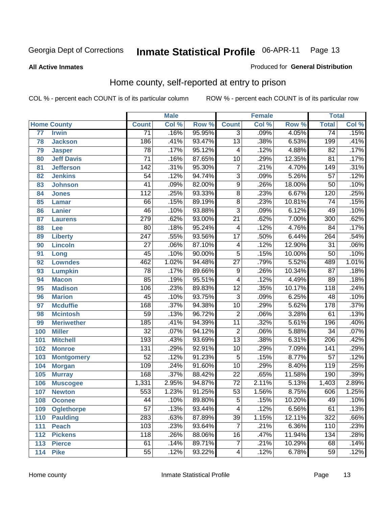**All Active Inmates**

#### Produced for **General Distribution**

## Home county, self-reported at entry to prison

|                 |                    |                  | <b>Male</b> |        |                 | <b>Female</b> |        | <b>Total</b>     |                            |
|-----------------|--------------------|------------------|-------------|--------|-----------------|---------------|--------|------------------|----------------------------|
|                 | <b>Home County</b> | <b>Count</b>     | Col %       | Row %  | <b>Count</b>    | Col %         | Row %  | <b>Total</b>     | $\overline{\text{Col }\%}$ |
| $\overline{77}$ | <b>Irwin</b>       | $\overline{71}$  | .16%        | 95.95% | $\overline{3}$  | .09%          | 4.05%  | $\overline{74}$  | .15%                       |
| 78              | <b>Jackson</b>     | 186              | .41%        | 93.47% | $\overline{13}$ | .38%          | 6.53%  | 199              | .41%                       |
| 79              | <b>Jasper</b>      | $\overline{78}$  | .17%        | 95.12% | 4               | .12%          | 4.88%  | $\overline{82}$  | .17%                       |
| 80              | <b>Jeff Davis</b>  | $\overline{71}$  | .16%        | 87.65% | $\overline{10}$ | .29%          | 12.35% | $\overline{81}$  | .17%                       |
| 81              | <b>Jefferson</b>   | $\overline{142}$ | .31%        | 95.30% | $\overline{7}$  | .21%          | 4.70%  | $\overline{149}$ | .31%                       |
| 82              | <b>Jenkins</b>     | $\overline{54}$  | .12%        | 94.74% | $\overline{3}$  | .09%          | 5.26%  | $\overline{57}$  | .12%                       |
| 83              | <b>Johnson</b>     | $\overline{41}$  | .09%        | 82.00% | $\overline{9}$  | .26%          | 18.00% | $\overline{50}$  | .10%                       |
| 84              | <b>Jones</b>       | 112              | .25%        | 93.33% | $\overline{8}$  | .23%          | 6.67%  | 120              | .25%                       |
| 85              | <b>Lamar</b>       | 66               | .15%        | 89.19% | $\overline{8}$  | .23%          | 10.81% | $\overline{74}$  | .15%                       |
| 86              | <b>Lanier</b>      | 46               | .10%        | 93.88% | $\overline{3}$  | .09%          | 6.12%  | 49               | .10%                       |
| 87              | <b>Laurens</b>     | 279              | .62%        | 93.00% | $\overline{21}$ | .62%          | 7.00%  | $\overline{300}$ | .62%                       |
| 88              | Lee                | $\overline{80}$  | .18%        | 95.24% | 4               | .12%          | 4.76%  | $\overline{84}$  | .17%                       |
| 89              | <b>Liberty</b>     | $\overline{247}$ | .55%        | 93.56% | $\overline{17}$ | .50%          | 6.44%  | 264              | .54%                       |
| 90              | <b>Lincoln</b>     | $\overline{27}$  | .06%        | 87.10% | 4               | .12%          | 12.90% | $\overline{31}$  | .06%                       |
| 91              | Long               | 45               | .10%        | 90.00% | $\overline{5}$  | .15%          | 10.00% | $\overline{50}$  | .10%                       |
| 92              | <b>Lowndes</b>     | 462              | 1.02%       | 94.48% | $\overline{27}$ | .79%          | 5.52%  | 489              | 1.01%                      |
| 93              | <b>Lumpkin</b>     | $\overline{78}$  | .17%        | 89.66% | $\overline{9}$  | .26%          | 10.34% | $\overline{87}$  | .18%                       |
| 94              | <b>Macon</b>       | 85               | .19%        | 95.51% | 4               | .12%          | 4.49%  | 89               | .18%                       |
| 95              | <b>Madison</b>     | 106              | .23%        | 89.83% | $\overline{12}$ | .35%          | 10.17% | $\overline{118}$ | .24%                       |
| 96              | <b>Marion</b>      | $\overline{45}$  | .10%        | 93.75% | $\overline{3}$  | .09%          | 6.25%  | $\overline{48}$  | .10%                       |
| 97              | <b>Mcduffie</b>    | 168              | .37%        | 94.38% | $\overline{10}$ | .29%          | 5.62%  | $\overline{178}$ | .37%                       |
| 98              | <b>Mcintosh</b>    | $\overline{59}$  | .13%        | 96.72% | $\overline{2}$  | .06%          | 3.28%  | $\overline{61}$  | .13%                       |
| 99              | <b>Meriwether</b>  | 185              | .41%        | 94.39% | $\overline{11}$ | .32%          | 5.61%  | 196              | .40%                       |
| 100             | <b>Miller</b>      | $\overline{32}$  | .07%        | 94.12% | $\overline{2}$  | .06%          | 5.88%  | $\overline{34}$  | .07%                       |
| 101             | <b>Mitchell</b>    | 193              | .43%        | 93.69% | $\overline{13}$ | .38%          | 6.31%  | $\overline{206}$ | .42%                       |
| 102             | <b>Monroe</b>      | 131              | .29%        | 92.91% | $\overline{10}$ | .29%          | 7.09%  | 141              | .29%                       |
| 103             | <b>Montgomery</b>  | $\overline{52}$  | .12%        | 91.23% | 5               | .15%          | 8.77%  | $\overline{57}$  | .12%                       |
| 104             | <b>Morgan</b>      | $\overline{109}$ | .24%        | 91.60% | $\overline{10}$ | .29%          | 8.40%  | 119              | .25%                       |
| 105             | <b>Murray</b>      | 168              | .37%        | 88.42% | $\overline{22}$ | .65%          | 11.58% | 190              | .39%                       |
| 106             | <b>Muscogee</b>    | 1,331            | 2.95%       | 94.87% | $\overline{72}$ | 2.11%         | 5.13%  | 1,403            | 2.89%                      |
| 107             | <b>Newton</b>      | 553              | 1.23%       | 91.25% | $\overline{53}$ | 1.56%         | 8.75%  | 606              | 1.25%                      |
| 108             | <b>Oconee</b>      | 44               | .10%        | 89.80% | 5               | .15%          | 10.20% | 49               | .10%                       |
| 109             | <b>Oglethorpe</b>  | $\overline{57}$  | .13%        | 93.44% | 4               | .12%          | 6.56%  | 61               | .13%                       |
| 110             | <b>Paulding</b>    | 283              | .63%        | 87.89% | $\overline{39}$ | 1.15%         | 12.11% | 322              | .66%                       |
| 111             | <b>Peach</b>       | 103              | .23%        | 93.64% | $\overline{7}$  | .21%          | 6.36%  | 110              | .23%                       |
| 112             | <b>Pickens</b>     | 118              | .26%        | 88.06% | 16              | .47%          | 11.94% | 134              | .28%                       |
| 113             | <b>Pierce</b>      | 61               | .14%        | 89.71% | $\overline{7}$  | .21%          | 10.29% | 68               | .14%                       |
| 114             | <b>Pike</b>        | $\overline{55}$  | .12%        | 93.22% | 4               | .12%          | 6.78%  | $\overline{59}$  | .12%                       |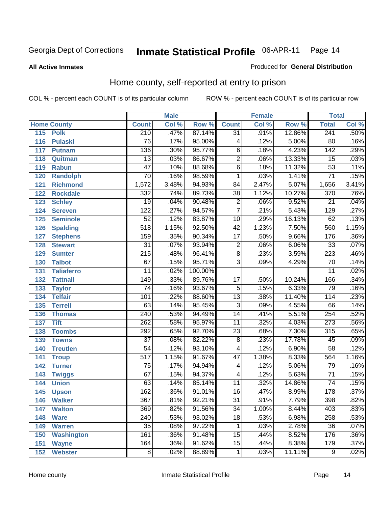#### **All Active Inmates**

#### Produced for **General Distribution**

## Home county, self-reported at entry to prison

|     |                    |                  | <b>Male</b> |         |                         | <b>Female</b> |        | <b>Total</b>     |                            |
|-----|--------------------|------------------|-------------|---------|-------------------------|---------------|--------|------------------|----------------------------|
|     | <b>Home County</b> | <b>Count</b>     | Col %       | Row %   | <b>Count</b>            | Col %         | Row %  | <b>Total</b>     | $\overline{\text{Col }^9}$ |
| 115 | <b>Polk</b>        | 210              | .47%        | 87.14%  | $\overline{31}$         | .91%          | 12.86% | 241              | .50%                       |
| 116 | <b>Pulaski</b>     | $\overline{76}$  | .17%        | 95.00%  | 4                       | .12%          | 5.00%  | 80               | .16%                       |
| 117 | <b>Putnam</b>      | 136              | .30%        | 95.77%  | $\overline{6}$          | .18%          | 4.23%  | 142              | .29%                       |
| 118 | Quitman            | $\overline{13}$  | .03%        | 86.67%  | $\overline{2}$          | .06%          | 13.33% | $\overline{15}$  | .03%                       |
| 119 | <b>Rabun</b>       | $\overline{47}$  | .10%        | 88.68%  | $\overline{6}$          | .18%          | 11.32% | $\overline{53}$  | .11%                       |
| 120 | <b>Randolph</b>    | $\overline{70}$  | .16%        | 98.59%  | 1                       | .03%          | 1.41%  | $\overline{71}$  | .15%                       |
| 121 | <b>Richmond</b>    | 1,572            | 3.48%       | 94.93%  | $\overline{84}$         | 2.47%         | 5.07%  | 1,656            | 3.41%                      |
| 122 | <b>Rockdale</b>    | 332              | .74%        | 89.73%  | $\overline{38}$         | 1.12%         | 10.27% | 370              | .76%                       |
| 123 | <b>Schley</b>      | $\overline{19}$  | .04%        | 90.48%  | $\overline{2}$          | .06%          | 9.52%  | $\overline{21}$  | .04%                       |
| 124 | <b>Screven</b>     | $\overline{122}$ | .27%        | 94.57%  | $\overline{7}$          | .21%          | 5.43%  | 129              | .27%                       |
| 125 | <b>Seminole</b>    | $\overline{52}$  | .12%        | 83.87%  | $\overline{10}$         | .29%          | 16.13% | 62               | .13%                       |
| 126 | <b>Spalding</b>    | $\overline{518}$ | 1.15%       | 92.50%  | $\overline{42}$         | 1.23%         | 7.50%  | 560              | 1.15%                      |
| 127 | <b>Stephens</b>    | 159              | .35%        | 90.34%  | $\overline{17}$         | .50%          | 9.66%  | 176              | .36%                       |
| 128 | <b>Stewart</b>     | $\overline{31}$  | .07%        | 93.94%  | $\overline{2}$          | .06%          | 6.06%  | $\overline{33}$  | .07%                       |
| 129 | <b>Sumter</b>      | $\overline{215}$ | .48%        | 96.41%  | $\overline{8}$          | .23%          | 3.59%  | 223              | .46%                       |
| 130 | <b>Talbot</b>      | $\overline{67}$  | .15%        | 95.71%  | $\overline{3}$          | .09%          | 4.29%  | 70               | .14%                       |
| 131 | <b>Taliaferro</b>  | $\overline{11}$  | .02%        | 100.00% |                         |               |        | $\overline{11}$  | .02%                       |
| 132 | <b>Tattnall</b>    | $\overline{149}$ | .33%        | 89.76%  | $\overline{17}$         | .50%          | 10.24% | 166              | .34%                       |
| 133 | <b>Taylor</b>      | $\overline{74}$  | .16%        | 93.67%  | $\overline{5}$          | .15%          | 6.33%  | 79               | .16%                       |
| 134 | <b>Telfair</b>     | 101              | .22%        | 88.60%  | $\overline{13}$         | .38%          | 11.40% | 114              | .23%                       |
| 135 | <b>Terrell</b>     | 63               | .14%        | 95.45%  | $\overline{3}$          | .09%          | 4.55%  | 66               | .14%                       |
| 136 | <b>Thomas</b>      | $\overline{240}$ | .53%        | 94.49%  | $\overline{14}$         | .41%          | 5.51%  | 254              | .52%                       |
| 137 | <b>Tift</b>        | $\overline{262}$ | .58%        | 95.97%  | $\overline{11}$         | .32%          | 4.03%  | $\overline{273}$ | .56%                       |
| 138 | <b>Toombs</b>      | 292              | .65%        | 92.70%  | $\overline{23}$         | .68%          | 7.30%  | 315              | .65%                       |
| 139 | <b>Towns</b>       | $\overline{37}$  | .08%        | 82.22%  | $\overline{8}$          | .23%          | 17.78% | 45               | .09%                       |
| 140 | <b>Treutlen</b>    | $\overline{54}$  | .12%        | 93.10%  | $\overline{\mathbf{4}}$ | .12%          | 6.90%  | $\overline{58}$  | .12%                       |
| 141 | <b>Troup</b>       | $\overline{517}$ | 1.15%       | 91.67%  | $\overline{47}$         | 1.38%         | 8.33%  | 564              | 1.16%                      |
| 142 | <b>Turner</b>      | $\overline{75}$  | .17%        | 94.94%  | 4                       | .12%          | 5.06%  | 79               | .16%                       |
| 143 | <b>Twiggs</b>      | 67               | .15%        | 94.37%  | $\overline{\mathbf{4}}$ | .12%          | 5.63%  | $\overline{71}$  | .15%                       |
| 144 | <b>Union</b>       | 63               | .14%        | 85.14%  | 11                      | .32%          | 14.86% | $\overline{74}$  | .15%                       |
| 145 | <b>Upson</b>       | 162              | .36%        | 91.01%  | $\overline{16}$         | .47%          | 8.99%  | 178              | .37%                       |
| 146 | <b>Walker</b>      | 367              | .81%        | 92.21%  | 31                      | .91%          | 7.79%  | 398              | .82%                       |
| 147 | <b>Walton</b>      | 369              | .82%        | 91.56%  | $\overline{34}$         | 1.00%         | 8.44%  | 403              | .83%                       |
| 148 | <b>Ware</b>        | 240              | .53%        | 93.02%  | $\overline{18}$         | .53%          | 6.98%  | 258              | .53%                       |
| 149 | <b>Warren</b>      | $\overline{35}$  | .08%        | 97.22%  | 1                       | .03%          | 2.78%  | $\overline{36}$  | .07%                       |
| 150 | <b>Washington</b>  | 161              | .36%        | 91.48%  | $\overline{15}$         | .44%          | 8.52%  | 176              | .36%                       |
| 151 | <b>Wayne</b>       | 164              | .36%        | 91.62%  | $\overline{15}$         | .44%          | 8.38%  | 179              | .37%                       |
| 152 | <b>Webster</b>     | $\overline{8}$   | .02%        | 88.89%  | 1                       | .03%          | 11.11% | $\overline{9}$   | .02%                       |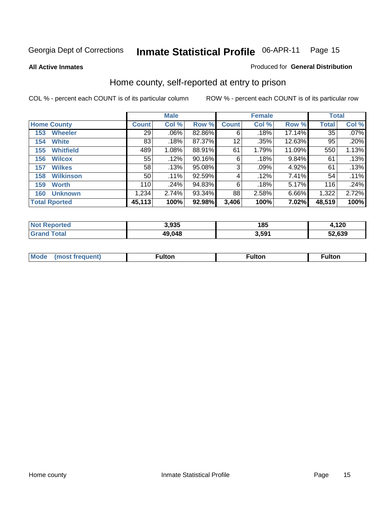#### **All Active Inmates**

#### Produced for **General Distribution**

## Home county, self-reported at entry to prison

|                    |                      |              | <b>Male</b> |        |              | <b>Female</b> | <b>Total</b> |              |         |
|--------------------|----------------------|--------------|-------------|--------|--------------|---------------|--------------|--------------|---------|
| <b>Home County</b> |                      | <b>Count</b> | Col %       | Row %  | <b>Count</b> | Col %         | Row %        | <b>Total</b> | Col %   |
| 153                | <b>Wheeler</b>       | 29           | .06%        | 82.86% | 6            | .18%          | 17.14%       | 35           | $.07\%$ |
| 154                | <b>White</b>         | 83           | .18%        | 87.37% | 12           | .35%          | 12.63%       | 95           | .20%    |
| 155                | <b>Whitfield</b>     | 489          | 1.08%       | 88.91% | 61           | 1.79%         | 11.09%       | 550          | 1.13%   |
| 156                | <b>Wilcox</b>        | 55           | .12%        | 90.16% | 6            | .18%          | 9.84%        | 61           | .13%    |
| 157                | <b>Wilkes</b>        | 58           | .13%        | 95.08% | 3            | .09%          | 4.92%        | 61           | .13%    |
| 158                | <b>Wilkinson</b>     | 50           | .11%        | 92.59% | 4            | .12%          | 7.41%        | 54           | .11%    |
| 159                | <b>Worth</b>         | 110          | .24%        | 94.83% | 6            | .18%          | 5.17%        | 116          | .24%    |
| 160                | <b>Unknown</b>       | 1,234        | 2.74%       | 93.34% | 88           | 2.58%         | 6.66%        | 1,322        | 2.72%   |
|                    | <b>Total Rported</b> | 45,113       | 100%        | 92.98% | 3,406        | 100%          | 7.02%        | 48,519       | 100%    |

| <b>rted</b><br><b>Not</b> | 3,935  | 185   | 120.ء  |
|---------------------------|--------|-------|--------|
| ™otal                     | 49,048 | 591.ر | 52.639 |

| <b>Mode</b> | مرمية الرار | ™ulton | uiton |
|-------------|-------------|--------|-------|
|             |             |        |       |
|             |             |        |       |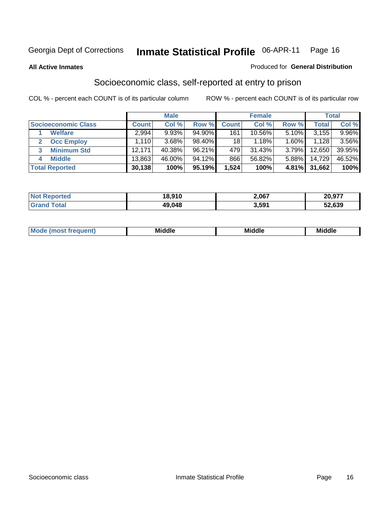**All Active Inmates**

#### Produced for **General Distribution**

## Socioeconomic class, self-reported at entry to prison

|                            | <b>Male</b>  |        | <b>Female</b> |                |           | <b>Total</b> |        |          |
|----------------------------|--------------|--------|---------------|----------------|-----------|--------------|--------|----------|
| <b>Socioeconomic Class</b> | <b>Count</b> | Col %  | Row %         | <b>Count</b> l | Col %     | Row %        | Total  | Col %    |
| <b>Welfare</b>             | 2,994        | 9.93%  | 94.90%        | 161            | 10.56%    | 5.10%        | 3,155  | $9.96\%$ |
| <b>Occ Employ</b><br>2     | 1.110 l      | 3.68%  | 98.40%        | 18             | 1.18%     | 1.60%        | 1.128  | 3.56%    |
| <b>Minimum Std</b><br>3    | 12,171       | 40.38% | 96.21%        | 479            | $31.43\%$ | 3.79%        | 12,650 | 39.95%   |
| <b>Middle</b><br>4         | 13,863       | 46.00% | 94.12%        | 866            | 56.82%    | 5.88%        | 14,729 | 46.52%   |
| <b>Total Reported</b>      | 30,138       | 100%   | 95.19%        | .524           | 100%      | 4.81%        | 31,662 | 100%     |

| <b>orteo</b><br><b>NOT</b> | 18.910 | 2,067 | 20,977 |
|----------------------------|--------|-------|--------|
| Grar                       | 49,048 | 3,591 | 52,639 |

|  | w | - 11<br>.<br>Mı<br>זוה | ---<br>. .<br>. | Mi |
|--|---|------------------------|-----------------|----|
|--|---|------------------------|-----------------|----|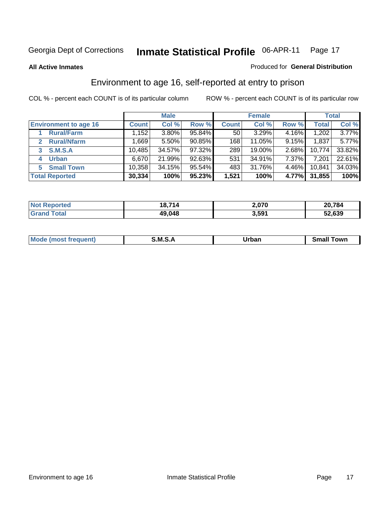**All Active Inmates**

#### Produced for **General Distribution**

## Environment to age 16, self-reported at entry to prison

|                                      |              | <b>Male</b> |        | <b>Female</b>   |        | <b>Total</b> |              |        |
|--------------------------------------|--------------|-------------|--------|-----------------|--------|--------------|--------------|--------|
| <b>Environment to age 16</b>         | <b>Count</b> | Col %       | Row %  | <b>Count</b>    | Col %  | Row %        | <b>Total</b> | Col %  |
| <b>Rural/Farm</b>                    | 1,152        | $3.80\%$    | 95.84% | 50 <sub>1</sub> | 3.29%  | 4.16%        | 1,202        | 3.77%  |
| <b>Rural/Nfarm</b><br>$\overline{2}$ | .669         | 5.50%       | 90.85% | 168             | 11.05% | 9.15%        | 1,837        | 5.77%  |
| <b>S.M.S.A</b><br>3                  | 10,485       | 34.57%      | 97.32% | 289             | 19.00% | 2.68%        | 10,774       | 33.82% |
| <b>Urban</b><br>4                    | 6,670        | 21.99%      | 92.63% | 531             | 34.91% | 7.37%        | 7,201        | 22.61% |
| <b>Small Town</b><br>5.              | 10,358       | 34.15%      | 95.54% | 483             | 31.76% | 4.46%        | 10,841       | 34.03% |
| <b>Total Reported</b>                | 30,334       | 100%        | 95.23% | 1,521           | 100%   | 4.77%        | 31,855       | 100%   |

| <b>Not Reported</b> | 18,714 | 2,070 | 20,784 |
|---------------------|--------|-------|--------|
| <b>Grand Total</b>  | 49,048 | 3,591 | 52,639 |

| <b>AhoM</b><br>frequent)<br>nst | M S<br>_____ | Jrban<br>____ | ⊺owr<br>.sr<br>_____ |
|---------------------------------|--------------|---------------|----------------------|
|                                 |              |               |                      |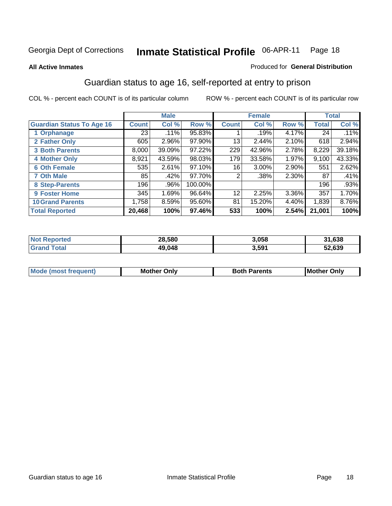#### **All Active Inmates**

#### Produced for **General Distribution**

## Guardian status to age 16, self-reported at entry to prison

|                                  |              | <b>Male</b> |         |                 | <b>Female</b> |       |              | <b>Total</b> |
|----------------------------------|--------------|-------------|---------|-----------------|---------------|-------|--------------|--------------|
| <b>Guardian Status To Age 16</b> | <b>Count</b> | Col %       | Row %   | <b>Count</b>    | Col %         | Row % | <b>Total</b> | Col %        |
| 1 Orphanage                      | 23           | .11%        | 95.83%  |                 | .19%          | 4.17% | 24           | .11%         |
| 2 Father Only                    | 605          | 2.96%       | 97.90%  | 13              | $2.44\%$      | 2.10% | 618          | 2.94%        |
| <b>3 Both Parents</b>            | 8,000        | 39.09%      | 97.22%  | 229             | 42.96%        | 2.78% | 8,229        | 39.18%       |
| <b>4 Mother Only</b>             | 8,921        | 43.59%      | 98.03%  | 179             | 33.58%        | 1.97% | 9,100        | 43.33%       |
| <b>6 Oth Female</b>              | 535          | 2.61%       | 97.10%  | 16              | 3.00%         | 2.90% | 551          | 2.62%        |
| <b>7 Oth Male</b>                | 85           | .42%        | 97.70%  | 2               | .38%          | 2.30% | 87           | .41%         |
| 8 Step-Parents                   | 196          | .96%        | 100.00% |                 |               |       | 196          | .93%         |
| 9 Foster Home                    | 345          | 1.69%       | 96.64%  | 12 <sup>°</sup> | 2.25%         | 3.36% | 357          | 1.70%        |
| <b>10 Grand Parents</b>          | 1,758        | 8.59%       | 95.60%  | 81              | 15.20%        | 4.40% | 1,839        | $8.76\%$     |
| <b>Total Reported</b>            | 20,468       | 100%        | 97.46%  | 533             | 100%          | 2.54% | 21,001       | 100%         |

| meo<br>NO. | 28.580 | 3,058             | ,638   |
|------------|--------|-------------------|--------|
| . Gr       | 49.048 | 3,59 <sup>4</sup> | 52.639 |

| Mode | Onlv<br>Mot | <b>Roth</b><br>Parents | <b>IMot</b><br>Onlv<br>∵hei |
|------|-------------|------------------------|-----------------------------|
|      |             |                        |                             |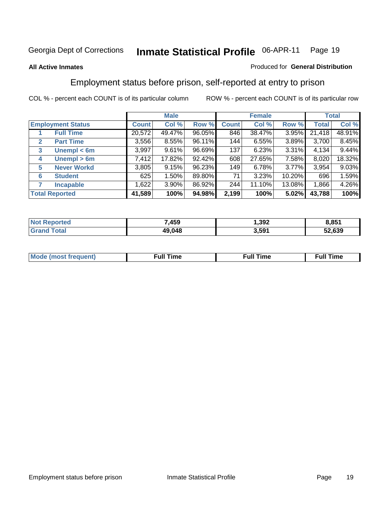#### **All Active Inmates**

#### Produced for **General Distribution**

## Employment status before prison, self-reported at entry to prison

|                                  |              | <b>Male</b> |        |              | <b>Female</b> |          |        | <b>Total</b> |
|----------------------------------|--------------|-------------|--------|--------------|---------------|----------|--------|--------------|
| <b>Employment Status</b>         | <b>Count</b> | Col %       | Row %  | <b>Count</b> | Col %         | Row %    | Total  | Col %        |
| <b>Full Time</b>                 | 20,572       | 49.47%      | 96.05% | 846          | 38.47%        | 3.95%    | 21,418 | 48.91%       |
| <b>Part Time</b><br>$\mathbf{2}$ | 3,556        | 8.55%       | 96.11% | 144          | 6.55%         | 3.89%    | 3,700  | 8.45%        |
| Unempl $<$ 6m<br>3               | 3,997        | 9.61%       | 96.69% | 137          | 6.23%         | 3.31%    | 4,134  | 9.44%        |
| Unempl > 6m<br>4                 | 7,412        | 17.82%      | 92.42% | 608          | 27.65%        | 7.58%    | 8,020  | 18.32%       |
| <b>Never Workd</b><br>5          | 3,805        | 9.15%       | 96.23% | 149          | 6.78%         | $3.77\%$ | 3,954  | 9.03%        |
| <b>Student</b><br>6              | 625          | 1.50%       | 89.80% | 71           | 3.23%         | 10.20%   | 696    | 1.59%        |
| <b>Incapable</b>                 | 1,622        | 3.90%       | 86.92% | 244          | 11.10%        | 13.08%   | 1,866  | 4.26%        |
| <b>Total Reported</b>            | 41,589       | 100%        | 94.98% | 2,199        | 100%          | 5.02%    | 43,788 | 100%         |

| 7,459  | .392  | .851   |
|--------|-------|--------|
| 49.048 | 3,591 | 52,639 |

| <b>M</b> ດ | the contract of the contract of the contract of the contract of the contract of the contract of the contract of | , ull i<br>ıme<br>the contract of the contract of the contract of the contract of the contract of the contract of the contract of | ïme<br>uı<br>$\sim$ $\sim$ $\sim$ $\sim$ $\sim$ |
|------------|-----------------------------------------------------------------------------------------------------------------|-----------------------------------------------------------------------------------------------------------------------------------|-------------------------------------------------|
|            |                                                                                                                 |                                                                                                                                   |                                                 |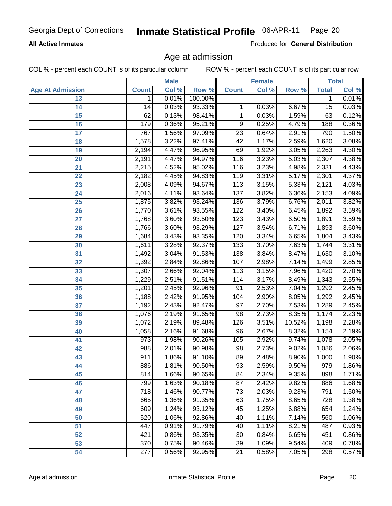#### **All Active Inmates**

Produced for **General Distribution**

#### Age at admission

|                         |              | <b>Male</b> |         |                 | <b>Female</b> |        |              | <b>Total</b> |
|-------------------------|--------------|-------------|---------|-----------------|---------------|--------|--------------|--------------|
| <b>Age At Admission</b> | <b>Count</b> | Col %       | Row %   | <b>Count</b>    | Col %         | Row %  | <b>Total</b> | Col %        |
| 13                      | 1            | 0.01%       | 100.00% |                 |               |        | 1            | 0.01%        |
| 14                      | 14           | 0.03%       | 93.33%  | 1               | 0.03%         | 6.67%  | 15           | 0.03%        |
| 15                      | 62           | 0.13%       | 98.41%  | 1               | 0.03%         | 1.59%  | 63           | 0.12%        |
| 16                      | 179          | 0.36%       | 95.21%  | 9               | 0.25%         | 4.79%  | 188          | 0.36%        |
| $\overline{17}$         | 767          | 1.56%       | 97.09%  | $\overline{23}$ | 0.64%         | 2.91%  | 790          | 1.50%        |
| 18                      | 1,578        | 3.22%       | 97.41%  | 42              | 1.17%         | 2.59%  | 1,620        | 3.08%        |
| 19                      | 2,194        | 4.47%       | 96.95%  | 69              | 1.92%         | 3.05%  | 2,263        | 4.30%        |
| 20                      | 2,191        | 4.47%       | 94.97%  | 116             | 3.23%         | 5.03%  | 2,307        | 4.38%        |
| 21                      | 2,215        | 4.52%       | 95.02%  | 116             | 3.23%         | 4.98%  | 2,331        | 4.43%        |
| 22                      | 2,182        | 4.45%       | 94.83%  | 119             | 3.31%         | 5.17%  | 2,301        | 4.37%        |
| 23                      | 2,008        | 4.09%       | 94.67%  | 113             | 3.15%         | 5.33%  | 2,121        | 4.03%        |
| 24                      | 2,016        | 4.11%       | 93.64%  | 137             | 3.82%         | 6.36%  | 2,153        | 4.09%        |
| $\overline{25}$         | 1,875        | 3.82%       | 93.24%  | 136             | 3.79%         | 6.76%  | 2,011        | 3.82%        |
| 26                      | 1,770        | 3.61%       | 93.55%  | 122             | 3.40%         | 6.45%  | 1,892        | 3.59%        |
| 27                      | 1,768        | 3.60%       | 93.50%  | 123             | 3.43%         | 6.50%  | 1,891        | 3.59%        |
| 28                      | 1,766        | 3.60%       | 93.29%  | 127             | 3.54%         | 6.71%  | 1,893        | 3.60%        |
| 29                      | 1,684        | 3.43%       | 93.35%  | 120             | 3.34%         | 6.65%  | 1,804        | 3.43%        |
| 30                      | 1,611        | 3.28%       | 92.37%  | 133             | 3.70%         | 7.63%  | 1,744        | 3.31%        |
| 31                      | 1,492        | 3.04%       | 91.53%  | 138             | 3.84%         | 8.47%  | 1,630        | 3.10%        |
| 32                      | 1,392        | 2.84%       | 92.86%  | 107             | 2.98%         | 7.14%  | 1,499        | 2.85%        |
| 33                      | 1,307        | 2.66%       | 92.04%  | 113             | 3.15%         | 7.96%  | 1,420        | 2.70%        |
| 34                      | 1,229        | 2.51%       | 91.51%  | 114             | 3.17%         | 8.49%  | 1,343        | 2.55%        |
| 35                      | 1,201        | 2.45%       | 92.96%  | 91              | 2.53%         | 7.04%  | 1,292        | 2.45%        |
| 36                      | 1,188        | 2.42%       | 91.95%  | 104             | 2.90%         | 8.05%  | 1,292        | 2.45%        |
| 37                      | 1,192        | 2.43%       | 92.47%  | 97              | 2.70%         | 7.53%  | 1,289        | 2.45%        |
| 38                      | 1,076        | 2.19%       | 91.65%  | 98              | 2.73%         | 8.35%  | 1,174        | 2.23%        |
| 39                      | 1,072        | 2.19%       | 89.48%  | 126             | 3.51%         | 10.52% | 1,198        | 2.28%        |
| 40                      | 1,058        | 2.16%       | 91.68%  | 96              | 2.67%         | 8.32%  | 1,154        | 2.19%        |
| 41                      | 973          | 1.98%       | 90.26%  | 105             | 2.92%         | 9.74%  | 1,078        | 2.05%        |
| 42                      | 988          | 2.01%       | 90.98%  | 98              | 2.73%         | 9.02%  | 1,086        | 2.06%        |
| 43                      | 911          | 1.86%       | 91.10%  | 89              | 2.48%         | 8.90%  | 1,000        | 1.90%        |
| 44                      | 886          | 1.81%       | 90.50%  | 93              | 2.59%         | 9.50%  | 979          | 1.86%        |
| 45                      | 814          | 1.66%       | 90.65%  | 84              | 2.34%         | 9.35%  | 898          | 1.71%        |
| 46                      | 799          | 1.63%       | 90.18%  | $\overline{87}$ | 2.42%         | 9.82%  | 886          | 1.68%        |
| 47                      | 718          | 1.46%       | 90.77%  | $\overline{73}$ | 2.03%         | 9.23%  | 791          | 1.50%        |
| 48                      | 665          | 1.36%       | 91.35%  | 63              | 1.75%         | 8.65%  | 728          | 1.38%        |
| 49                      | 609          | 1.24%       | 93.12%  | 45              | 1.25%         | 6.88%  | 654          | 1.24%        |
| 50                      | 520          | 1.06%       | 92.86%  | 40              | 1.11%         | 7.14%  | 560          | 1.06%        |
| 51                      | 447          | 0.91%       | 91.79%  | 40              | 1.11%         | 8.21%  | 487          | 0.93%        |
| 52                      | 421          | 0.86%       | 93.35%  | 30              | 0.84%         | 6.65%  | 451          | 0.86%        |
| 53                      | 370          | 0.75%       | 90.46%  | 39              | 1.09%         | 9.54%  | 409          | 0.78%        |
| 54                      | 277          | 0.56%       | 92.95%  | 21              | 0.58%         | 7.05%  | 298          | 0.57%        |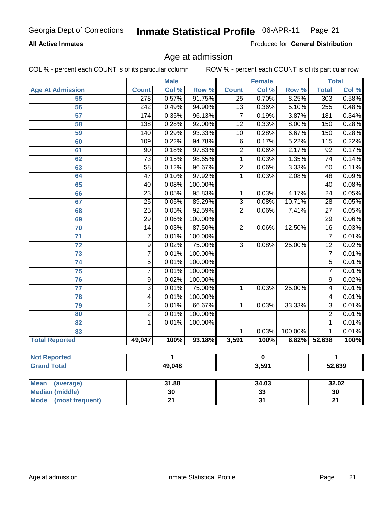#### **All Active Inmates**

Produced for **General Distribution**

## Age at admission

|                         |                  | <b>Male</b> |         |                 | <b>Female</b> |         |                 | <b>Total</b>               |  |
|-------------------------|------------------|-------------|---------|-----------------|---------------|---------|-----------------|----------------------------|--|
| <b>Age At Admission</b> | <b>Count</b>     | Col %       | Row %   | <b>Count</b>    | Col %         | Row %   | <b>Total</b>    | $\overline{\text{Col }^9}$ |  |
| 55                      | 278              | 0.57%       | 91.75%  | $\overline{25}$ | 0.70%         | 8.25%   | 303             | 0.58%                      |  |
| $\overline{56}$         | $\overline{242}$ | 0.49%       | 94.90%  | $\overline{13}$ | 0.36%         | 5.10%   | 255             | 0.48%                      |  |
| $\overline{57}$         | 174              | 0.35%       | 96.13%  | 7               | 0.19%         | 3.87%   | 181             | 0.34%                      |  |
| 58                      | 138              | 0.28%       | 92.00%  | $\overline{12}$ | 0.33%         | 8.00%   | 150             | 0.28%                      |  |
| 59                      | $\overline{140}$ | 0.29%       | 93.33%  | $\overline{10}$ | 0.28%         | 6.67%   | 150             | 0.28%                      |  |
| 60                      | 109              | 0.22%       | 94.78%  | $\overline{6}$  | 0.17%         | 5.22%   | 115             | 0.22%                      |  |
| 61                      | $\overline{90}$  | 0.18%       | 97.83%  | $\overline{2}$  | 0.06%         | 2.17%   | $\overline{92}$ | 0.17%                      |  |
| 62                      | $\overline{73}$  | 0.15%       | 98.65%  | 1               | 0.03%         | 1.35%   | $\overline{74}$ | 0.14%                      |  |
| 63                      | $\overline{58}$  | 0.12%       | 96.67%  | $\overline{2}$  | 0.06%         | 3.33%   | 60              | 0.11%                      |  |
| 64                      | $\overline{47}$  | 0.10%       | 97.92%  | 1               | 0.03%         | 2.08%   | 48              | 0.09%                      |  |
| 65                      | $\overline{40}$  | 0.08%       | 100.00% |                 |               |         | $\overline{40}$ | 0.08%                      |  |
| 66                      | $\overline{23}$  | 0.05%       | 95.83%  | 1               | 0.03%         | 4.17%   | $\overline{24}$ | 0.05%                      |  |
| 67                      | $\overline{25}$  | 0.05%       | 89.29%  | $\overline{3}$  | 0.08%         | 10.71%  | 28              | 0.05%                      |  |
| 68                      | $\overline{25}$  | 0.05%       | 92.59%  | $\overline{2}$  | 0.06%         | 7.41%   | $\overline{27}$ | 0.05%                      |  |
| 69                      | $\overline{29}$  | 0.06%       | 100.00% |                 |               |         | $\overline{29}$ | 0.06%                      |  |
| 70                      | $\overline{14}$  | 0.03%       | 87.50%  | $\overline{2}$  | 0.06%         | 12.50%  | $\overline{16}$ | 0.03%                      |  |
| $\overline{71}$         | 7                | 0.01%       | 100.00% |                 |               |         | $\overline{7}$  | 0.01%                      |  |
| 72                      | $\overline{9}$   | 0.02%       | 75.00%  | $\overline{3}$  | 0.08%         | 25.00%  | $\overline{12}$ | 0.02%                      |  |
| 73                      | 7                | 0.01%       | 100.00% |                 |               |         | 7               | 0.01%                      |  |
| $\overline{74}$         | $\overline{5}$   | 0.01%       | 100.00% |                 |               |         | $\overline{5}$  | 0.01%                      |  |
| 75                      | 7                | 0.01%       | 100.00% |                 |               |         | $\overline{7}$  | 0.01%                      |  |
| 76                      | $\overline{9}$   | 0.02%       | 100.00% |                 |               |         | $\overline{9}$  | 0.02%                      |  |
| $\overline{77}$         | $\overline{3}$   | 0.01%       | 75.00%  | 1               | 0.03%         | 25.00%  | $\overline{4}$  | 0.01%                      |  |
| 78                      | 4                | 0.01%       | 100.00% |                 |               |         | $\overline{4}$  | 0.01%                      |  |
| 79                      | $\overline{2}$   | 0.01%       | 66.67%  | 1               | 0.03%         | 33.33%  | $\overline{3}$  | 0.01%                      |  |
| 80                      | $\overline{2}$   | 0.01%       | 100.00% |                 |               |         | $\overline{2}$  | 0.01%                      |  |
| $\overline{82}$         | $\overline{1}$   | 0.01%       | 100.00% |                 |               |         | $\overline{1}$  | 0.01%                      |  |
| 83                      |                  |             |         | 1               | 0.03%         | 100.00% | $\overline{1}$  | 0.01%                      |  |
| <b>Total Reported</b>   | 49,047           | 100%        | 93.18%  | 3,591           | 100%          | 6.82%   | 52,638          | 100%                       |  |
| <b>Not Reported</b>     |                  | 1           |         |                 | $\mathbf 0$   |         |                 | 1                          |  |
| <b>Grand Total</b>      |                  | 49,048      |         | 3,591           |               |         | 52,639          |                            |  |
|                         |                  |             |         |                 |               |         |                 |                            |  |

| <b>Mean</b><br>(average)       | 31.88 | 34.03    | 32.02 |
|--------------------------------|-------|----------|-------|
| <b>Median (middle)</b>         | 30    | າາ<br>აა | 30    |
| <b>Mode</b><br>(most frequent) |       | ັ        | n.    |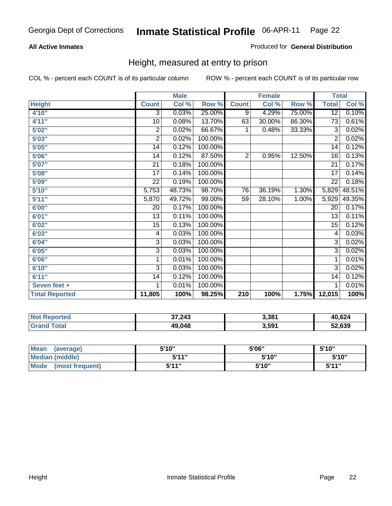#### **All Active Inmates**

#### Produced for **General Distribution**

## Height, measured at entry to prison

|                       |                 | <b>Male</b> |         |                | <b>Female</b> |        | <b>Total</b>    |        |
|-----------------------|-----------------|-------------|---------|----------------|---------------|--------|-----------------|--------|
| <b>Height</b>         | <b>Count</b>    | Col %       | Row %   | <b>Count</b>   | Col %         | Row %  | <b>Total</b>    | Col %  |
| 4'10"                 | $\overline{3}$  | 0.03%       | 25.00%  | $\overline{9}$ | 4.29%         | 75.00% | $\overline{12}$ | 0.10%  |
| 4'11''                | 10              | 0.08%       | 13.70%  | 63             | 30.00%        | 86.30% | $\overline{73}$ | 0.61%  |
| 5'02"                 | 2               | 0.02%       | 66.67%  | 1              | 0.48%         | 33.33% | 3               | 0.02%  |
| 5'03''                | $\overline{2}$  | 0.02%       | 100.00% |                |               |        | $\overline{2}$  | 0.02%  |
| 5'05"                 | 14              | 0.12%       | 100.00% |                |               |        | 14              | 0.12%  |
| 5'06''                | 14              | 0.12%       | 87.50%  | $\overline{2}$ | 0.95%         | 12.50% | 16              | 0.13%  |
| 5'07''                | 21              | 0.18%       | 100.00% |                |               |        | $\overline{21}$ | 0.17%  |
| 5'08''                | $\overline{17}$ | 0.14%       | 100.00% |                |               |        | $\overline{17}$ | 0.14%  |
| 5'09''                | 22              | 0.19%       | 100.00% |                |               |        | $\overline{22}$ | 0.18%  |
| 5'10''                | 5,753           | 48.73%      | 98.70%  | 76             | 36.19%        | 1.30%  | 5,829           | 48.51% |
| 5'11''                | 5,870           | 49.72%      | 99.00%  | 59             | 28.10%        | 1.00%  | 5,929           | 49.35% |
| 6'00''                | 20              | 0.17%       | 100.00% |                |               |        | 20              | 0.17%  |
| 6'01''                | 13              | 0.11%       | 100.00% |                |               |        | 13              | 0.11%  |
| 6'02"                 | 15              | 0.13%       | 100.00% |                |               |        | 15              | 0.12%  |
| 6'03''                | 4               | 0.03%       | 100.00% |                |               |        | 4               | 0.03%  |
| 6'04"                 | $\overline{3}$  | 0.03%       | 100.00% |                |               |        | $\overline{3}$  | 0.02%  |
| 6'05''                | 3               | 0.03%       | 100.00% |                |               |        | 3               | 0.02%  |
| 6'06''                | 1               | 0.01%       | 100.00% |                |               |        | 1               | 0.01%  |
| 6'10''                | 3               | 0.03%       | 100.00% |                |               |        | $\overline{3}$  | 0.02%  |
| 6'11''                | 14              | 0.12%       | 100.00% |                |               |        | 14              | 0.12%  |
| Seven feet +          | 1               | 0.01%       | 100.00% |                |               |        | 1               | 0.01%  |
| <b>Total Reported</b> | 11,805          | 100%        | 98.25%  | 210            | 100%          | 1.75%  | 12,015          | 100%   |

| ' Not<br><b>Reported</b> | 37,243 | 3,381 | 40,624 |
|--------------------------|--------|-------|--------|
| <sup>-</sup> otal        | 49,048 | 3,591 | 52,639 |

| <b>Mean</b><br>(average)       | 5'10" | 5'06" | 5'10''       |
|--------------------------------|-------|-------|--------------|
| Median (middle)                | 544"  | 5'10" | 5'10"        |
| <b>Mode</b><br>(most frequent) | 5'11" | 5'10" | <b>K'11"</b> |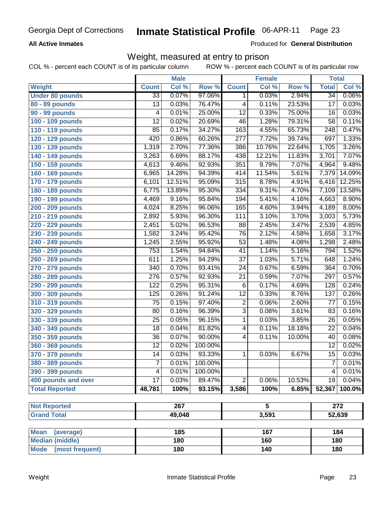#### **All Active Inmates**

Produced for **General Distribution**

#### Weight, measured at entry to prison

|                        | <b>Male</b>      |        | <b>Female</b> |                  |        | <b>Total</b> |                  |          |  |  |
|------------------------|------------------|--------|---------------|------------------|--------|--------------|------------------|----------|--|--|
| Weight                 | <b>Count</b>     | Col %  | Row %         | <b>Count</b>     | Col %  | Row %        | <b>Total</b>     | Col %    |  |  |
| <b>Under 80 pounds</b> | $\overline{33}$  | 0.07%  | 97.06%        | $\mathbf 1$      | 0.03%  | 2.94%        | $\overline{34}$  | $0.06\%$ |  |  |
| $80 - 89$ pounds       | $\overline{13}$  | 0.03%  | 76.47%        | 4                | 0.11%  | 23.53%       | $\overline{17}$  | 0.03%    |  |  |
| <b>90 - 99 pounds</b>  | 4                | 0.01%  | 25.00%        | $\overline{12}$  | 0.33%  | 75.00%       | 16               | 0.03%    |  |  |
| 100 - 109 pounds       | $\overline{12}$  | 0.02%  | 20.69%        | 46               | 1.28%  | 79.31%       | $\overline{58}$  | 0.11%    |  |  |
| 110 - 119 pounds       | 85               | 0.17%  | 34.27%        | 163              | 4.55%  | 65.73%       | $\overline{248}$ | 0.47%    |  |  |
| 120 - 129 pounds       | 420              | 0.86%  | 60.26%        | $\overline{277}$ | 7.72%  | 39.74%       | 697              | 1.33%    |  |  |
| 130 - 139 pounds       | 1,319            | 2.70%  | 77.36%        | 386              | 10.76% | 22.64%       | 1,705            | 3.26%    |  |  |
| 140 - 149 pounds       | 3,263            | 6.69%  | 88.17%        | 438              | 12.21% | 11.83%       | 3,701            | 7.07%    |  |  |
| 150 - 159 pounds       | 4,613            | 9.46%  | 92.93%        | 351              | 9.79%  | 7.07%        | 4,964            | 9.48%    |  |  |
| 160 - 169 pounds       | 6,965            | 14.28% | 94.39%        | 414              | 11.54% | 5.61%        | 7,379            | 14.09%   |  |  |
| 170 - 179 pounds       | 6,101            | 12.51% | 95.09%        | 315              | 8.78%  | 4.91%        | 6,416            | 12.25%   |  |  |
| 180 - 189 pounds       | 6,775            | 13.89% | 95.30%        | $\frac{1}{334}$  | 9.31%  | 4.70%        | 7,109            | 13.58%   |  |  |
| 190 - 199 pounds       | 4,469            | 9.16%  | 95.84%        | 194              | 5.41%  | 4.16%        | 4,663            | 8.90%    |  |  |
| 200 - 209 pounds       | 4,024            | 8.25%  | 96.06%        | 165              | 4.60%  | 3.94%        | 4,189            | 8.00%    |  |  |
| 210 - 219 pounds       | 2,892            | 5.93%  | 96.30%        | 111              | 3.10%  | 3.70%        | 3,003            | 5.73%    |  |  |
| 220 - 229 pounds       | 2,451            | 5.02%  | 96.53%        | $\overline{88}$  | 2.45%  | 3.47%        | 2,539            | 4.85%    |  |  |
| 230 - 239 pounds       | 1,582            | 3.24%  | 95.42%        | $\overline{76}$  | 2.12%  | 4.58%        | 1,658            | 3.17%    |  |  |
| 240 - 249 pounds       | 1,245            | 2.55%  | 95.92%        | $\overline{53}$  | 1.48%  | 4.08%        | 1,298            | 2.48%    |  |  |
| 250 - 259 pounds       | 753              | 1.54%  | 94.84%        | $\overline{41}$  | 1.14%  | 5.16%        | 794              | 1.52%    |  |  |
| 260 - 269 pounds       | 611              | 1.25%  | 94.29%        | $\overline{37}$  | 1.03%  | 5.71%        | 648              | 1.24%    |  |  |
| 270 - 279 pounds       | 340              | 0.70%  | 93.41%        | $\overline{24}$  | 0.67%  | 6.59%        | 364              | 0.70%    |  |  |
| 280 - 289 pounds       | $\overline{276}$ | 0.57%  | 92.93%        | $\overline{21}$  | 0.59%  | 7.07%        | 297              | 0.57%    |  |  |
| 290 - 299 pounds       | 122              | 0.25%  | 95.31%        | $\overline{6}$   | 0.17%  | 4.69%        | 128              | 0.24%    |  |  |
| 300 - 309 pounds       | 125              | 0.26%  | 91.24%        | $\overline{12}$  | 0.33%  | 8.76%        | 137              | 0.26%    |  |  |
| 310 - 319 pounds       | $\overline{75}$  | 0.15%  | 97.40%        | $\overline{2}$   | 0.06%  | 2.60%        | $\overline{77}$  | 0.15%    |  |  |
| 320 - 329 pounds       | 80               | 0.16%  | 96.39%        | $\overline{3}$   | 0.08%  | 3.61%        | 83               | 0.16%    |  |  |
| 330 - 339 pounds       | $\overline{25}$  | 0.05%  | 96.15%        | $\overline{1}$   | 0.03%  | 3.85%        | $\overline{26}$  | 0.05%    |  |  |
| 340 - 349 pounds       | $\overline{18}$  | 0.04%  | 81.82%        | 4                | 0.11%  | 18.18%       | 22               | 0.04%    |  |  |
| 350 - 359 pounds       | $\overline{36}$  | 0.07%  | 90.00%        | $\overline{4}$   | 0.11%  | 10.00%       | 40               | 0.08%    |  |  |
| 360 - 369 pounds       | $\overline{12}$  | 0.02%  | 100.00%       |                  |        |              | $\overline{12}$  | 0.02%    |  |  |
| 370 - 379 pounds       | $\overline{14}$  | 0.03%  | 93.33%        | $\mathbf{1}$     | 0.03%  | 6.67%        | $\overline{15}$  | 0.03%    |  |  |
| 380 - 389 pounds       | 7                | 0.01%  | 100.00%       |                  |        |              |                  | 0.01%    |  |  |
| 390 - 399 pounds       | 4                | 0.01%  | 100.00%       |                  |        |              | $\overline{4}$   | 0.01%    |  |  |
| 400 pounds and over    | $\overline{17}$  | 0.03%  | 89.47%        | $\overline{2}$   | 0.06%  | 10.53%       | 19               | 0.04%    |  |  |
| <b>Total Reported</b>  | 48,781           | 100%   | 93.15%        | 3,586            | 100%   | 6.85%        | 52,367           | 100.0%   |  |  |
|                        |                  |        |               |                  |        |              |                  |          |  |  |
| <b>Not Reported</b>    |                  | 267    |               | 5                |        |              | 272              |          |  |  |
| <b>Grand Total</b>     |                  | 49,048 |               |                  | 3,591  |              |                  | 52,639   |  |  |

| Mean<br>(average)       | 185 | 167 | 184 |
|-------------------------|-----|-----|-----|
| Median (middle)         | 180 | 160 | 180 |
| Mode<br>(most frequent) | 180 | 140 | 180 |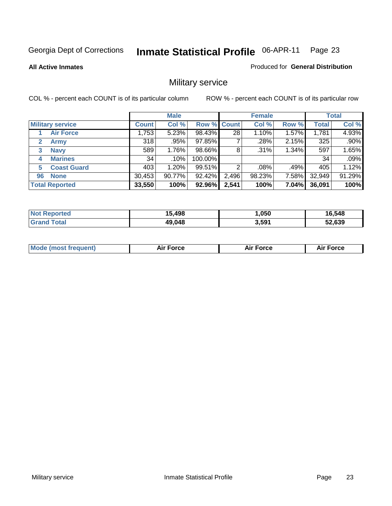**All Active Inmates**

#### Produced for **General Distribution**

## Military service

|                             | <b>Male</b>  |        |                    |       | <b>Female</b> |       |              | <b>Total</b> |  |
|-----------------------------|--------------|--------|--------------------|-------|---------------|-------|--------------|--------------|--|
| <b>Military service</b>     | <b>Count</b> | Col %  | <b>Row % Count</b> |       | Col %         | Row % | <b>Total</b> | Col %        |  |
| <b>Air Force</b>            | 1,753        | 5.23%  | 98.43%             | 28    | 1.10%         | 1.57% | 1,781        | 4.93%        |  |
| $\mathbf{2}$<br><b>Army</b> | 318          | .95%   | 97.85%             |       | .28%          | 2.15% | 325          | .90%         |  |
| <b>Navy</b><br>3            | 589          | 1.76%  | 98.66%             | 8     | .31%          | 1.34% | 597          | 1.65%        |  |
| <b>Marines</b><br>4         | 34           | .10%   | 100.00%            |       |               |       | 34           | .09%         |  |
| <b>Coast Guard</b><br>5     | 403          | 1.20%  | 99.51%             | 2     | .08%          | .49%  | 405          | 1.12%        |  |
| <b>None</b><br>96           | 30,453       | 90.77% | 92.42%             | 2,496 | 98.23%        | 7.58% | 32,949       | 91.29%       |  |
| <b>Total Reported</b>       | 33,550       | 100%   | 92.96%             | 2,541 | 100%          | 7.04% | 36,091       | 100%         |  |

| Reported<br><b>Not</b> | 15,498 | ,050  | 16,548 |
|------------------------|--------|-------|--------|
| Total<br><b>Grano</b>  | 49,048 | 3,591 | 52.639 |

|  | <b>Mode (most frequent)</b> | Air Force | Force | Force<br>Air |
|--|-----------------------------|-----------|-------|--------------|
|--|-----------------------------|-----------|-------|--------------|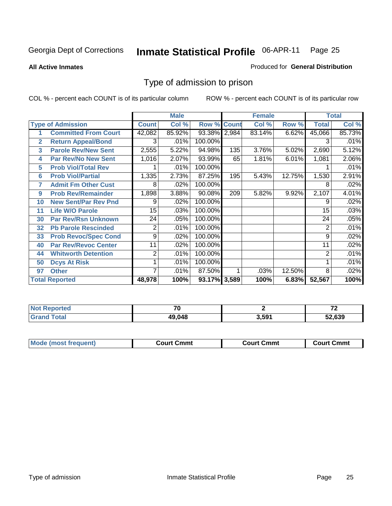**All Active Inmates**

#### Produced for **General Distribution**

## Type of admission to prison

|                |                             |              | <b>Male</b> |                    |     | <b>Female</b> |        |              | <b>Total</b> |
|----------------|-----------------------------|--------------|-------------|--------------------|-----|---------------|--------|--------------|--------------|
|                | <b>Type of Admission</b>    | <b>Count</b> | Col %       | <b>Row % Count</b> |     | Col %         | Row %  | <b>Total</b> | Col %        |
|                | <b>Committed From Court</b> | 42,082       | 85.92%      | 93.38% 2,984       |     | 83.14%        | 6.62%  | 45,066       | 85.73%       |
| $\overline{2}$ | <b>Return Appeal/Bond</b>   | 3            | .01%        | 100.00%            |     |               |        | 3            | .01%         |
| 3              | <b>Parole Rev/New Sent</b>  | 2,555        | 5.22%       | 94.98%             | 135 | 3.76%         | 5.02%  | 2,690        | 5.12%        |
| 4              | <b>Par Rev/No New Sent</b>  | 1,016        | 2.07%       | 93.99%             | 65  | 1.81%         | 6.01%  | 1,081        | 2.06%        |
| 5              | <b>Prob Viol/Total Rev</b>  |              | .01%        | 100.00%            |     |               |        |              | .01%         |
| 6              | <b>Prob Viol/Partial</b>    | 1,335        | 2.73%       | 87.25%             | 195 | 5.43%         | 12.75% | 1,530        | 2.91%        |
| 7              | <b>Admit Fm Other Cust</b>  | 8            | .02%        | 100.00%            |     |               |        | 8            | .02%         |
| 9              | <b>Prob Rev/Remainder</b>   | 1,898        | 3.88%       | 90.08%             | 209 | 5.82%         | 9.92%  | 2,107        | 4.01%        |
| 10             | <b>New Sent/Par Rev Pnd</b> | 9            | .02%        | 100.00%            |     |               |        | 9            | .02%         |
| 11             | <b>Life W/O Parole</b>      | 15           | .03%        | 100.00%            |     |               |        | 15           | .03%         |
| 30             | <b>Par Rev/Rsn Unknown</b>  | 24           | .05%        | 100.00%            |     |               |        | 24           | .05%         |
| 32             | <b>Pb Parole Rescinded</b>  | 2            | .01%        | 100.00%            |     |               |        | 2            | .01%         |
| 33             | <b>Prob Revoc/Spec Cond</b> | 9            | .02%        | 100.00%            |     |               |        | 9            | .02%         |
| 40             | <b>Par Rev/Revoc Center</b> | 11           | .02%        | 100.00%            |     |               |        | 11           | .02%         |
| 44             | <b>Whitworth Detention</b>  | 2            | .01%        | 100.00%            |     |               |        | 2            | .01%         |
| 50             | <b>Dcys At Risk</b>         |              | .01%        | 100.00%            |     |               |        |              | .01%         |
| 97             | <b>Other</b>                | 7            | .01%        | 87.50%             |     | .03%          | 12.50% | 8            | .02%         |
|                | <b>Total Reported</b>       | 48,978       | 100%        | 93.17% 3,589       |     | 100%          | 6.83%  | 52,567       | 100%         |

| <b>Not Reported</b> | $\rightarrow$ |       | $\rightarrow$ |
|---------------------|---------------|-------|---------------|
| Total               | 49,048        | 3,591 | 52.639        |

| <b>Mode (most frequent)</b><br><b>Court Cmmt</b><br>Court Cmmt | <b>Court Cmmt</b> |
|----------------------------------------------------------------|-------------------|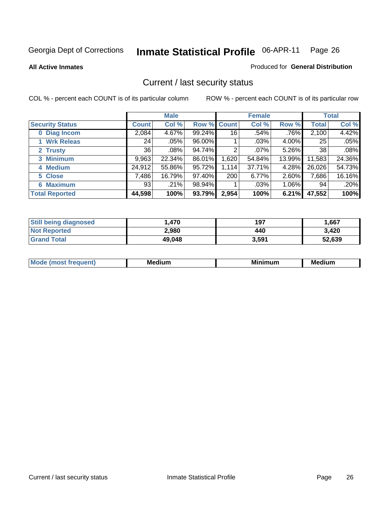**All Active Inmates**

#### Produced for **General Distribution**

## Current / last security status

|                        |         | <b>Male</b> |                    |       | <b>Female</b> |          |              | <b>Total</b> |
|------------------------|---------|-------------|--------------------|-------|---------------|----------|--------------|--------------|
| <b>Security Status</b> | Count l | Col %       | <b>Row % Count</b> |       | Col %         | Row %    | <b>Total</b> | Col %        |
| 0 Diag Incom           | 2,084   | 4.67%       | 99.24%             | 16    | .54%          | $.76\%$  | 2,100        | 4.42%        |
| 1 Wrk Releas           | 24      | .05%        | 96.00%             |       | .03%          | $4.00\%$ | 25           | .05%         |
| 2 Trusty               | 36      | .08%        | 94.74%             | 2     | $.07\%$       | 5.26%    | 38           | $.08\%$      |
| 3 Minimum              | 9,963   | 22.34%      | 86.01%             | 1,620 | 54.84%        | 13.99%   | 11,583       | 24.36%       |
| 4 Medium               | 24,912  | 55.86%      | 95.72%             | 1,114 | 37.71%        | 4.28%    | 26,026       | 54.73%       |
| 5 Close                | 7,486   | 16.79%      | 97.40%             | 200   | 6.77%         | 2.60%    | 7,686        | 16.16%       |
| <b>Maximum</b><br>6.   | 93      | .21%        | 98.94%             |       | .03%          | $1.06\%$ | 94           | .20%         |
| <b>Total Reported</b>  | 44,598  | 100%        | 93.79%             | 2,954 | 100%          | 6.21%    | 47,552       | 100%         |

| <b>Still being diagnosed</b> | .470   | 197   | 1,667  |
|------------------------------|--------|-------|--------|
| <b>Not Reported</b>          | 2,980  | 440   | 3,420  |
| <b>Grand Total</b>           | 49,048 | 3,591 | 52,639 |

| $M_{\Omega}$<br>יחב | M۵<br>dium | <b>BAL.</b><br>num | Mer<br>dium |
|---------------------|------------|--------------------|-------------|
|                     |            |                    |             |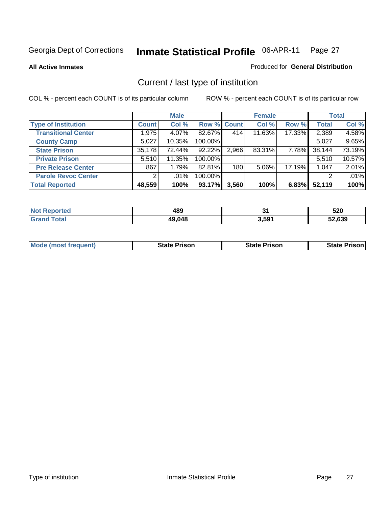**All Active Inmates**

#### Produced for **General Distribution**

## Current / last type of institution

|                            |                | <b>Male</b> |             |       | <b>Female</b> |        |              | <b>Total</b> |
|----------------------------|----------------|-------------|-------------|-------|---------------|--------|--------------|--------------|
| <b>Type of Institution</b> | <b>Count</b>   | Col %       | Row % Count |       | Col %         | Row %  | <b>Total</b> | Col %        |
| <b>Transitional Center</b> | 1,975          | 4.07%       | 82.67%      | 414   | 11.63%        | 17.33% | 2,389        | 4.58%        |
| <b>County Camp</b>         | 5,027          | 10.35%      | 100.00%     |       |               |        | 5,027        | 9.65%        |
| <b>State Prison</b>        | 35,178         | 72.44%      | 92.22%      | 2,966 | 83.31%        | 7.78%  | 38,144       | 73.19%       |
| <b>Private Prison</b>      | 5,510          | 11.35%      | 100.00%     |       |               |        | 5,510        | 10.57%       |
| <b>Pre Release Center</b>  | 867            | 1.79%       | 82.81%      | 180   | 5.06%         | 17.19% | 1,047        | 2.01%        |
| <b>Parole Revoc Center</b> | $\overline{2}$ | $.01\%$     | 100.00%     |       |               |        |              | .01%         |
| <b>Total Reported</b>      | 48,559         | 100%        | 93.17%      | 3,560 | 100%          | 6.83%  | 52,119       | 100%         |

| N   | 100    | т.       | EOO        |
|-----|--------|----------|------------|
| reo | 403    | <u>.</u> | ט∠כ        |
|     | 49,048 | $3.59^*$ | .639<br>-- |

|  | <b>Mode (most frequent)</b> | <b>State Prison</b> | <b>State Prison</b> | <b>State Prison!</b> |
|--|-----------------------------|---------------------|---------------------|----------------------|
|--|-----------------------------|---------------------|---------------------|----------------------|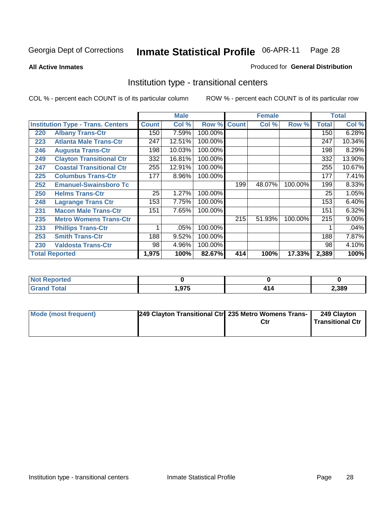**All Active Inmates**

#### Produced for **General Distribution**

## Institution type - transitional centers

|     |                                          |              | <b>Male</b> |         |              | <b>Female</b> |         |              | <b>Total</b> |
|-----|------------------------------------------|--------------|-------------|---------|--------------|---------------|---------|--------------|--------------|
|     | <b>Institution Type - Trans. Centers</b> | <b>Count</b> | Col %       | Row %   | <b>Count</b> | Col %         | Row %   | <b>Total</b> | Col %        |
| 220 | <b>Albany Trans-Ctr</b>                  | 150          | 7.59%       | 100.00% |              |               |         | 150          | 6.28%        |
| 223 | <b>Atlanta Male Trans-Ctr</b>            | 247          | 12.51%      | 100.00% |              |               |         | 247          | 10.34%       |
| 246 | <b>Augusta Trans-Ctr</b>                 | 198          | 10.03%      | 100.00% |              |               |         | 198          | 8.29%        |
| 249 | <b>Clayton Transitional Ctr</b>          | 332          | 16.81%      | 100.00% |              |               |         | 332          | 13.90%       |
| 247 | <b>Coastal Transitional Ctr</b>          | 255          | 12.91%      | 100.00% |              |               |         | 255          | 10.67%       |
| 225 | <b>Columbus Trans-Ctr</b>                | 177          | 8.96%       | 100.00% |              |               |         | 177          | 7.41%        |
| 252 | <b>Emanuel-Swainsboro Tc</b>             |              |             |         | 199          | 48.07%        | 100.00% | 199          | 8.33%        |
| 250 | <b>Helms Trans-Ctr</b>                   | 25           | 1.27%       | 100.00% |              |               |         | 25           | 1.05%        |
| 248 | <b>Lagrange Trans Ctr</b>                | 153          | 7.75%       | 100.00% |              |               |         | 153          | 6.40%        |
| 231 | <b>Macon Male Trans-Ctr</b>              | 151          | 7.65%       | 100.00% |              |               |         | 151          | 6.32%        |
| 235 | <b>Metro Womens Trans-Ctr</b>            |              |             |         | 215          | 51.93%        | 100.00% | 215          | 9.00%        |
| 233 | <b>Phillips Trans-Ctr</b>                | 1            | .05%        | 100.00% |              |               |         |              | .04%         |
| 253 | <b>Smith Trans-Ctr</b>                   | 188          | 9.52%       | 100.00% |              |               |         | 188          | 7.87%        |
| 230 | <b>Valdosta Trans-Ctr</b>                | 98           | 4.96%       | 100.00% |              |               |         | 98           | 4.10%        |
|     | <b>Total Reported</b>                    | 1,975        | 100%        | 82.67%  | 414          | 100%          | 17.33%  | 2,389        | 100%         |

| Reported<br>. |      |      |
|---------------|------|------|
| <b>ota</b>    | .975 | ,389 |

| Mode (most frequent) | 249 Clayton Transitional Ctr 235 Metro Womens Trans- | 249 Clayton<br>Transitional Ctr |
|----------------------|------------------------------------------------------|---------------------------------|
|                      |                                                      |                                 |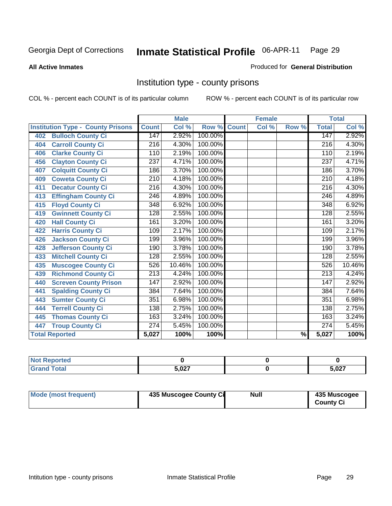#### **All Active Inmates**

#### Produced for **General Distribution**

## Institution type - county prisons

|                                          |                  | <b>Male</b> |         |              | <b>Female</b> |                          |                  | <b>Total</b> |
|------------------------------------------|------------------|-------------|---------|--------------|---------------|--------------------------|------------------|--------------|
| <b>Institution Type - County Prisons</b> | <b>Count</b>     | Col %       | Row %   | <b>Count</b> | Col %         | Row %                    | <b>Total</b>     | Col %        |
| <b>Bulloch County Ci</b><br>402          | 147              | 2.92%       | 100.00% |              |               |                          | 147              | 2.92%        |
| <b>Carroll County Ci</b><br>404          | $\overline{216}$ | 4.30%       | 100.00% |              |               |                          | $\overline{216}$ | 4.30%        |
| <b>Clarke County Ci</b><br>406           | 110              | 2.19%       | 100.00% |              |               |                          | 110              | 2.19%        |
| <b>Clayton County Ci</b><br>456          | 237              | 4.71%       | 100.00% |              |               |                          | 237              | 4.71%        |
| <b>Colquitt County Ci</b><br>407         | 186              | 3.70%       | 100.00% |              |               |                          | 186              | 3.70%        |
| <b>Coweta County Ci</b><br>409           | 210              | 4.18%       | 100.00% |              |               |                          | $\overline{210}$ | 4.18%        |
| <b>Decatur County Ci</b><br>411          | 216              | 4.30%       | 100.00% |              |               |                          | $\overline{216}$ | 4.30%        |
| <b>Effingham County Ci</b><br>413        | $\overline{246}$ | 4.89%       | 100.00% |              |               |                          | $\overline{246}$ | 4.89%        |
| <b>Floyd County Ci</b><br>415            | 348              | 6.92%       | 100.00% |              |               |                          | 348              | 6.92%        |
| <b>Gwinnett County Ci</b><br>419         | 128              | 2.55%       | 100.00% |              |               |                          | 128              | 2.55%        |
| <b>Hall County Ci</b><br>420             | 161              | 3.20%       | 100.00% |              |               |                          | 161              | 3.20%        |
| <b>Harris County Ci</b><br>422           | 109              | 2.17%       | 100.00% |              |               |                          | 109              | 2.17%        |
| <b>Jackson County Ci</b><br>426          | 199              | 3.96%       | 100.00% |              |               |                          | 199              | 3.96%        |
| <b>Jefferson County Ci</b><br>428        | 190              | 3.78%       | 100.00% |              |               |                          | 190              | 3.78%        |
| <b>Mitchell County Ci</b><br>433         | 128              | 2.55%       | 100.00% |              |               |                          | 128              | 2.55%        |
| <b>Muscogee County Ci</b><br>435         | 526              | 10.46%      | 100.00% |              |               |                          | 526              | 10.46%       |
| <b>Richmond County Ci</b><br>439         | $\overline{213}$ | 4.24%       | 100.00% |              |               |                          | $\overline{213}$ | 4.24%        |
| <b>Screven County Prison</b><br>440      | 147              | 2.92%       | 100.00% |              |               |                          | 147              | 2.92%        |
| <b>Spalding County Ci</b><br>441         | 384              | 7.64%       | 100.00% |              |               |                          | 384              | 7.64%        |
| <b>Sumter County Ci</b><br>443           | 351              | 6.98%       | 100.00% |              |               |                          | 351              | 6.98%        |
| <b>Terrell County Ci</b><br>444          | 138              | 2.75%       | 100.00% |              |               |                          | 138              | 2.75%        |
| <b>Thomas County Ci</b><br>445           | 163              | 3.24%       | 100.00% |              |               |                          | 163              | 3.24%        |
| <b>Troup County Ci</b><br>447            | 274              | 5.45%       | 100.00% |              |               |                          | 274              | 5.45%        |
| <b>Total Reported</b>                    | 5,027            | 100%        | 100%    |              |               | $\overline{\frac{9}{6}}$ | 5,027            | 100%         |

| <b>Not Reported</b>    |       |       |
|------------------------|-------|-------|
| <b>Total</b><br>'Grand | 5.027 | 5,027 |

| Mode (most frequent)<br>435 Muscogee County Ci | Null | 435 Muscogee<br><b>County Ci</b> |
|------------------------------------------------|------|----------------------------------|
|------------------------------------------------|------|----------------------------------|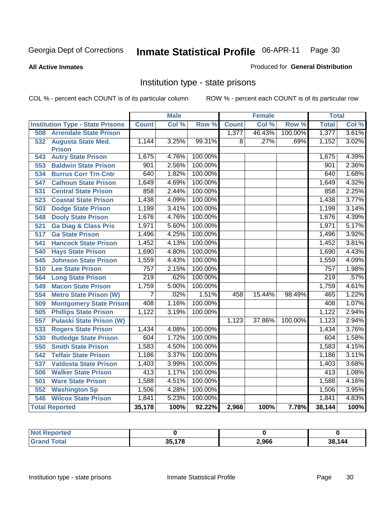#### **All Active Inmates**

#### Produced for **General Distribution**

## Institution type - state prisons

|                                         |              | <b>Male</b> |         |              | <b>Female</b>             |         | <b>Total</b>     |       |
|-----------------------------------------|--------------|-------------|---------|--------------|---------------------------|---------|------------------|-------|
| <b>Institution Type - State Prisons</b> | <b>Count</b> | Col %       | Row %   | <b>Count</b> | $\overline{\text{Col}}$ % | Row %   | <b>Total</b>     | Col % |
| <b>Arrendale State Prison</b><br>508    |              |             |         | 1,377        | 46.43%                    | 100.00% | 1,377            | 3.61% |
| 532<br><b>Augusta State Med.</b>        | 1,144        | 3.25%       | 99.31%  | 8            | .27%                      | .69%    | 1,152            | 3.02% |
| <b>Prison</b>                           |              |             |         |              |                           |         |                  |       |
| <b>Autry State Prison</b><br>543        | 1,675        | 4.76%       | 100.00% |              |                           |         | 1,675            | 4.39% |
| <b>Baldwin State Prison</b><br>553      | 901          | 2.56%       | 100.00% |              |                           |         | 901              | 2.36% |
| <b>Burrus Corr Trn Cntr</b><br>534      | 640          | 1.82%       | 100.00% |              |                           |         | 640              | 1.68% |
| <b>Calhoun State Prison</b><br>547      | 1,649        | 4.69%       | 100.00% |              |                           |         | 1,649            | 4.32% |
| 531<br><b>Central State Prison</b>      | 858          | 2.44%       | 100.00% |              |                           |         | 858              | 2.25% |
| 523<br><b>Coastal State Prison</b>      | 1,438        | 4.09%       | 100.00% |              |                           |         | 1,438            | 3.77% |
| <b>Dodge State Prison</b><br>503        | 1,199        | 3.41%       | 100.00% |              |                           |         | 1,199            | 3.14% |
| 548<br><b>Dooly State Prison</b>        | 1,676        | 4.76%       | 100.00% |              |                           |         | 1,676            | 4.39% |
| <b>Ga Diag &amp; Class Pris</b><br>521  | 1,971        | 5.60%       | 100.00% |              |                           |         | 1,971            | 5.17% |
| <b>Ga State Prison</b><br>517           | 1,496        | 4.25%       | 100.00% |              |                           |         | 1,496            | 3.92% |
| 541<br><b>Hancock State Prison</b>      | 1,452        | 4.13%       | 100.00% |              |                           |         | 1,452            | 3.81% |
| 540<br><b>Hays State Prison</b>         | 1,690        | 4.80%       | 100.00% |              |                           |         | 1,690            | 4.43% |
| <b>Johnson State Prison</b><br>545      | 1,559        | 4.43%       | 100.00% |              |                           |         | 1,559            | 4.09% |
| <b>Lee State Prison</b><br>510          | 757          | 2.15%       | 100.00% |              |                           |         | 757              | 1.98% |
| 564<br><b>Long State Prison</b>         | 219          | .62%        | 100.00% |              |                           |         | $\overline{219}$ | .57%  |
| <b>Macon State Prison</b><br>549        | 1,759        | 5.00%       | 100.00% |              |                           |         | 1,759            | 4.61% |
| 554<br><b>Metro State Prison (W)</b>    | 7            | .02%        | 1.51%   | 458          | 15.44%                    | 98.49%  | 465              | 1.22% |
| <b>Montgomery State Prison</b><br>509   | 408          | 1.16%       | 100.00% |              |                           |         | 408              | 1.07% |
| <b>Phillips State Prison</b><br>505     | 1,122        | 3.19%       | 100.00% |              |                           |         | 1,122            | 2.94% |
| 557<br><b>Pulaski State Prison (W)</b>  |              |             |         | 1,123        | 37.86%                    | 100.00% | 1,123            | 2.94% |
| 533<br><b>Rogers State Prison</b>       | 1,434        | 4.08%       | 100.00% |              |                           |         | 1,434            | 3.76% |
| <b>Rutledge State Prison</b><br>530     | 604          | 1.72%       | 100.00% |              |                           |         | 604              | 1.58% |
| <b>Smith State Prison</b><br>550        | 1,583        | 4.50%       | 100.00% |              |                           |         | 1,583            | 4.15% |
| 542<br><b>Telfair State Prison</b>      | 1,186        | 3.37%       | 100.00% |              |                           |         | 1,186            | 3.11% |
| 537<br><b>Valdosta State Prison</b>     | 1,403        | 3.99%       | 100.00% |              |                           |         | 1,403            | 3.68% |
| <b>Walker State Prison</b><br>506       | 413          | 1.17%       | 100.00% |              |                           |         | $\overline{413}$ | 1.08% |
| <b>Ware State Prison</b><br>501         | 1,588        | 4.51%       | 100.00% |              |                           |         | 1,588            | 4.16% |
| 552<br><b>Washington Sp</b>             | 1,506        | 4.28%       | 100.00% |              |                           |         | 1,506            | 3.95% |
| <b>Wilcox State Prison</b><br>546       | 1,841        | 5.23%       | 100.00% |              |                           |         | 1,841            | 4.83% |
| <b>Total Reported</b>                   | 35,178       | 100%        | 92.22%  | 2,966        | 100%                      | 7.78%   | 38,144           | 100%  |

| rrec  |                    |       |             |
|-------|--------------------|-------|-------------|
| Total | <b>25470</b><br>70 | 2,966 | .144<br>38. |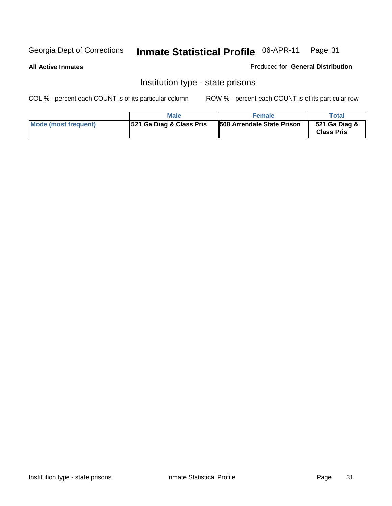#### **All Active Inmates**

Produced for **General Distribution**

## Institution type - state prisons

|                      | <b>Male</b>              | <b>Female</b>                     | Total                              |
|----------------------|--------------------------|-----------------------------------|------------------------------------|
| Mode (most frequent) | 521 Ga Diag & Class Pris | <b>508 Arrendale State Prison</b> | 521 Ga Diag &<br><b>Class Pris</b> |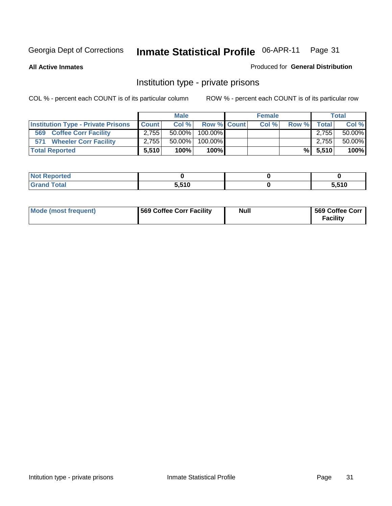**All Active Inmates**

#### Produced for **General Distribution**

## Institution type - private prisons

|                                           |              | <b>Male</b> |                  | <b>Female</b> |       |       | <b>Total</b> |
|-------------------------------------------|--------------|-------------|------------------|---------------|-------|-------|--------------|
| <b>Institution Type - Private Prisons</b> | <b>Count</b> | Col %       | Row % Count      | Col %         | Row % | Total | Col %        |
| <b>Coffee Corr Facility</b><br>569        | 2.7551       | $50.00\%$   | 100.00% <b>I</b> |               |       | 2.755 | 50.00%       |
| <b>Wheeler Corr Facility</b><br>571       | 2.755        | $50.00\%$   | 100.00%          |               |       | 2.755 | 50.00%       |
| <b>Total Reported</b>                     | 5,510        | 100%        | 100%             |               | %Ⅰ    | 5,510 | 100%         |

| τeα |      |       |
|-----|------|-------|
| --  | 5510 | E EAN |

| Mode (most frequent) | 569 Coffee Corr Facility | <b>Null</b> | 569 Coffee Corr<br><b>Facility</b> |
|----------------------|--------------------------|-------------|------------------------------------|
|----------------------|--------------------------|-------------|------------------------------------|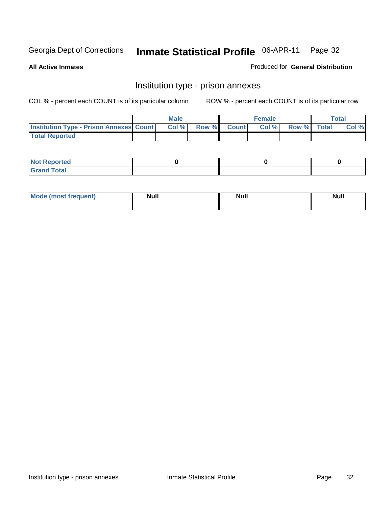**All Active Inmates**

#### Produced for **General Distribution**

## Institution type - prison annexes

|                                                | <b>Male</b> |                    | <b>Female</b> |             | <b>Total</b> |
|------------------------------------------------|-------------|--------------------|---------------|-------------|--------------|
| <b>Institution Type - Prison Annexes Count</b> | Col %       | <b>Row % Count</b> | Col %         | Row % Total | Col %        |
| <b>Total Reported</b>                          |             |                    |               |             |              |

| <b>Not</b><br><b>Reported</b>    |  |  |
|----------------------------------|--|--|
| <b>Total</b><br>Gran<br>$\sim$ . |  |  |

| <b>Mode (most frequent)</b> | <b>Null</b> | <b>Null</b> | <b>Null</b> |
|-----------------------------|-------------|-------------|-------------|
|                             |             |             |             |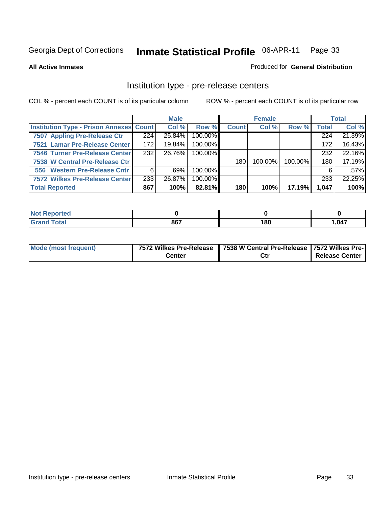#### **All Active Inmates**

#### Produced for **General Distribution**

#### Institution type - pre-release centers

|                                                |                  | <b>Male</b> |         |              | <b>Female</b> |         |              | <b>Total</b> |
|------------------------------------------------|------------------|-------------|---------|--------------|---------------|---------|--------------|--------------|
| <b>Institution Type - Prison Annexes Count</b> |                  | Col %       | Row %   | <b>Count</b> | Col %         | Row %   | <b>Total</b> | Col %        |
| 7507 Appling Pre-Release Ctr                   | 224              | 25.84%      | 100.00% |              |               |         | 224          | 21.39%       |
| 7521 Lamar Pre-Release Center                  | 172              | 19.84%      | 100.00% |              |               |         | 172          | 16.43%       |
| 7546 Turner Pre-Release Center                 | 232 <sub>1</sub> | 26.76%      | 100.00% |              |               |         | 232          | 22.16%       |
| 7538 W Central Pre-Release Ctr                 |                  |             |         | 180          | $100.00\%$    | 100.00% | 180          | 17.19%       |
| 556 Western Pre-Release Cntr                   | 6                | $.69\%$     | 100.00% |              |               |         | 6            | $.57\%$      |
| 7572 Wilkes Pre-Release Center                 | 233              | 26.87%      | 100.00% |              |               |         | 233          | 22.25%       |
| <b>Total Reported</b>                          | 867              | 100%        | 82.81%  | 180          | 100%          | 17.19%  | 1,047        | 100%         |

| ' Nr<br>'tea |     |     |        |
|--------------|-----|-----|--------|
| otal         | 867 | 180 | .047 ، |

| <b>Mode (most frequent)</b> |               | 7572 Wilkes Pre-Release   7538 W Central Pre-Release   7572 Wilkes Pre- |                       |  |  |
|-----------------------------|---------------|-------------------------------------------------------------------------|-----------------------|--|--|
|                             | <b>Center</b> | Ctr                                                                     | <b>Release Center</b> |  |  |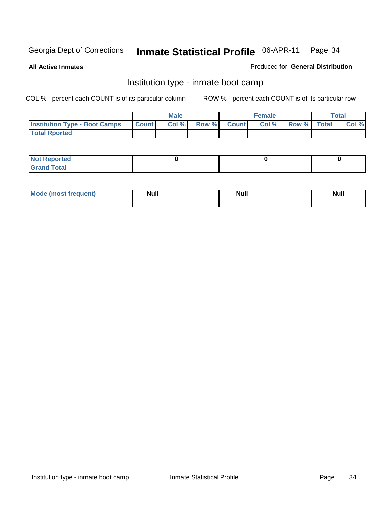**All Active Inmates**

#### Produced for **General Distribution**

## Institution type - inmate boot camp

|                                      |              | Male  |             | <b>Female</b> |             | <b>Total</b> |
|--------------------------------------|--------------|-------|-------------|---------------|-------------|--------------|
| <b>Institution Type - Boot Camps</b> | <b>Count</b> | Col % | Row % Count | Col%          | Row % Total | Col %        |
| <b>Total Rported</b>                 |              |       |             |               |             |              |

| <b>Not Reported</b>          |  |  |
|------------------------------|--|--|
| <b>Total</b><br><b>C HAM</b> |  |  |

| Mode (most frequent) | <b>Null</b> | <b>Null</b> | Null |
|----------------------|-------------|-------------|------|
|                      |             |             |      |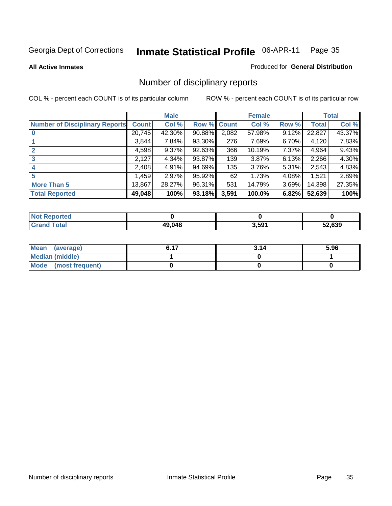**All Active Inmates**

#### Produced for **General Distribution**

## Number of disciplinary reports

|                                       |              | <b>Male</b> |        |              | <b>Female</b> |          |              | <b>Total</b> |
|---------------------------------------|--------------|-------------|--------|--------------|---------------|----------|--------------|--------------|
| <b>Number of Disciplinary Reports</b> | <b>Count</b> | Col %       | Row %  | <b>Count</b> | Col %         | Row %    | <b>Total</b> | Col %        |
|                                       | 20,745       | 42.30%      | 90.88% | 2,082        | 57.98%        | 9.12%    | 22,827       | 43.37%       |
|                                       | 3,844        | 7.84%       | 93.30% | 276          | 7.69%         | 6.70%    | 4,120        | 7.83%        |
| 2                                     | 4,598        | $9.37\%$    | 92.63% | 366          | 10.19%        | 7.37%    | 4,964        | 9.43%        |
| 3                                     | 2,127        | 4.34%       | 93.87% | 139          | 3.87%         | 6.13%    | 2,266        | 4.30%        |
|                                       | 2,408        | 4.91%       | 94.69% | 135          | 3.76%         | $5.31\%$ | 2,543        | 4.83%        |
| 5                                     | .459         | 2.97%       | 95.92% | 62           | 1.73%         | 4.08%    | 1,521        | 2.89%        |
| <b>More Than 5</b>                    | 13,867       | 28.27%      | 96.31% | 531          | 14.79%        | 3.69%    | 14,398       | 27.35%       |
| <b>Total Reported</b>                 | 49,048       | 100%        | 93.18% | 3,591        | 100.0%        | 6.82%    | 52,639       | 100%         |

| N                        |               |       |        |
|--------------------------|---------------|-------|--------|
| $int^{\bullet}$<br>_____ | <b>49 048</b> | 3,591 | 52.639 |

| Mean (average)       | C 47 | 3.14 | 5.96 |
|----------------------|------|------|------|
| Median (middle)      |      |      |      |
| Mode (most frequent) |      |      |      |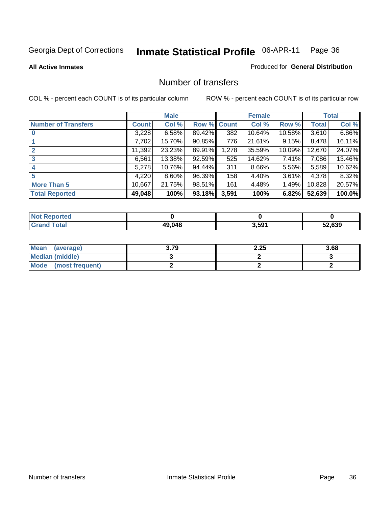**All Active Inmates**

### Produced for **General Distribution**

## Number of transfers

|                            |         | <b>Male</b> |        |              | <b>Female</b> |          |              | <b>Total</b> |
|----------------------------|---------|-------------|--------|--------------|---------------|----------|--------------|--------------|
| <b>Number of Transfers</b> | Count l | Col %       | Row %  | <b>Count</b> | Col %         | Row %    | <b>Total</b> | Col %        |
|                            | 3,228   | 6.58%       | 89.42% | 382          | 10.64%        | 10.58%   | 3,610        | 6.86%        |
|                            | 7,702   | 15.70%      | 90.85% | 776          | 21.61%        | 9.15%    | 8,478        | 16.11%       |
|                            | 11,392  | 23.23%      | 89.91% | 1,278        | 35.59%        | 10.09%   | 12,670       | 24.07%       |
| 3                          | 6,561   | 13.38%      | 92.59% | 525          | 14.62%        | 7.41%    | 7,086        | 13.46%       |
|                            | 5,278   | 10.76%      | 94.44% | 311          | 8.66%         | 5.56%    | 5,589        | 10.62%       |
| 5                          | 4,220   | 8.60%       | 96.39% | 158          | 4.40%         | $3.61\%$ | 4,378        | 8.32%        |
| <b>More Than 5</b>         | 10,667  | 21.75%      | 98.51% | 161          | 4.48%         | 1.49%    | 10,828       | 20.57%       |
| <b>Total Reported</b>      | 49,048  | 100%        | 93.18% | 3,591        | 100%          | 6.82%    | 52,639       | 100.0%       |

| المستقد<br>'N G |        |                   |        |
|-----------------|--------|-------------------|--------|
| '∩tal<br>_____  | 49 048 | 3,59 <sup>4</sup> | 52.639 |

| Mean (average)       | 3.79 | 2.25 | 3.68 |
|----------------------|------|------|------|
| Median (middle)      |      |      |      |
| Mode (most frequent) |      |      |      |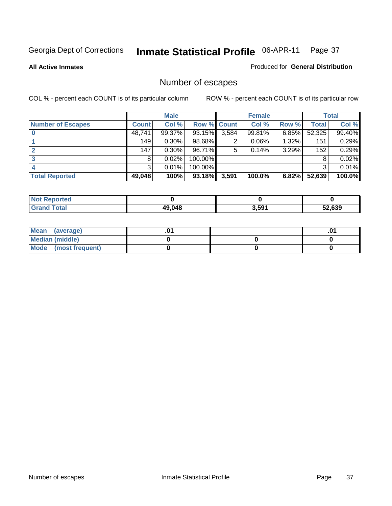**All Active Inmates**

#### Produced for **General Distribution**

# Number of escapes

|                          |              | <b>Male</b> |                    |       | <b>Female</b> |          |        | <b>Total</b> |
|--------------------------|--------------|-------------|--------------------|-------|---------------|----------|--------|--------------|
| <b>Number of Escapes</b> | <b>Count</b> | Col %       | <b>Row % Count</b> |       | Col %         | Row %    | Total  | Col %        |
|                          | 48,741       | 99.37%      | 93.15%             | 3,584 | 99.81%        | $6.85\%$ | 52,325 | 99.40%       |
|                          | 149          | 0.30%       | 98.68%             | ⌒     | 0.06%         | 1.32%    | 151    | 0.29%        |
|                          | 147          | 0.30%       | 96.71%             | 5     | 0.14%         | 3.29%    | 152    | 0.29%        |
|                          | 8            | 0.02%       | 100.00%            |       |               |          |        | 0.02%        |
|                          | 3            | 0.01%       | $100.00\%$         |       |               |          | 3      | 0.01%        |
| <b>Total Reported</b>    | 49,048       | 100%        | 93.18%             | 3,591 | 100.0%        | 6.82%    | 52,639 | 100.0%       |

| <b>Not Reported</b> |        |       |     |
|---------------------|--------|-------|-----|
| <b>Total</b>        | 49.048 | 3,591 | 639 |

| Mean (average)       |  | ו ש. |
|----------------------|--|------|
| Median (middle)      |  |      |
| Mode (most frequent) |  |      |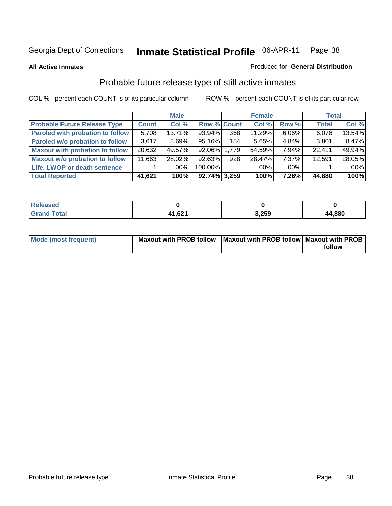**All Active Inmates**

## Produced for **General Distribution**

## Probable future release type of still active inmates

|                                         |              | <b>Male</b> |                    |     | <b>Female</b> |          | <b>Total</b> |        |
|-----------------------------------------|--------------|-------------|--------------------|-----|---------------|----------|--------------|--------|
| <b>Probable Future Release Type</b>     | <b>Count</b> | Col %       | <b>Row % Count</b> |     | Col %         | Row %    | <b>Total</b> | Col %  |
| <b>Paroled with probation to follow</b> | 5,708        | 13.71%      | 93.94%             | 368 | 11.29%        | $6.06\%$ | 6,076        | 13.54% |
| Paroled w/o probation to follow         | 3.617        | $8.69\%$    | 95.16%             | 184 | 5.65%         | $4.84\%$ | 3,801        | 8.47%  |
| <b>Maxout with probation to follow</b>  | 20,632       | 49.57%      | 92.06% 1,779       |     | 54.59%        | 7.94%    | 22.411       | 49.94% |
| <b>Maxout w/o probation to follow</b>   | 11,663       | 28.02%      | 92.63%             | 928 | 28.47%        | 7.37%    | 12,591       | 28.05% |
| Life, LWOP or death sentence            |              | .00%        | 100.00%            |     | $.00\%$       | $.00\%$  |              | .00%   |
| <b>Total Reported</b>                   | 41,621       | 100%        | $92.74\%$ 3,259    |     | 100%          | $7.26\%$ | 44,880       | 100%   |

| <b>Seo</b>   |        |       |        |
|--------------|--------|-------|--------|
| <b>Total</b> | 41,621 | 3,259 | 44,880 |

| Mode (most frequent) | Maxout with PROB follow   Maxout with PROB follow   Maxout with PROB |        |
|----------------------|----------------------------------------------------------------------|--------|
|                      |                                                                      | follow |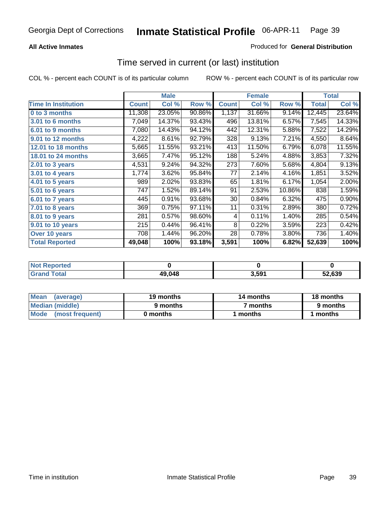## **All Active Inmates**

## Produced for **General Distribution**

## Time served in current (or last) institution

|                              |              | <b>Male</b> |        |              | <b>Female</b> |        | <b>Total</b> |        |
|------------------------------|--------------|-------------|--------|--------------|---------------|--------|--------------|--------|
| <b>Time In Institution</b>   | <b>Count</b> | Col %       | Row %  | <b>Count</b> | Col %         | Row %  | <b>Total</b> | Col %  |
| 0 to 3 months                | 11,308       | 23.05%      | 90.86% | 1,137        | 31.66%        | 9.14%  | 12,445       | 23.64% |
| <b>3.01 to 6 months</b>      | 7,049        | 14.37%      | 93.43% | 496          | 13.81%        | 6.57%  | 7,545        | 14.33% |
| 6.01 to 9 months             | 7,080        | 14.43%      | 94.12% | 442          | 12.31%        | 5.88%  | 7,522        | 14.29% |
| 9.01 to 12 months            | 4,222        | 8.61%       | 92.79% | 328          | 9.13%         | 7.21%  | 4,550        | 8.64%  |
| <b>12.01 to 18 months</b>    | 5,665        | 11.55%      | 93.21% | 413          | 11.50%        | 6.79%  | 6,078        | 11.55% |
| <b>18.01 to 24 months</b>    | 3,665        | 7.47%       | 95.12% | 188          | 5.24%         | 4.88%  | 3,853        | 7.32%  |
| 2.01 to 3 years              | 4,531        | 9.24%       | 94.32% | 273          | 7.60%         | 5.68%  | 4,804        | 9.13%  |
| 3.01 to 4 years              | 1,774        | 3.62%       | 95.84% | 77           | 2.14%         | 4.16%  | 1,851        | 3.52%  |
| $\overline{4.01}$ to 5 years | 989          | 2.02%       | 93.83% | 65           | 1.81%         | 6.17%  | 1,054        | 2.00%  |
| 5.01 to 6 years              | 747          | 1.52%       | 89.14% | 91           | 2.53%         | 10.86% | 838          | 1.59%  |
| 6.01 to 7 years              | 445          | 0.91%       | 93.68% | 30           | 0.84%         | 6.32%  | 475          | 0.90%  |
| 7.01 to 8 years              | 369          | 0.75%       | 97.11% | 11           | 0.31%         | 2.89%  | 380          | 0.72%  |
| 8.01 to 9 years              | 281          | 0.57%       | 98.60% | 4            | 0.11%         | 1.40%  | 285          | 0.54%  |
| 9.01 to 10 years             | 215          | 0.44%       | 96.41% | 8            | 0.22%         | 3.59%  | 223          | 0.42%  |
| Over 10 years                | 708          | 1.44%       | 96.20% | 28           | 0.78%         | 3.80%  | 736          | 1.40%  |
| <b>Total Reported</b>        | 49,048       | 100%        | 93.18% | 3,591        | 100%          | 6.82%  | 52,639       | 100%   |

| orted<br>N |        |       |        |
|------------|--------|-------|--------|
| `ota⊾<br>. | 49.048 | . 504 | 52.639 |

| <b>Mean</b><br>(average) | 19 months | 14 months | 18 months |
|--------------------------|-----------|-----------|-----------|
| Median (middle)          | 9 months  | 7 months  | 9 months  |
| Mode<br>(most frequent)  | 0 months  | months    | months    |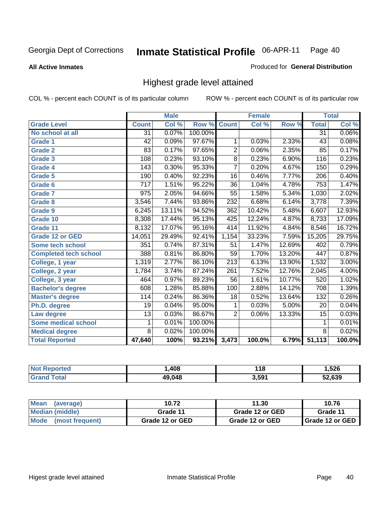**All Active Inmates**

### Produced for **General Distribution**

## Highest grade level attained

|                              |                  | <b>Male</b> |         |                  | <b>Female</b> |        |                 | <b>Total</b> |
|------------------------------|------------------|-------------|---------|------------------|---------------|--------|-----------------|--------------|
| <b>Grade Level</b>           | <b>Count</b>     | Col %       | Row %   | <b>Count</b>     | Col %         | Row %  | <b>Total</b>    | Col %        |
| No school at all             | $\overline{31}$  | 0.07%       | 100.00% |                  |               |        | $\overline{31}$ | 0.06%        |
| Grade 1                      | $\overline{42}$  | 0.09%       | 97.67%  | 1                | 0.03%         | 2.33%  | $\overline{43}$ | 0.08%        |
| <b>Grade 2</b>               | $\overline{83}$  | 0.17%       | 97.65%  | $\overline{2}$   | 0.06%         | 2.35%  | 85              | 0.17%        |
| <b>Grade 3</b>               | 108              | 0.23%       | 93.10%  | $\overline{8}$   | 0.23%         | 6.90%  | 116             | 0.23%        |
| Grade 4                      | $\overline{143}$ | 0.30%       | 95.33%  | 7                | 0.20%         | 4.67%  | 150             | 0.29%        |
| Grade 5                      | 190              | 0.40%       | 92.23%  | 16               | 0.46%         | 7.77%  | 206             | 0.40%        |
| Grade 6                      | 717              | 1.51%       | 95.22%  | $\overline{36}$  | 1.04%         | 4.78%  | 753             | 1.47%        |
| <b>Grade 7</b>               | 975              | 2.05%       | 94.66%  | 55               | 1.58%         | 5.34%  | 1,030           | 2.02%        |
| <b>Grade 8</b>               | 3,546            | 7.44%       | 93.86%  | 232              | 6.68%         | 6.14%  | 3,778           | 7.39%        |
| Grade 9                      | 6,245            | 13.11%      | 94.52%  | 362              | 10.42%        | 5.48%  | 6,607           | 12.93%       |
| Grade 10                     | 8,308            | 17.44%      | 95.13%  | 425              | 12.24%        | 4.87%  | 8,733           | 17.09%       |
| Grade 11                     | 8,132            | 17.07%      | 95.16%  | 414              | 11.92%        | 4.84%  | 8,546           | 16.72%       |
| <b>Grade 12 or GED</b>       | 14,051           | 29.49%      | 92.41%  | 1,154            | 33.23%        | 7.59%  | 15,205          | 29.75%       |
| <b>Some tech school</b>      | 351              | 0.74%       | 87.31%  | 51               | 1.47%         | 12.69% | 402             | 0.79%        |
| <b>Completed tech school</b> | 388              | 0.81%       | 86.80%  | $\overline{59}$  | 1.70%         | 13.20% | 447             | 0.87%        |
| College, 1 year              | 1,319            | 2.77%       | 86.10%  | 213              | 6.13%         | 13.90% | 1,532           | 3.00%        |
| College, 2 year              | 1,784            | 3.74%       | 87.24%  | $\overline{261}$ | 7.52%         | 12.76% | 2,045           | 4.00%        |
| College, 3 year              | 464              | 0.97%       | 89.23%  | $\overline{56}$  | 1.61%         | 10.77% | 520             | 1.02%        |
| <b>Bachelor's degree</b>     | 608              | 1.28%       | 85.88%  | 100              | 2.88%         | 14.12% | 708             | 1.39%        |
| <b>Master's degree</b>       | 114              | 0.24%       | 86.36%  | 18               | 0.52%         | 13.64% | 132             | 0.26%        |
| Ph.D. degree                 | 19               | 0.04%       | 95.00%  | 1                | 0.03%         | 5.00%  | 20              | 0.04%        |
| Law degree                   | $\overline{13}$  | 0.03%       | 86.67%  | $\overline{2}$   | 0.06%         | 13.33% | $\overline{15}$ | 0.03%        |
| <b>Some medical school</b>   | 1                | 0.01%       | 100.00% |                  |               |        | 1               | 0.01%        |
| <b>Medical degree</b>        | 8                | 0.02%       | 100.00% |                  |               |        | 8               | 0.02%        |
| <b>Total Reported</b>        | 47,640           | 100%        | 93.21%  | 3,473            | 100.0%        | 6.79%  | 51,113          | 100.0%       |

| .408   | 440<br>. I V      | ,526   |
|--------|-------------------|--------|
| 49.048 | 3.59 <sup>4</sup> | 52.639 |

| <b>Mean</b><br>(average)       | 10.72           | 11.30           | 10.76             |
|--------------------------------|-----------------|-----------------|-------------------|
| Median (middle)                | Grade 11        | Grade 12 or GED | Grade 11          |
| <b>Mode</b><br>(most frequent) | Grade 12 or GED | Grade 12 or GED | I Grade 12 or GED |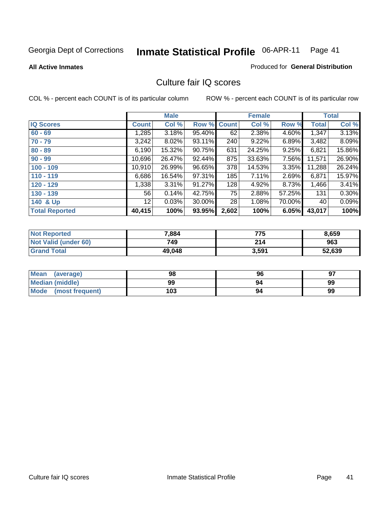#### **All Active Inmates**

## Produced for **General Distribution**

## Culture fair IQ scores

|                       |              | <b>Male</b> |        |              | <b>Female</b> |          |              | <b>Total</b> |
|-----------------------|--------------|-------------|--------|--------------|---------------|----------|--------------|--------------|
| <b>IQ Scores</b>      | <b>Count</b> | Col %       | Row %  | <b>Count</b> | Col %         | Row %    | <b>Total</b> | Col %        |
| $60 - 69$             | 1,285        | $3.18\%$    | 95.40% | 62           | 2.38%         | 4.60%    | 1,347        | 3.13%        |
| $70 - 79$             | 3,242        | $8.02\%$    | 93.11% | 240          | 9.22%         | 6.89%    | 3,482        | 8.09%        |
| $80 - 89$             | 6,190        | 15.32%      | 90.75% | 631          | 24.25%        | 9.25%    | 6,821        | 15.86%       |
| $90 - 99$             | 10,696       | 26.47%      | 92.44% | 875          | 33.63%        | 7.56%    | 11,571       | 26.90%       |
| $100 - 109$           | 10,910       | 26.99%      | 96.65% | 378          | 14.53%        | $3.35\%$ | 11,288       | 26.24%       |
| $110 - 119$           | 6,686        | 16.54%      | 97.31% | 185          | 7.11%         | 2.69%    | 6,871        | 15.97%       |
| $120 - 129$           | 1,338        | 3.31%       | 91.27% | 128          | 4.92%         | 8.73%    | 1,466        | 3.41%        |
| $130 - 139$           | 56           | 0.14%       | 42.75% | 75           | 2.88%         | 57.25%   | 131          | $0.30\%$     |
| 140 & Up              | 12           | 0.03%       | 30.00% | 28           | 1.08%         | 70.00%   | 40           | 0.09%        |
| <b>Total Reported</b> | 40,415       | 100%        | 93.95% | 2,602        | 100%          | 6.05%    | 43,017       | 100%         |

| <b>Not Reported</b>  | 7,884  | 775   | 8,659  |
|----------------------|--------|-------|--------|
| Not Valid (under 60) | 749    | 214   | 963    |
| <b>Grand Total</b>   | 49,048 | 3,591 | 52,639 |

| <b>Mean</b><br>(average) | 98  | 96 | 97 |
|--------------------------|-----|----|----|
| Median (middle)          | 99  | 94 | 99 |
| Mode (most frequent)     | 103 | 94 | 99 |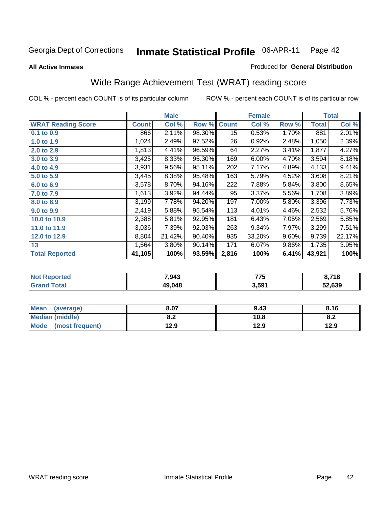#### **All Active Inmates**

#### Produced for **General Distribution**

# Wide Range Achievement Test (WRAT) reading score

|                           |              | <b>Male</b> |        |                 | <b>Female</b> |       |              | <b>Total</b> |
|---------------------------|--------------|-------------|--------|-----------------|---------------|-------|--------------|--------------|
| <b>WRAT Reading Score</b> | <b>Count</b> | Col %       | Row %  | <b>Count</b>    | Col %         | Row % | <b>Total</b> | Col %        |
| 0.1 to 0.9                | 866          | 2.11%       | 98.30% | $\overline{15}$ | 0.53%         | 1.70% | 881          | 2.01%        |
| 1.0 to 1.9                | 1,024        | 2.49%       | 97.52% | 26              | 0.92%         | 2.48% | 1,050        | 2.39%        |
| 2.0 to 2.9                | 1,813        | 4.41%       | 96.59% | 64              | 2.27%         | 3.41% | 1,877        | 4.27%        |
| 3.0 to 3.9                | 3,425        | 8.33%       | 95.30% | 169             | 6.00%         | 4.70% | 3,594        | 8.18%        |
| 4.0 to 4.9                | 3,931        | 9.56%       | 95.11% | 202             | 7.17%         | 4.89% | 4,133        | 9.41%        |
| 5.0 to 5.9                | 3,445        | 8.38%       | 95.48% | 163             | 5.79%         | 4.52% | 3,608        | 8.21%        |
| 6.0 to 6.9                | 3,578        | 8.70%       | 94.16% | 222             | 7.88%         | 5.84% | 3,800        | 8.65%        |
| 7.0 to 7.9                | 1,613        | 3.92%       | 94.44% | 95              | 3.37%         | 5.56% | 1,708        | 3.89%        |
| 8.0 to 8.9                | 3,199        | 7.78%       | 94.20% | 197             | 7.00%         | 5.80% | 3,396        | 7.73%        |
| 9.0 to 9.9                | 2,419        | 5.88%       | 95.54% | 113             | 4.01%         | 4.46% | 2,532        | 5.76%        |
| 10.0 to 10.9              | 2,388        | 5.81%       | 92.95% | 181             | 6.43%         | 7.05% | 2,569        | 5.85%        |
| 11.0 to 11.9              | 3,036        | 7.39%       | 92.03% | 263             | 9.34%         | 7.97% | 3,299        | 7.51%        |
| 12.0 to 12.9              | 8,804        | 21.42%      | 90.40% | 935             | 33.20%        | 9.60% | 9,739        | 22.17%       |
| 13                        | 1,564        | 3.80%       | 90.14% | 171             | 6.07%         | 9.86% | 1,735        | 3.95%        |
| <b>Total Reported</b>     | 41,105       | 100%        | 93.59% | 2,816           | 100%          | 6.41% | 43,921       | 100%         |

| orted<br>N | 7,943  | ---<br>,, ,       | 3,718  |
|------------|--------|-------------------|--------|
| <b>ota</b> | 49.048 | 3,59 <sup>4</sup> | 52.639 |

| <b>Mean</b><br>(average) | 8.07       | 9.43 | 8.16 |
|--------------------------|------------|------|------|
| <b>Median (middle)</b>   | י ה<br>0.Z | 10.8 | o.z  |
| Mode<br>(most frequent)  | 12.9       | 12.9 | 12.9 |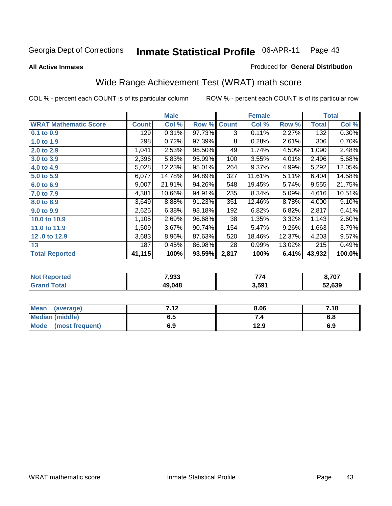#### **All Active Inmates**

# Produced for **General Distribution**

# Wide Range Achievement Test (WRAT) math score

|                              |              | <b>Male</b> |        |              | <b>Female</b> |        |              | <b>Total</b> |
|------------------------------|--------------|-------------|--------|--------------|---------------|--------|--------------|--------------|
| <b>WRAT Mathematic Score</b> | <b>Count</b> | Col %       | Row %  | <b>Count</b> | Col %         | Row %  | <b>Total</b> | Col %        |
| $0.1$ to $0.9$               | 129          | $0.31\%$    | 97.73% | 3            | 0.11%         | 2.27%  | 132          | 0.30%        |
| 1.0 to 1.9                   | 298          | 0.72%       | 97.39% | 8            | 0.28%         | 2.61%  | 306          | 0.70%        |
| 2.0 to 2.9                   | 1,041        | 2.53%       | 95.50% | 49           | 1.74%         | 4.50%  | 1,090        | 2.48%        |
| 3.0 to 3.9                   | 2,396        | 5.83%       | 95.99% | 100          | 3.55%         | 4.01%  | 2,496        | 5.68%        |
| 4.0 to 4.9                   | 5,028        | 12.23%      | 95.01% | 264          | 9.37%         | 4.99%  | 5,292        | 12.05%       |
| 5.0 to 5.9                   | 6,077        | 14.78%      | 94.89% | 327          | 11.61%        | 5.11%  | 6,404        | 14.58%       |
| 6.0 to 6.9                   | 9,007        | 21.91%      | 94.26% | 548          | 19.45%        | 5.74%  | 9,555        | 21.75%       |
| 7.0 to 7.9                   | 4,381        | 10.66%      | 94.91% | 235          | 8.34%         | 5.09%  | 4,616        | 10.51%       |
| 8.0 to 8.9                   | 3,649        | 8.88%       | 91.23% | 351          | 12.46%        | 8.78%  | 4,000        | 9.10%        |
| 9.0 to 9.9                   | 2,625        | 6.38%       | 93.18% | 192          | 6.82%         | 6.82%  | 2,817        | 6.41%        |
| 10.0 to 10.9                 | 1,105        | 2.69%       | 96.68% | 38           | 1.35%         | 3.32%  | 1,143        | 2.60%        |
| 11.0 to 11.9                 | 1,509        | 3.67%       | 90.74% | 154          | 5.47%         | 9.26%  | 1,663        | 3.79%        |
| 12.0 to 12.9                 | 3,683        | 8.96%       | 87.63% | 520          | 18.46%        | 12.37% | 4,203        | 9.57%        |
| 13                           | 187          | 0.45%       | 86.98% | 28           | 0.99%         | 13.02% | 215          | 0.49%        |
| <b>Total Reported</b>        | 41,115       | 100%        | 93.59% | 2,817        | 100%          | 6.41%  | 43,932       | 100.0%       |
|                              |              |             |        |              |               |        |              |              |

| <b>Not Reported</b> | 7,933  | 771   | 8,707  |
|---------------------|--------|-------|--------|
| <b>Grand Total</b>  | 49,048 | 3,591 | 52,639 |

| Mean (average)       | 7.12 | 8.06 | 7.18 |
|----------------------|------|------|------|
| Median (middle)      | 6.5  |      | 6.8  |
| Mode (most frequent) | 6.9  | 12.9 | 6.9  |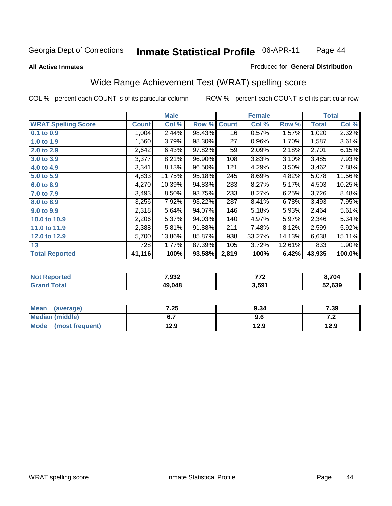#### **All Active Inmates**

#### Produced for **General Distribution**

## Wide Range Achievement Test (WRAT) spelling score

|                            |              | <b>Male</b> |        |              | <b>Female</b> |        |              | <b>Total</b> |
|----------------------------|--------------|-------------|--------|--------------|---------------|--------|--------------|--------------|
| <b>WRAT Spelling Score</b> | <b>Count</b> | Col %       | Row %  | <b>Count</b> | Col %         | Row %  | <b>Total</b> | Col %        |
| 0.1 to 0.9                 | 1,004        | 2.44%       | 98.43% | 16           | 0.57%         | 1.57%  | 1,020        | 2.32%        |
| 1.0 to 1.9                 | 1,560        | 3.79%       | 98.30% | 27           | 0.96%         | 1.70%  | 1,587        | 3.61%        |
| 2.0 to 2.9                 | 2,642        | 6.43%       | 97.82% | 59           | 2.09%         | 2.18%  | 2,701        | 6.15%        |
| 3.0 to 3.9                 | 3,377        | 8.21%       | 96.90% | 108          | 3.83%         | 3.10%  | 3,485        | 7.93%        |
| 4.0 to 4.9                 | 3,341        | 8.13%       | 96.50% | 121          | 4.29%         | 3.50%  | 3,462        | 7.88%        |
| 5.0 to 5.9                 | 4,833        | 11.75%      | 95.18% | 245          | 8.69%         | 4.82%  | 5,078        | 11.56%       |
| 6.0 to 6.9                 | 4,270        | 10.39%      | 94.83% | 233          | 8.27%         | 5.17%  | 4,503        | 10.25%       |
| 7.0 to 7.9                 | 3,493        | 8.50%       | 93.75% | 233          | 8.27%         | 6.25%  | 3,726        | 8.48%        |
| 8.0 to 8.9                 | 3,256        | 7.92%       | 93.22% | 237          | 8.41%         | 6.78%  | 3,493        | 7.95%        |
| 9.0 to 9.9                 | 2,318        | 5.64%       | 94.07% | 146          | 5.18%         | 5.93%  | 2,464        | 5.61%        |
| 10.0 to 10.9               | 2,206        | 5.37%       | 94.03% | 140          | 4.97%         | 5.97%  | 2,346        | 5.34%        |
| 11.0 to 11.9               | 2,388        | 5.81%       | 91.88% | 211          | 7.48%         | 8.12%  | 2,599        | 5.92%        |
| 12.0 to 12.9               | 5,700        | 13.86%      | 85.87% | 938          | 33.27%        | 14.13% | 6,638        | 15.11%       |
| 13                         | 728          | 1.77%       | 87.39% | 105          | 3.72%         | 12.61% | 833          | 1.90%        |
| <b>Total Reported</b>      | 41,116       | 100%        | 93.58% | 2,819        | 100%          | 6.42%  | 43,935       | 100.0%       |

| n er | 7,932  | ---<br>. | },704  |
|------|--------|----------|--------|
|      | 49.048 | 3,591    | 52.639 |

| <b>Mean</b><br>(average) | 7.25 | 9.34 | 7.39  |
|--------------------------|------|------|-------|
| <b>Median (middle)</b>   | ν.,  | ס.פ  | . . Z |
| Mode<br>(most frequent)  | 12.9 | 12.9 | 12.9  |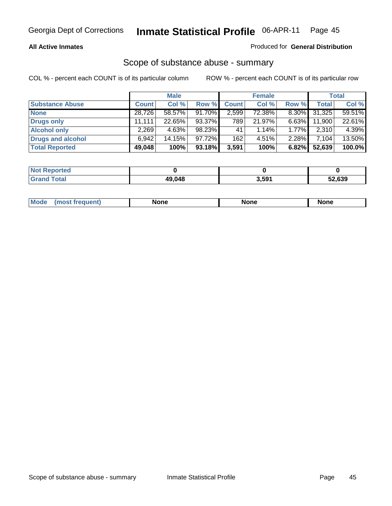### **All Active Inmates**

## Produced for **General Distribution**

## Scope of substance abuse - summary

|                        |              | <b>Male</b> |        |              | <b>Female</b> |          |              | <b>Total</b> |
|------------------------|--------------|-------------|--------|--------------|---------------|----------|--------------|--------------|
| <b>Substance Abuse</b> | <b>Count</b> | Col %       | Row %  | <b>Count</b> | Col %         | Row %    | <b>Total</b> | Col %        |
| <b>None</b>            | 28,726       | 58.57%      | 91.70% | 2,599        | 72.38%        | $8.30\%$ | 31,325       | 59.51%       |
| Drugs only             | 11.111       | 22.65%      | 93.37% | 789          | 21.97%        | $6.63\%$ | 11,900       | 22.61%       |
| <b>Alcohol only</b>    | 2,269        | 4.63%       | 98.23% | 41           | $1.14\%$      | 1.77%    | 2,310        | 4.39%        |
| Drugs and alcohol      | 6.942        | 14.15%      | 97.72% | 162          | $4.51\%$      | 2.28%    | 7.104        | 13.50%       |
| <b>Total Reported</b>  | 49,048       | 100%        | 93.18% | 3,591        | 100%          | 6.82%    | 52,639       | 100.0%       |

| <b>Not Reported</b>          |        |       |        |
|------------------------------|--------|-------|--------|
| <b>Total</b><br><b>Grand</b> | 49.048 | 3,591 | 52.639 |

|  | M<br>auent | None | nnr | None |
|--|------------|------|-----|------|
|--|------------|------|-----|------|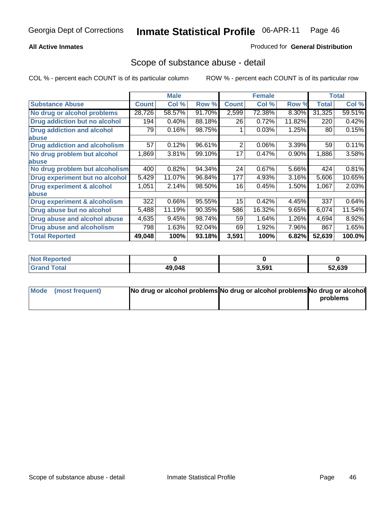## **All Active Inmates**

## Produced for **General Distribution**

## Scope of substance abuse - detail

|                                      |              | <b>Male</b> |        |              | <b>Female</b> |        |              | Total  |
|--------------------------------------|--------------|-------------|--------|--------------|---------------|--------|--------------|--------|
| <b>Substance Abuse</b>               | <b>Count</b> | Col %       | Row %  | <b>Count</b> | Col %         | Row %  | <b>Total</b> | Col %  |
| No drug or alcohol problems          | 28,726       | 58.57%      | 91.70% | 2,599        | 72.38%        | 8.30%  | 31,325       | 59.51% |
| Drug addiction but no alcohol        | 194          | 0.40%       | 88.18% | 26           | 0.72%         | 11.82% | 220          | 0.42%  |
| <b>Drug addiction and alcohol</b>    | 79           | 0.16%       | 98.75% |              | 0.03%         | 1.25%  | 80           | 0.15%  |
| <b>labuse</b>                        |              |             |        |              |               |        |              |        |
| <b>Drug addiction and alcoholism</b> | 57           | 0.12%       | 96.61% | 2            | 0.06%         | 3.39%  | 59           | 0.11%  |
| No drug problem but alcohol          | 1,869        | 3.81%       | 99.10% | 17           | 0.47%         | 0.90%  | 1,886        | 3.58%  |
| <b>labuse</b>                        |              |             |        |              |               |        |              |        |
| No drug problem but alcoholism       | 400          | 0.82%       | 94.34% | 24           | 0.67%         | 5.66%  | 424          | 0.81%  |
| Drug experiment but no alcohol       | 5,429        | 11.07%      | 96.84% | 177          | 4.93%         | 3.16%  | 5,606        | 10.65% |
| <b>Drug experiment &amp; alcohol</b> | 1,051        | 2.14%       | 98.50% | 16           | 0.45%         | 1.50%  | 1,067        | 2.03%  |
| <b>labuse</b>                        |              |             |        |              |               |        |              |        |
| Drug experiment & alcoholism         | 322          | 0.66%       | 95.55% | 15           | 0.42%         | 4.45%  | 337          | 0.64%  |
| Drug abuse but no alcohol            | 5,488        | 11.19%      | 90.35% | 586          | 16.32%        | 9.65%  | 6,074        | 11.54% |
| Drug abuse and alcohol abuse         | 4,635        | 9.45%       | 98.74% | 59           | 1.64%         | 1.26%  | 4,694        | 8.92%  |
| <b>Drug abuse and alcoholism</b>     | 798          | 1.63%       | 92.04% | 69           | 1.92%         | 7.96%  | 867          | 1.65%  |
| <b>Total Reported</b>                | 49,048       | 100%        | 93.18% | 3,591        | 100%          | 6.82%  | 52,639       | 100.0% |

| <b>Not Reported</b> |        |       |        |
|---------------------|--------|-------|--------|
| `otal               | 49.048 | 3,591 | 52.639 |

| Mode (most frequent) | No drug or alcohol problems No drug or alcohol problems No drug or alcohol |          |
|----------------------|----------------------------------------------------------------------------|----------|
|                      |                                                                            | problems |
|                      |                                                                            |          |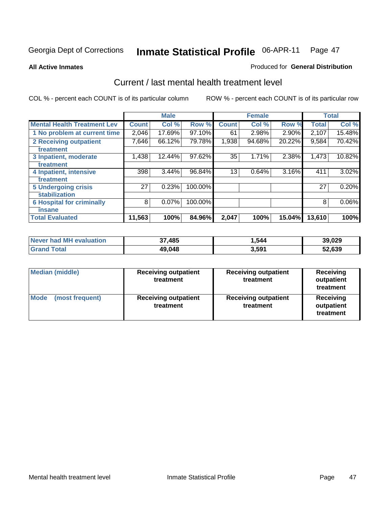#### **All Active Inmates**

#### Produced for **General Distribution**

## Current / last mental health treatment level

|                                    |              | <b>Male</b> |         |              | <b>Female</b> |          |              | <b>Total</b> |
|------------------------------------|--------------|-------------|---------|--------------|---------------|----------|--------------|--------------|
| <b>Mental Health Treatment Lev</b> | <b>Count</b> | Col%        | Row %   | <b>Count</b> | Col%          | Row %    | <b>Total</b> | Col %        |
| 1 No problem at current time       | 2,046        | 17.69%      | 97.10%  | 61           | 2.98%         | $2.90\%$ | 2,107        | 15.48%       |
| <b>2 Receiving outpatient</b>      | 7,646        | 66.12%      | 79.78%  | 1,938        | 94.68%        | 20.22%   | 9,584        | 70.42%       |
| treatment                          |              |             |         |              |               |          |              |              |
| 3 Inpatient, moderate              | 1,438        | 12.44%      | 97.62%  | 35           | 1.71%         | 2.38%    | 1,473        | 10.82%       |
| treatment                          |              |             |         |              |               |          |              |              |
| 4 Inpatient, intensive             | 398          | 3.44%       | 96.84%  | 13           | 0.64%         | 3.16%    | 411          | 3.02%        |
| treatment                          |              |             |         |              |               |          |              |              |
| <b>5 Undergoing crisis</b>         | 27           | 0.23%       | 100.00% |              |               |          | 27           | 0.20%        |
| stabilization                      |              |             |         |              |               |          |              |              |
| <b>6 Hospital for criminally</b>   | 8            | 0.07%       | 100.00% |              |               |          | 8            | $0.06\%$     |
| insane                             |              |             |         |              |               |          |              |              |
| <b>Total Evaluated</b>             | 11,563       | 100%        | 84.96%  | 2,047        | 100%          | 15.04%   | 13,610       | 100%         |

| Never had MH evaluation | 37,485 | 1,544 | 39,029 |
|-------------------------|--------|-------|--------|
| <b>Grand Total</b>      | 49,048 | 3,591 | 52,639 |

| <b>Median (middle)</b>         | <b>Receiving outpatient</b><br>treatment | <b>Receiving outpatient</b><br>treatment | <b>Receiving</b><br>outpatient<br>treatment |  |
|--------------------------------|------------------------------------------|------------------------------------------|---------------------------------------------|--|
| <b>Mode</b><br>(most frequent) | <b>Receiving outpatient</b><br>treatment | <b>Receiving outpatient</b><br>treatment | <b>Receiving</b><br>outpatient<br>treatment |  |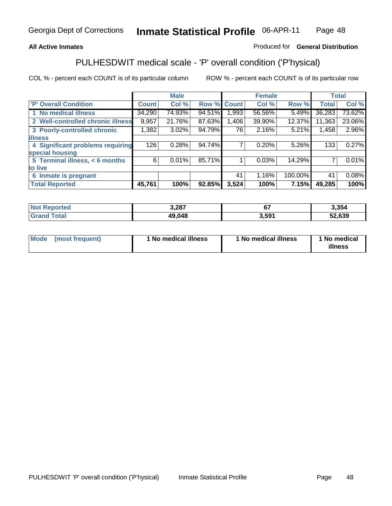## **All Active Inmates**

## Produced for **General Distribution**

## PULHESDWIT medical scale - 'P' overall condition ('P'hysical)

|                                   |              | <b>Male</b> |        |              | <b>Female</b> |         |              | <b>Total</b> |
|-----------------------------------|--------------|-------------|--------|--------------|---------------|---------|--------------|--------------|
| 'P' Overall Condition             | <b>Count</b> | Col %       | Row %  | <b>Count</b> | Col %         | Row %   | <b>Total</b> | Col %        |
| 1 No medical illness              | 34,290       | 74.93%      | 94.51% | 1,993        | 56.56%        | 5.49%   | 36,283       | 73.62%       |
| 2 Well-controlled chronic illness | 9,957        | 21.76%      | 87.63% | 1,406        | 39.90%        | 12.37%  | 11,363       | 23.06%       |
| 3 Poorly-controlled chronic       | 1,382        | 3.02%       | 94.79% | 76           | 2.16%         | 5.21%   | 1,458        | 2.96%        |
| <b>illness</b>                    |              |             |        |              |               |         |              |              |
| 4 Significant problems requiring  | 126          | 0.28%       | 94.74% |              | 0.20%         | 5.26%   | 133          | 0.27%        |
| special housing                   |              |             |        |              |               |         |              |              |
| 5 Terminal illness, < 6 months    | 6            | 0.01%       | 85.71% |              | 0.03%         | 14.29%  |              | 0.01%        |
| to live                           |              |             |        |              |               |         |              |              |
| Inmate is pregnant<br>6           |              |             |        | 41           | 1.16%         | 100.00% | 41           | 0.08%        |
| <b>Total Reported</b>             | 45,761       | 100%        | 92.85% | 3,524        | 100%          | 7.15%   | 49,285       | 100%         |

| <b>Not Reported</b> | 3,287  |       | 3,354  |
|---------------------|--------|-------|--------|
| <b>Grand Total</b>  | 49,048 | 3.591 | 52,639 |

| Mode (most frequent) | 1 No medical illness | 1 No medical illness | 1 No medical |
|----------------------|----------------------|----------------------|--------------|
|                      |                      |                      | illness      |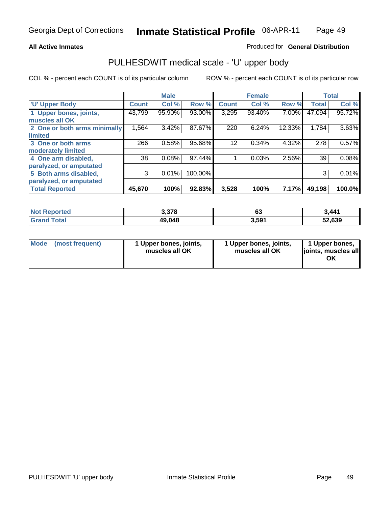## **All Active Inmates**

### Produced for **General Distribution**

## PULHESDWIT medical scale - 'U' upper body

|                              |              | <b>Male</b> |         |              | <b>Female</b> |        |              | <b>Total</b> |
|------------------------------|--------------|-------------|---------|--------------|---------------|--------|--------------|--------------|
| <b>U' Upper Body</b>         | <b>Count</b> | Col %       | Row %   | <b>Count</b> | Col %         | Row %  | <b>Total</b> | Col %        |
| 1 Upper bones, joints,       | 43,799       | 95.90%      | 93.00%  | 3,295        | 93.40%        | 7.00%  | 47,094       | 95.72%       |
| muscles all OK               |              |             |         |              |               |        |              |              |
| 2 One or both arms minimally | 1,564        | 3.42%       | 87.67%  | 220          | 6.24%         | 12.33% | 1,784        | 3.63%        |
| limited                      |              |             |         |              |               |        |              |              |
| 3 One or both arms           | 266          | 0.58%       | 95.68%  | 12           | 0.34%         | 4.32%  | 278          | 0.57%        |
| moderately limited           |              |             |         |              |               |        |              |              |
| 4 One arm disabled,          | 38           | 0.08%       | 97.44%  |              | 0.03%         | 2.56%  | 39           | 0.08%        |
| paralyzed, or amputated      |              |             |         |              |               |        |              |              |
| 5 Both arms disabled,        | 3            | 0.01%       | 100.00% |              |               |        | 3            | 0.01%        |
| paralyzed, or amputated      |              |             |         |              |               |        |              |              |
| <b>Total Reported</b>        | 45,670       | 100%        | 92.83%  | 3,528        | 100%          | 7.17%  | 49,198       | 100.0%       |

| N <sub>of</sub><br><b>orted</b><br>Renn | 3,378  | $\sim$<br>სა | $3\,441$ |
|-----------------------------------------|--------|--------------|----------|
| <b>Total</b>                            | 49,048 | 3,591        | 52.639   |

| <b>Mode</b> | (most frequent) | 1 Upper bones, joints,<br>muscles all OK | 1 Upper bones, joints,<br>muscles all OK | 1 Upper bones,<br>joints, muscles all<br>ΟK |
|-------------|-----------------|------------------------------------------|------------------------------------------|---------------------------------------------|
|-------------|-----------------|------------------------------------------|------------------------------------------|---------------------------------------------|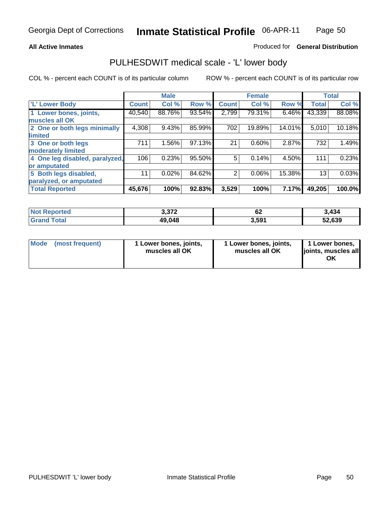## **All Active Inmates**

## Produced for **General Distribution**

## PULHESDWIT medical scale - 'L' lower body

|                                |              | <b>Male</b> |        |                | <b>Female</b> |        |              | <b>Total</b> |
|--------------------------------|--------------|-------------|--------|----------------|---------------|--------|--------------|--------------|
| <b>L' Lower Body</b>           | <b>Count</b> | Col %       | Row %  | <b>Count</b>   | Col %         | Row %  | <b>Total</b> | Col %        |
| 1 Lower bones, joints,         | 40,540       | 88.76%      | 93.54% | 2,799          | 79.31%        | 6.46%  | 43,339       | 88.08%       |
| muscles all OK                 |              |             |        |                |               |        |              |              |
| 2 One or both legs minimally   | 4,308        | 9.43%       | 85.99% | 702            | 19.89%        | 14.01% | 5,010        | 10.18%       |
| limited                        |              |             |        |                |               |        |              |              |
| 3 One or both legs             | 711          | 1.56%       | 97.13% | 21             | 0.60%         | 2.87%  | 732          | 1.49%        |
| moderately limited             |              |             |        |                |               |        |              |              |
| 4 One leg disabled, paralyzed, | 106          | 0.23%       | 95.50% | 5              | 0.14%         | 4.50%  | 111          | 0.23%        |
| or amputated                   |              |             |        |                |               |        |              |              |
| 5 Both legs disabled,          | 11           | 0.02%       | 84.62% | $\overline{2}$ | 0.06%         | 15.38% | 13           | 0.03%        |
| paralyzed, or amputated        |              |             |        |                |               |        |              |              |
| <b>Total Reported</b>          | 45,676       | 100%        | 92.83% | 3,529          | 100%          | 7.17%  | 49,205       | 100.0%       |

| <b>Not Reported</b> | 372<br>⊾ اد.ب | $\sim$<br>σ∠ | 3,434  |
|---------------------|---------------|--------------|--------|
| ™otal<br>' Grand    | 49,048        | 3,591        | 52,639 |

| Mode | (most frequent) | 1 Lower bones, joints,<br>muscles all OK | 1 Lower bones, joints,<br>muscles all OK | 1 Lower bones,<br>joints, muscles all<br>ΟK |
|------|-----------------|------------------------------------------|------------------------------------------|---------------------------------------------|
|------|-----------------|------------------------------------------|------------------------------------------|---------------------------------------------|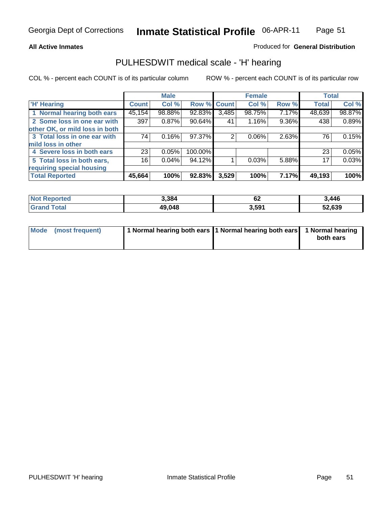#### **All Active Inmates**

## Produced for **General Distribution**

## PULHESDWIT medical scale - 'H' hearing

|                                |              | <b>Male</b> |             |       | <b>Female</b> |       | <b>Total</b> |        |
|--------------------------------|--------------|-------------|-------------|-------|---------------|-------|--------------|--------|
| <b>H'</b> Hearing              | <b>Count</b> | Col %       | Row % Count |       | Col %         | Row % | <b>Total</b> | Col %  |
| 1 Normal hearing both ears     | 45,154       | 98.88%      | 92.83%      | 3,485 | 98.75%        | 7.17% | 48,639       | 98.87% |
| 2 Some loss in one ear with    | 397          | 0.87%       | 90.64%      | 41    | 1.16%         | 9.36% | 438          | 0.89%  |
| other OK, or mild loss in both |              |             |             |       |               |       |              |        |
| 3 Total loss in one ear with   | 74           | 0.16%       | 97.37%      | 2     | $0.06\%$      | 2.63% | 76           | 0.15%  |
| mild loss in other             |              |             |             |       |               |       |              |        |
| 4 Severe loss in both ears     | 23           | 0.05%       | 100.00%     |       |               |       | 23           | 0.05%  |
| 5 Total loss in both ears,     | 16           | 0.04%       | 94.12%      |       | 0.03%         | 5.88% | 17           | 0.03%  |
| requiring special housing      |              |             |             |       |               |       |              |        |
| <b>Total Reported</b>          | 45,664       | 100%        | 92.83%      | 3,529 | 100%          | 7.17% | 49,193       | 100%   |

| orted     | 3,384  | ~~<br>VZ.         | ,446       |
|-----------|--------|-------------------|------------|
| $\sim$ 40 | 49.048 | 3,59 <sup>1</sup> | .639<br>JZ |

| Mode (most frequent) | 1 Normal hearing both ears   1 Normal hearing both ears   1 Normal hearing |           |
|----------------------|----------------------------------------------------------------------------|-----------|
|                      |                                                                            | both ears |
|                      |                                                                            |           |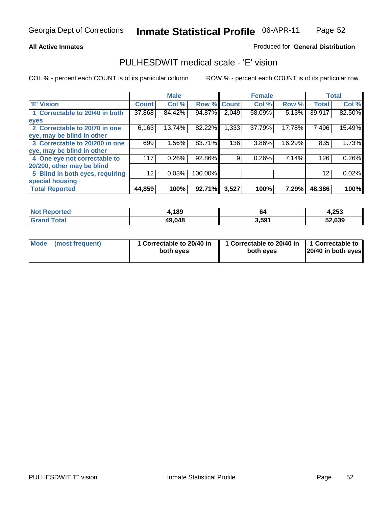#### **All Active Inmates**

## Produced for **General Distribution**

## PULHESDWIT medical scale - 'E' vision

|                                 |              | <b>Male</b> |             |       | <b>Female</b> |        |              | <b>Total</b> |
|---------------------------------|--------------|-------------|-------------|-------|---------------|--------|--------------|--------------|
| 'E' Vision                      | <b>Count</b> | Col %       | Row % Count |       | Col %         | Row %  | <b>Total</b> | Col %        |
| 1 Correctable to 20/40 in both  | 37,868       | 84.42%      | 94.87%      | 2,049 | 58.09%        | 5.13%  | 39,917       | 82.50%       |
| eyes                            |              |             |             |       |               |        |              |              |
| 2 Correctable to 20/70 in one   | 6,163        | 13.74%      | 82.22%      | 1,333 | 37.79%        | 17.78% | 7,496        | 15.49%       |
| eye, may be blind in other      |              |             |             |       |               |        |              |              |
| 3 Correctable to 20/200 in one  | 699          | $1.56\%$    | 83.71%      | 136   | 3.86%         | 16.29% | 835          | 1.73%        |
| eye, may be blind in other      |              |             |             |       |               |        |              |              |
| 4 One eye not correctable to    | 117          | 0.26%       | 92.86%      | 9     | 0.26%         | 7.14%  | 126          | 0.26%        |
| 20/200, other may be blind      |              |             |             |       |               |        |              |              |
| 5 Blind in both eyes, requiring | 12           | 0.03%       | 100.00%     |       |               |        | 12           | 0.02%        |
| special housing                 |              |             |             |       |               |        |              |              |
| <b>Total Reported</b>           | 44,859       | 100%        | 92.71%      | 3,527 | 100%          | 7.29%  | 48,386       | 100%         |

| <b>Not Reported</b>    | ,189   | 64    | 4,253  |
|------------------------|--------|-------|--------|
| $\tau$ otal<br>' Grand | 49,048 | 3,591 | 52,639 |

| Mode | (most frequent) | 1 Correctable to 20/40 in<br>both eves | 1 Correctable to 20/40 in   1 Correctable to<br>both eves | 20/40 in both eyes |
|------|-----------------|----------------------------------------|-----------------------------------------------------------|--------------------|
|      |                 |                                        |                                                           |                    |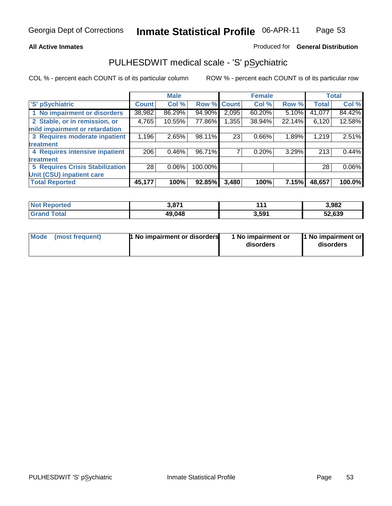#### **All Active Inmates**

### Produced for **General Distribution**

## PULHESDWIT medical scale - 'S' pSychiatric

|                                        |              | <b>Male</b> |             |       | <b>Female</b> |              |              | <b>Total</b> |
|----------------------------------------|--------------|-------------|-------------|-------|---------------|--------------|--------------|--------------|
| 'S' pSychiatric                        | <b>Count</b> | Col %       | Row % Count |       | Col %         | Row %        | <b>Total</b> | Col %        |
| 1 No impairment or disorders           | 38,982       | 86.29%      | 94.90%      | 2,095 | 60.20%        | $5.10\%$     | 41,077       | 84.42%       |
| 2 Stable, or in remission, or          | 4,765        | 10.55%      | 77.86%      | .355  | 38.94%        | 22.14%       | 6,120        | 12.58%       |
| mild impairment or retardation         |              |             |             |       |               |              |              |              |
| 3 Requires moderate inpatient          | 1,196        | 2.65%       | 98.11%      | 23    | 0.66%         | 1.89%        | 1,219        | 2.51%        |
| treatment                              |              |             |             |       |               |              |              |              |
| 4 Requires intensive inpatient         | 206          | $0.46\%$    | 96.71%      |       | 0.20%         | 3.29%        | 213          | 0.44%        |
| treatment                              |              |             |             |       |               |              |              |              |
| <b>5 Requires Crisis Stabilization</b> | 28           | $0.06\%$    | 100.00%     |       |               |              | 28           | $0.06\%$     |
| Unit (CSU) inpatient care              |              |             |             |       |               |              |              |              |
| <b>Total Reported</b>                  | 45,177       | 100%        | 92.85%      | 3,480 | 100%          | <b>7.15%</b> | 48,657       | 100.0%       |

| <b>Not Reported</b>   | 3,871  | .     | 3,982  |
|-----------------------|--------|-------|--------|
| Total<br><b>Grand</b> | 49,048 | 3,591 | 52,639 |

| Mode (most frequent) | <b>1 No impairment or disorders</b> | 1 No impairment or<br>disorders | 1 No impairment or<br>disorders |
|----------------------|-------------------------------------|---------------------------------|---------------------------------|
|                      |                                     |                                 |                                 |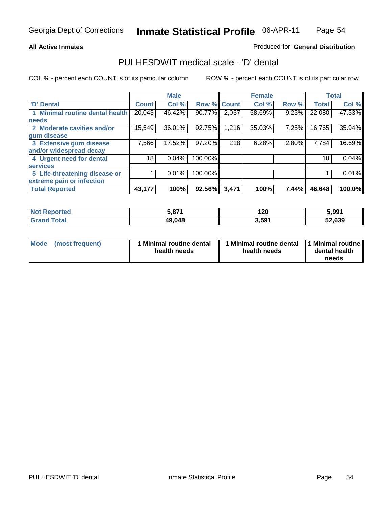#### **All Active Inmates**

## Produced for **General Distribution**

## PULHESDWIT medical scale - 'D' dental

|                                 |              | <b>Male</b> |         |              | <b>Female</b> |       |              | <b>Total</b> |
|---------------------------------|--------------|-------------|---------|--------------|---------------|-------|--------------|--------------|
| 'D' Dental                      | <b>Count</b> | Col %       | Row %   | <b>Count</b> | Col %         | Row % | <b>Total</b> | Col %        |
| 1 Minimal routine dental health | 20,043       | 46.42%      | 90.77%  | 2,037        | 58.69%        | 9.23% | 22,080       | 47.33%       |
| <b>needs</b>                    |              |             |         |              |               |       |              |              |
| 2 Moderate cavities and/or      | 15,549       | 36.01%      | 92.75%  | 1,216        | 35.03%        | 7.25% | 16,765       | 35.94%       |
| gum disease                     |              |             |         |              |               |       |              |              |
| 3 Extensive gum disease         | 7,566        | 17.52%      | 97.20%  | 218          | 6.28%         | 2.80% | 7,784        | 16.69%       |
| and/or widespread decay         |              |             |         |              |               |       |              |              |
| 4 Urgent need for dental        | 18           | $0.04\%$    | 100.00% |              |               |       | 18           | 0.04%        |
| <b>services</b>                 |              |             |         |              |               |       |              |              |
| 5 Life-threatening disease or   |              | 0.01%       | 100.00% |              |               |       |              | 0.01%        |
| extreme pain or infection       |              |             |         |              |               |       |              |              |
| <b>Total Reported</b>           | 43,177       | 100%        | 92.56%  | 3,471        | 100%          | 7.44% | 46,648       | 100.0%       |

| <b>Not Reported</b>  | 074<br>. | 120   | 5,991  |
|----------------------|----------|-------|--------|
| Total<br><b>Grar</b> | 49,048   | 3,591 | 52,639 |

| <b>Mode</b> | (most frequent) | Minimal routine dental<br>health needs | Minimal routine dental<br>health needs | 1 Minimal routine<br>dental health<br>needs |
|-------------|-----------------|----------------------------------------|----------------------------------------|---------------------------------------------|
|             |                 |                                        |                                        |                                             |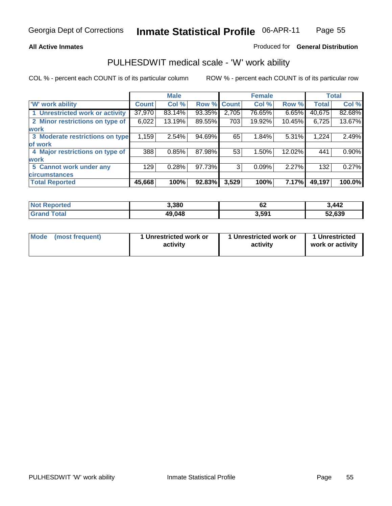### **All Active Inmates**

### Produced for **General Distribution**

## PULHESDWIT medical scale - 'W' work ability

|                                 |              | <b>Male</b> |             |       | <b>Female</b> |        |              | <b>Total</b> |
|---------------------------------|--------------|-------------|-------------|-------|---------------|--------|--------------|--------------|
| W' work ability                 | <b>Count</b> | Col %       | Row % Count |       | Col %         | Row %  | <b>Total</b> | Col %        |
| 1 Unrestricted work or activity | 37,970       | 83.14%      | 93.35%      | 2,705 | 76.65%        | 6.65%  | 40,675       | 82.68%       |
| 2 Minor restrictions on type of | 6,022        | 13.19%      | 89.55%      | 703   | 19.92%        | 10.45% | 6,725        | 13.67%       |
| work                            |              |             |             |       |               |        |              |              |
| 3 Moderate restrictions on type | 1,159        | 2.54%       | 94.69%      | 65    | 1.84%         | 5.31%  | 1,224        | 2.49%        |
| of work                         |              |             |             |       |               |        |              |              |
| 4 Major restrictions on type of | 388          | 0.85%       | 87.98%      | 53    | 1.50%         | 12.02% | 441          | 0.90%        |
| work                            |              |             |             |       |               |        |              |              |
| 5 Cannot work under any         | 129          | 0.28%       | 97.73%      | 3     | 0.09%         | 2.27%  | 132          | 0.27%        |
| <b>circumstances</b>            |              |             |             |       |               |        |              |              |
| <b>Total Reported</b>           | 45,668       | 100%        | 92.83%      | 3,529 | 100%          | 7.17%  | 49,197       | 100.0%       |

| <b>Not Reported</b> | 3,380  | r n<br>ν | 3,442  |
|---------------------|--------|----------|--------|
| <b>Grand Total</b>  | 49,048 | 3,591    | 52,639 |

| Mode            | 1 Unrestricted work or | 1 Unrestricted work or | 1 Unrestricted   |
|-----------------|------------------------|------------------------|------------------|
| (most frequent) | activity               | activity               | work or activity |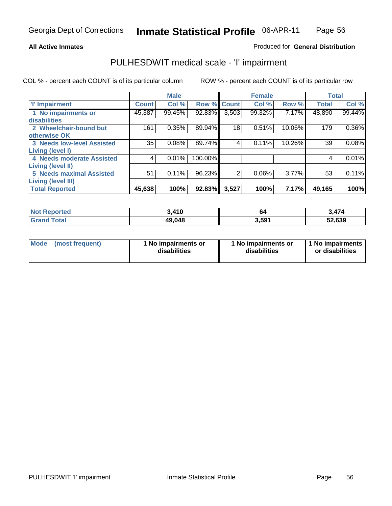#### **All Active Inmates**

## Produced for **General Distribution**

## PULHESDWIT medical scale - 'I' impairment

|                                   |              | <b>Male</b> |         |                | <b>Female</b> |        |              | <b>Total</b> |
|-----------------------------------|--------------|-------------|---------|----------------|---------------|--------|--------------|--------------|
| <b>T' Impairment</b>              | <b>Count</b> | Col %       |         | Row % Count    | Col %         | Row %  | <b>Total</b> | Col %        |
| 1 No impairments or               | 45,387       | 99.45%      | 92.83%  | 3,503          | 99.32%        | 7.17%  | 48,890       | 99.44%       |
| <b>disabilities</b>               |              |             |         |                |               |        |              |              |
| 2 Wheelchair-bound but            | 161          | 0.35%       | 89.94%  | 18             | 0.51%         | 10.06% | 179          | $0.36\%$     |
| otherwise OK                      |              |             |         |                |               |        |              |              |
| <b>3 Needs low-level Assisted</b> | 35           | 0.08%       | 89.74%  | 4              | 0.11%         | 10.26% | 39           | 0.08%        |
| Living (level I)                  |              |             |         |                |               |        |              |              |
| 4 Needs moderate Assisted         | 4            | 0.01%       | 100.00% |                |               |        |              | 0.01%        |
| <b>Living (level II)</b>          |              |             |         |                |               |        |              |              |
| <b>5 Needs maximal Assisted</b>   | 51           | 0.11%       | 96.23%  | $\overline{2}$ | 0.06%         | 3.77%  | 53           | 0.11%        |
| <b>Living (level III)</b>         |              |             |         |                |               |        |              |              |
| <b>Total Reported</b>             | 45,638       | 100%        | 92.83%  | 3,527          | 100%          | 7.17%  | 49,165       | 100%         |

| <b>Not</b><br>: Reported       | 3,410  | 04    | 3,474  |
|--------------------------------|--------|-------|--------|
| <b>Total</b><br><b>'</b> Gran⊾ | 49,048 | 3,591 | 52,639 |

| Mode | (most frequent) | 1 No impairments or<br>disabilities | 1 No impairments or<br>disabilities | 1 1 No impairments<br>or disabilities |
|------|-----------------|-------------------------------------|-------------------------------------|---------------------------------------|
|------|-----------------|-------------------------------------|-------------------------------------|---------------------------------------|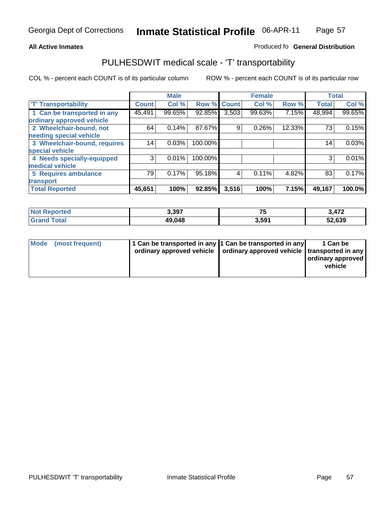#### **Inmate Statistical Profile** 06-APR-11 Page Page 57

## **All Active Inmates Allowski** Produced fo **General Distribution**

## PULHESDWIT medical scale - 'T' transportability

|                              |                 | <b>Male</b> |             |       | <b>Female</b> |        | <b>Total</b> |        |
|------------------------------|-----------------|-------------|-------------|-------|---------------|--------|--------------|--------|
| <b>T' Transportability</b>   | <b>Count</b>    | Col %       | Row % Count |       | Col %         | Row %  | <b>Total</b> | Col %  |
| 1 Can be transported in any  | 45,491          | 99.65%      | 92.85%      | 3,503 | 99.63%        | 7.15%  | 48,994       | 99.65% |
| ordinary approved vehicle    |                 |             |             |       |               |        |              |        |
| 2 Wheelchair-bound, not      | 64              | 0.14%       | 87.67%      | 9     | 0.26%         | 12.33% | 73           | 0.15%  |
| needing special vehicle      |                 |             |             |       |               |        |              |        |
| 3 Wheelchair-bound, requires | 14 <sub>1</sub> | 0.03%       | 100.00%     |       |               |        | 14           | 0.03%  |
| special vehicle              |                 |             |             |       |               |        |              |        |
| 4 Needs specially-equipped   | 3               | 0.01%       | 100.00%     |       |               |        | 3            | 0.01%  |
| medical vehicle              |                 |             |             |       |               |        |              |        |
| <b>5 Requires ambulance</b>  | 79              | 0.17%       | 95.18%      | 4     | 0.11%         | 4.82%  | 83           | 0.17%  |
| transport                    |                 |             |             |       |               |        |              |        |
| <b>Total Reported</b>        | 45,651          | 100%        | 92.85%      | 3,516 | 100%          | 7.15%  | 49,167       | 100.0% |

| <b>Not</b>            | 3,397  | $-$   | 3.172  |
|-----------------------|--------|-------|--------|
| Reported              |        | ر.    | J,476  |
| Total<br><b>Grand</b> | 49,048 | 3,591 | 52,639 |

| Mode (most frequent) | 1 Can be transported in any 1 Can be transported in any | ordinary approved vehicle   ordinary approved vehicle   transported in any | 1 Can be<br>  ordinary approved  <br>vehicle |
|----------------------|---------------------------------------------------------|----------------------------------------------------------------------------|----------------------------------------------|
|                      |                                                         |                                                                            |                                              |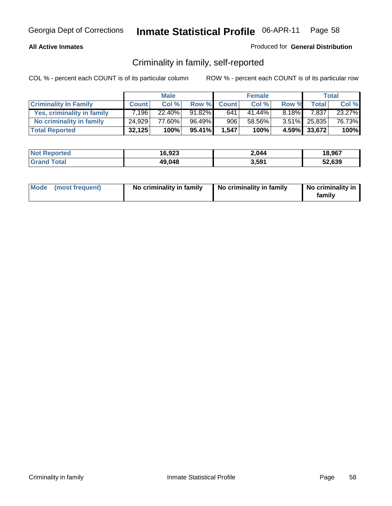## **All Active Inmates**

## Produced for **General Distribution**

## Criminality in family, self-reported

|                              |              | <b>Male</b> |        |              | <b>Female</b> |          |              | <b>Total</b> |
|------------------------------|--------------|-------------|--------|--------------|---------------|----------|--------------|--------------|
| <b>Criminality In Family</b> | <b>Count</b> | Col %       | Row %  | <b>Count</b> | Col %         | Row %    | <b>Total</b> | Col %        |
| Yes, criminality in family   | 7.196        | $22.40\%$   | 91.82% | 641          | 41.44%        | $8.18\%$ | 7,837        | 23.27%       |
| No criminality in family     | 24.929       | 77.60%      | 96.49% | 906          | 58.56%        |          | 3.51% 25,835 | 76.73%       |
| <b>Total Reported</b>        | 32,125       | 100%        | 95.41% | 1,547        | 100%          |          | 4.59% 33,672 | 100%         |

| <b>Not Reported</b> | 16,923 | 2,044             | 18,967 |
|---------------------|--------|-------------------|--------|
| l Grand Total       | 49,048 | 3,59 <sup>1</sup> | 52,639 |

|  | Mode (most frequent) | No criminality in family | No criminality in family | No criminality in<br>familv |
|--|----------------------|--------------------------|--------------------------|-----------------------------|
|--|----------------------|--------------------------|--------------------------|-----------------------------|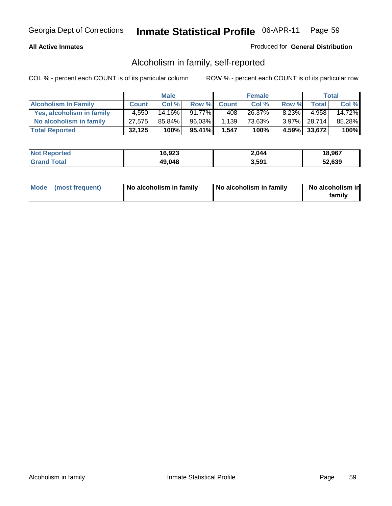## **All Active Inmates**

## Produced for **General Distribution**

## Alcoholism in family, self-reported

|                             |              | <b>Male</b> |           |              | <b>Female</b> |          |              | <b>Total</b> |
|-----------------------------|--------------|-------------|-----------|--------------|---------------|----------|--------------|--------------|
| <b>Alcoholism In Family</b> | <b>Count</b> | Col %       | Row %     | <b>Count</b> | Col %         | Row %    | <b>Total</b> | Col %        |
| Yes, alcoholism in family   | 4.550        | 14.16%      | 91.77%    | 408          | 26.37%        | $8.23\%$ | 4.958        | 14.72%       |
| No alcoholism in family     | 27,575       | 85.84%      | 96.03%    | 1,139        | 73.63%        |          | 3.97% 28,714 | 85.28%       |
| <b>Total Reported</b>       | 32,125       | 100%        | $95.41\%$ | 1,547        | 100%          |          | 4.59% 33,672 | 100%         |

| <b>Not Reported</b> | 16,923 | 2,044             | 18,967 |
|---------------------|--------|-------------------|--------|
| <b>Srand Total</b>  | 49,048 | 3,59 <sup>4</sup> | 52,639 |

|  | Mode (most frequent) | No alcoholism in family | No alcoholism in family | No alcoholism in<br>family |
|--|----------------------|-------------------------|-------------------------|----------------------------|
|--|----------------------|-------------------------|-------------------------|----------------------------|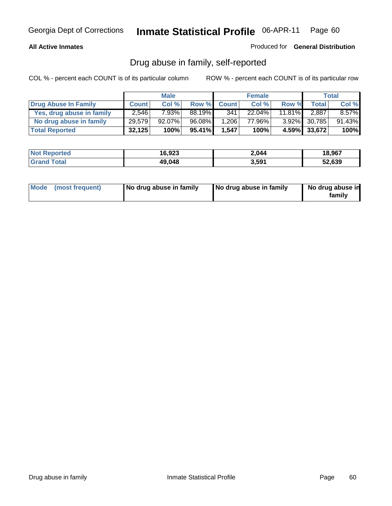## **All Active Inmates**

Produced for **General Distribution**

## Drug abuse in family, self-reported

|                           |              | <b>Male</b> |        |              | <b>Female</b> |           |                 | <b>Total</b> |
|---------------------------|--------------|-------------|--------|--------------|---------------|-----------|-----------------|--------------|
| Drug Abuse In Family      | <b>Count</b> | Col %       | Row %  | <b>Count</b> | Col %         | Row %     | <b>Total</b>    | Col %        |
| Yes, drug abuse in family | 2,546        | 7.93%       | 88.19% | 341          | $22.04\%$     | $11.81\%$ | 2,887           | $8.57\%$     |
| No drug abuse in family   | 29.579       | $92.07\%$   | 96.08% | .206         | 77.96%        |           | $3.92\%$ 30.785 | 91.43%       |
| <b>Total Reported</b>     | 32,125       | 100%        | 95.41% | 1.547        | 100%          |           | 4.59% 33,672    | 100%         |

| <b>Not Reported</b> | 16,923 | 2,044             | 18,967 |
|---------------------|--------|-------------------|--------|
| <b>Srand Total</b>  | 49,048 | 3,59 <sup>4</sup> | 52,639 |

|  | Mode (most frequent) | No drug abuse in family | No drug abuse in family | No drug abuse in<br>family |
|--|----------------------|-------------------------|-------------------------|----------------------------|
|--|----------------------|-------------------------|-------------------------|----------------------------|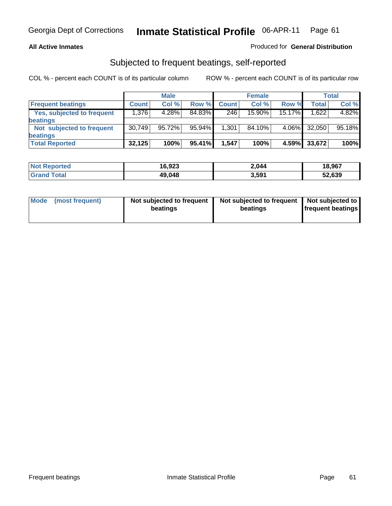## **All Active Inmates**

## Produced for **General Distribution**

## Subjected to frequent beatings, self-reported

|                                   |              | <b>Male</b> |        |              | <b>Female</b> |          |        | <b>Total</b> |
|-----------------------------------|--------------|-------------|--------|--------------|---------------|----------|--------|--------------|
| <b>Frequent beatings</b>          | <b>Count</b> | Col%        | Row %  | <b>Count</b> | Col%          | Row %    | Total  | Col %        |
| <b>Yes, subjected to frequent</b> | 1,376        | 4.28%       | 84.83% | 246          | 15.90%        | 15.17%   | .622   | 4.82%        |
| <b>beatings</b>                   |              |             |        |              |               |          |        |              |
| Not subjected to frequent         | 30,749       | 95.72%      | 95.94% | 1,301,       | 84.10%        | $4.06\%$ | 32,050 | 95.18%       |
| <b>beatings</b>                   |              |             |        |              |               |          |        |              |
| <b>Total Reported</b>             | 32,125       | 100%        | 95.41% | 1,547        | 100%          | 4.59%    | 33,672 | 100%         |

| <b>Not Reported</b> | 16,923 | 2,044 | 18,967 |
|---------------------|--------|-------|--------|
| Γotal<br>⊩Grar      | 49,048 | 3,591 | 52,639 |

| Mode (most frequent) | Not subjected to frequent<br>beatings | Not subjected to frequent<br>beatings | Not subjected to<br>frequent beatings |  |
|----------------------|---------------------------------------|---------------------------------------|---------------------------------------|--|
|                      |                                       |                                       |                                       |  |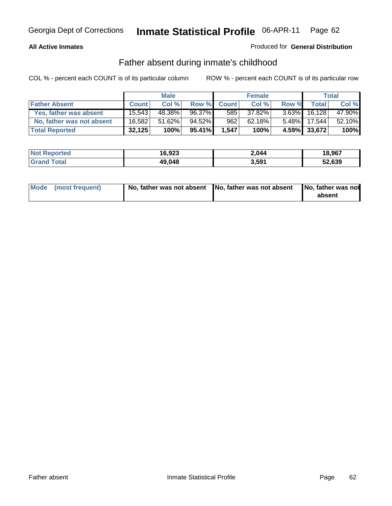## **All Active Inmates**

## Produced for **General Distribution**

## Father absent during inmate's childhood

|                           |              | <b>Male</b> |        |              | <b>Female</b> |          |                    | Total  |
|---------------------------|--------------|-------------|--------|--------------|---------------|----------|--------------------|--------|
| <b>Father Absent</b>      | <b>Count</b> | Col %       | Row %  | <b>Count</b> | Col %         | Row %    | Total <sub>1</sub> | Col %  |
| Yes, father was absent    | 15.543       | 48.38%      | 96.37% | 585          | 37.82%        | $3.63\%$ | 16,128             | 47.90% |
| No, father was not absent | 16.582       | 51.62%      | 94.52% | 962          | 62.18%        | $5.48\%$ | 17.544             | 52.10% |
| <b>Total Reported</b>     | 32,125       | 100%        | 95.41% | 1,547        | 100%          |          | 4.59% 33,672       | 100%   |

| <b>Not Reported</b> | 16,923 | 2.044 | 18,967 |
|---------------------|--------|-------|--------|
| <b>Grand Total</b>  | 49,048 | 3,59' | 52,639 |

| Mode (most frequent) |  | 「No, father was not absent ┃No, father was not absent ┃No, father was not | absent |
|----------------------|--|---------------------------------------------------------------------------|--------|
|----------------------|--|---------------------------------------------------------------------------|--------|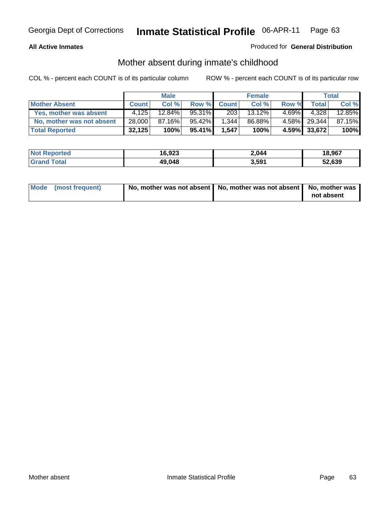## **All Active Inmates**

## Produced for **General Distribution**

## Mother absent during inmate's childhood

|                           |              | <b>Male</b> |           |              | <b>Female</b> |          |              | <b>Total</b> |
|---------------------------|--------------|-------------|-----------|--------------|---------------|----------|--------------|--------------|
| <b>Mother Absent</b>      | <b>Count</b> | Col %       | Row %     | <b>Count</b> | Col %         | Row %    | <b>Total</b> | Col %        |
| Yes, mother was absent    | 4,125        | $12.84\%$   | 95.31%    | 203          | 13.12%        | $4.69\%$ | 4.328        | 12.85%       |
| No, mother was not absent | 28,000       | 87.16%      | $95.42\%$ | 1,344        | 86.88%        |          | 4.58% 29,344 | 87.15%       |
| <b>Total Reported</b>     | 32,125       | 100%        | 95.41%    | 1,547        | 100%          |          | 4.59% 33,672 | 100%         |

| <b>Not Reported</b> | 16,923 | 2,044             | 18,967 |
|---------------------|--------|-------------------|--------|
| l Grand Total       | 49,048 | 3,59 <sup>1</sup> | 52,639 |

| Mode (most frequent) | No, mother was not absent   No, mother was not absent   No, mother was | not absent |
|----------------------|------------------------------------------------------------------------|------------|
|----------------------|------------------------------------------------------------------------|------------|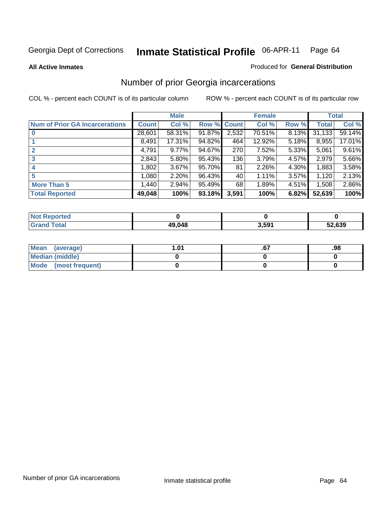#### **All Active Inmates**

#### Produced for **General Distribution**

## Number of prior Georgia incarcerations

|                                       |              | <b>Male</b> |                    |       | <b>Female</b> |       |        | <b>Total</b> |
|---------------------------------------|--------------|-------------|--------------------|-------|---------------|-------|--------|--------------|
| <b>Num of Prior GA Incarcerations</b> | <b>Count</b> | Col %       | <b>Row % Count</b> |       | Col %         | Row % | Total  | Col %        |
| $\bf{0}$                              | 28,601       | 58.31%      | 91.87%             | 2,532 | 70.51%        | 8.13% | 31,133 | 59.14%       |
|                                       | 8,491        | 17.31%      | 94.82%             | 464   | 12.92%        | 5.18% | 8,955  | 17.01%       |
|                                       | 4,791        | 9.77%       | 94.67%             | 270   | 7.52%         | 5.33% | 5,061  | 9.61%        |
| 3                                     | 2,843        | 5.80%       | 95.43%             | 136   | 3.79%         | 4.57% | 2,979  | 5.66%        |
|                                       | 1,802        | 3.67%       | 95.70%             | 81    | 2.26%         | 4.30% | 1,883  | 3.58%        |
| 5                                     | 1,080        | 2.20%       | 96.43%             | 40    | 1.11%         | 3.57% | 1,120  | 2.13%        |
| <b>More Than 5</b>                    | 1,440        | 2.94%       | 95.49%             | 68    | 1.89%         | 4.51% | 1,508  | 2.86%        |
| <b>Total Reported</b>                 | 49,048       | 100%        | 93.18%             | 3,591 | 100%          | 6.82% | 52,639 | 100%         |

| oorted<br>NO.          |        |       |        |
|------------------------|--------|-------|--------|
| <b>Total</b><br>. Grat | 49.048 | 3,591 | 52,639 |

| Mean (average)       | 1.01 | .98 |
|----------------------|------|-----|
| Median (middle)      |      |     |
| Mode (most frequent) |      |     |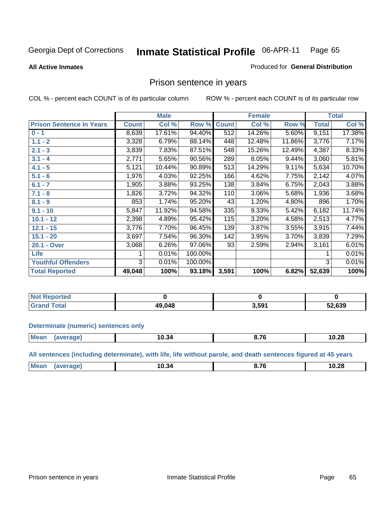#### **All Active Inmates**

#### Produced for **General Distribution**

## Prison sentence in years

COL % - percent each COUNT is of its particular column ROW % - percent each COUNT is of its particular row

|                                 |              | <b>Male</b> |         |              | <b>Female</b> |        |              | <b>Total</b> |
|---------------------------------|--------------|-------------|---------|--------------|---------------|--------|--------------|--------------|
| <b>Prison Sentence In Years</b> | <b>Count</b> | Col %       | Row %   | <b>Count</b> | Col %         | Row %  | <b>Total</b> | Col %        |
| $0 - 1$                         | 8,639        | 17.61%      | 94.40%  | 512          | 14.26%        | 5.60%  | 9,151        | 17.38%       |
| $1.1 - 2$                       | 3,328        | 6.79%       | 88.14%  | 448          | 12.48%        | 11.86% | 3,776        | 7.17%        |
| $2.1 - 3$                       | 3,839        | 7.83%       | 87.51%  | 548          | 15.26%        | 12.49% | 4,387        | 8.33%        |
| $3.1 - 4$                       | 2,771        | 5.65%       | 90.56%  | 289          | 8.05%         | 9.44%  | 3,060        | 5.81%        |
| $4.1 - 5$                       | 5,121        | 10.44%      | 90.89%  | 513          | 14.29%        | 9.11%  | 5,634        | 10.70%       |
| $5.1 - 6$                       | 1,976        | 4.03%       | 92.25%  | 166          | 4.62%         | 7.75%  | 2,142        | 4.07%        |
| $6.1 - 7$                       | 1,905        | 3.88%       | 93.25%  | 138          | 3.84%         | 6.75%  | 2,043        | 3.88%        |
| $7.1 - 8$                       | 1,826        | 3.72%       | 94.32%  | 110          | 3.06%         | 5.68%  | 1,936        | 3.68%        |
| $8.1 - 9$                       | 853          | 1.74%       | 95.20%  | 43           | 1.20%         | 4.80%  | 896          | 1.70%        |
| $9.1 - 10$                      | 5,847        | 11.92%      | 94.58%  | 335          | 9.33%         | 5.42%  | 6,182        | 11.74%       |
| $10.1 - 12$                     | 2,398        | 4.89%       | 95.42%  | 115          | 3.20%         | 4.58%  | 2,513        | 4.77%        |
| $12.1 - 15$                     | 3,776        | 7.70%       | 96.45%  | 139          | 3.87%         | 3.55%  | 3,915        | 7.44%        |
| $15.1 - 20$                     | 3,697        | 7.54%       | 96.30%  | 142          | 3.95%         | 3.70%  | 3,839        | 7.29%        |
| 20.1 - Over                     | 3,068        | 6.26%       | 97.06%  | 93           | 2.59%         | 2.94%  | 3,161        | 6.01%        |
| Life                            |              | 0.01%       | 100.00% |              |               |        |              | 0.01%        |
| <b>Youthful Offenders</b>       | 3            | 0.01%       | 100.00% |              |               |        | 3            | 0.01%        |
| <b>Total Reported</b>           | 49,048       | 100%        | 93.18%  | 3,591        | 100%          | 6.82%  | 52,639       | 100%         |

| <b>Not Reported</b>  |       |       |        |
|----------------------|-------|-------|--------|
| Total<br><b>Gran</b> | 9,048 | 5.591 | 52,639 |

**Determinate (numeric) sentences only**

|  | Me:<br> | IU. 34<br>____ | $\sim$ $\sim$ | 10.28<br>___ |
|--|---------|----------------|---------------|--------------|
|--|---------|----------------|---------------|--------------|

**All sentences (including determinate), with life, life without parole, and death sentences figured at 45 years**

| Mean<br>^ 7^<br>10.34<br>10.28<br>эле:<br>- 7<br>0.11<br>___<br>___ |
|---------------------------------------------------------------------|
|---------------------------------------------------------------------|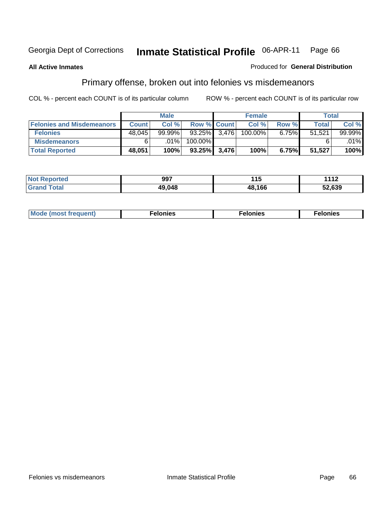### **All Active Inmates**

#### Produced for **General Distribution**

# Primary offense, broken out into felonies vs misdemeanors

|                                  |              | <b>Male</b> |                    |       | <b>Female</b> |       | Total        |         |
|----------------------------------|--------------|-------------|--------------------|-------|---------------|-------|--------------|---------|
| <b>Felonies and Misdemeanors</b> | <b>Count</b> | Col %       | <b>Row % Count</b> |       | Col %         | Row % | <b>Total</b> | Col %   |
| <b>Felonies</b>                  | 48,045       | $99.99\%$   | 93.25%             | 3.476 | 100.00%       | 6.75% | 51,521       | 99.99%  |
| <b>Misdemeanors</b>              | 6            | $.01\%$     | 100.00%            |       |               |       |              | $.01\%$ |
| <b>Total Reported</b>            | 48,051       | 100%        | 93.25%             | 3,476 | 100%          | 6.75% | 51,527       | 100%    |

| <b>Not</b><br>rted.<br>$\sim$ | 997    | 1 4 C<br>. . J | 1119<br>11Z |
|-------------------------------|--------|----------------|-------------|
| Gran.                         | 19 NAR | 48.166         | 52,639      |

| Mode (most frequent) | elonies | elonies | onies<br>-е к |
|----------------------|---------|---------|---------------|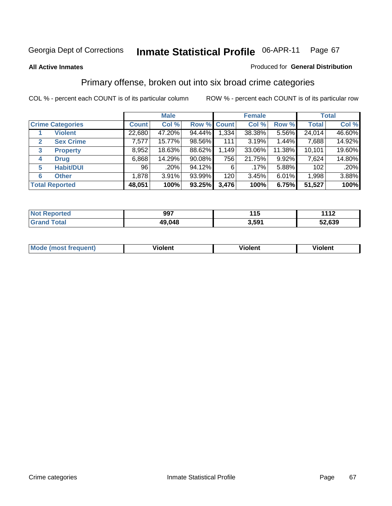#### **All Active Inmates**

#### Produced for **General Distribution**

## Primary offense, broken out into six broad crime categories

|                                  |              | <b>Male</b> |             |       | <b>Female</b> |        |              | <b>Total</b> |
|----------------------------------|--------------|-------------|-------------|-------|---------------|--------|--------------|--------------|
| <b>Crime Categories</b>          | <b>Count</b> | Col %       | Row % Count |       | Col %         | Row %  | <b>Total</b> | Col %        |
| <b>Violent</b>                   | 22,680       | 47.20%      | 94.44%      | 1,334 | 38.38%        | 5.56%  | 24,014       | 46.60%       |
| <b>Sex Crime</b><br>$\mathbf{2}$ | 7,577        | 15.77%      | 98.56%      | 111   | 3.19%         | 1.44%  | 7,688        | 14.92%       |
| $\mathbf{3}$<br><b>Property</b>  | 8,952        | 18.63%      | 88.62%      | 1,149 | 33.06%        | 11.38% | 10,101       | 19.60%       |
| <b>Drug</b><br>4                 | 6,868        | 14.29%      | $90.08\%$   | 756   | 21.75%        | 9.92%  | 7,624        | 14.80%       |
| <b>Habit/DUI</b><br>5            | 96           | .20%        | 94.12%      | 6     | .17%          | 5.88%  | 102          | .20%         |
| <b>Other</b><br>6                | 1,878        | 3.91%       | $93.99\%$   | 120   | 3.45%         | 6.01%  | 1,998        | 3.88%        |
| <b>Total Reported</b>            | 48,051       | 100%        | 93.25%      | 3,476 | 100%          | 6.75%  | 51,527       | 100%         |

| N | 997    | .     | $-144C$<br>$\blacksquare$ |
|---|--------|-------|---------------------------|
|   | 49 N48 | 591., | 52.639                    |

| <b>Mou</b> | .<br>วient | วlent | ent |
|------------|------------|-------|-----|
|            |            |       |     |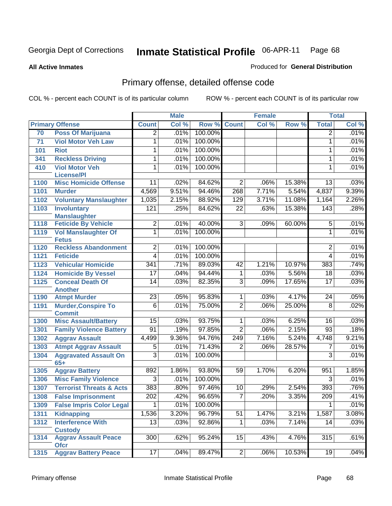**All Active Inmates**

#### Produced for **General Distribution**

# Primary offense, detailed offense code

|      |                                             | <b>Male</b>     |       |         |                 | <b>Female</b> | <b>Total</b> |                 |          |
|------|---------------------------------------------|-----------------|-------|---------|-----------------|---------------|--------------|-----------------|----------|
|      | <b>Primary Offense</b>                      | <b>Count</b>    | Col % | Row %   | <b>Count</b>    | Col %         | Row %        | <b>Total</b>    | Col %    |
| 70   | <b>Poss Of Marijuana</b>                    | $\overline{2}$  | .01%  | 100.00% |                 |               |              | 2               | .01%     |
| 71   | <b>Viol Motor Veh Law</b>                   | 1               | .01%  | 100.00% |                 |               |              | 1               | .01%     |
| 101  | <b>Riot</b>                                 | 1               | .01%  | 100.00% |                 |               |              | 1               | .01%     |
| 341  | <b>Reckless Driving</b>                     | 1               | .01%  | 100.00% |                 |               |              | 1               | .01%     |
| 410  | <b>Viol Motor Veh</b>                       | 1               | .01%  | 100.00% |                 |               |              | 1               | .01%     |
|      | <b>License/PI</b>                           |                 |       |         |                 |               |              |                 |          |
| 1100 | <b>Misc Homicide Offense</b>                | 11              | .02%  | 84.62%  | $\overline{2}$  | .06%          | 15.38%       | 13              | .03%     |
| 1101 | <b>Murder</b>                               | 4,569           | 9.51% | 94.46%  | 268             | 7.71%         | 5.54%        | 4,837           | 9.39%    |
| 1102 | <b>Voluntary Manslaughter</b>               | 1,035           | 2.15% | 88.92%  | 129             | 3.71%         | 11.08%       | 1,164           | 2.26%    |
| 1103 | <b>Involuntary</b>                          | 121             | .25%  | 84.62%  | $\overline{22}$ | .63%          | 15.38%       | 143             | .28%     |
|      | <b>Manslaughter</b>                         |                 |       |         |                 |               |              |                 |          |
| 1118 | <b>Feticide By Vehicle</b>                  | $\overline{2}$  | .01%  | 40.00%  | $\overline{3}$  | .09%          | 60.00%       | 5               | .01%     |
| 1119 | <b>Vol Manslaughter Of</b>                  | 1               | .01%  | 100.00% |                 |               |              | $\mathbf{1}$    | .01%     |
| 1120 | <b>Fetus</b><br><b>Reckless Abandonment</b> | $\overline{2}$  | .01%  | 100.00% |                 |               |              | 2               | .01%     |
|      |                                             | $\overline{4}$  | .01%  | 100.00% |                 |               |              |                 | .01%     |
| 1121 | <b>Feticide</b>                             | 341             | .71%  | 89.03%  | $\overline{42}$ | 1.21%         |              | 4<br>383        | .74%     |
| 1123 | <b>Vehicular Homicide</b>                   |                 |       |         |                 |               | 10.97%       |                 |          |
| 1124 | <b>Homicide By Vessel</b>                   | 17              | .04%  | 94.44%  | 1               | .03%          | 5.56%        | 18              | .03%     |
| 1125 | <b>Conceal Death Of</b>                     | 14              | .03%  | 82.35%  | $\overline{3}$  | .09%          | 17.65%       | $\overline{17}$ | .03%     |
| 1190 | <b>Another</b><br><b>Atmpt Murder</b>       | $\overline{23}$ | .05%  | 95.83%  | $\mathbf{1}$    | .03%          | 4.17%        | $\overline{24}$ | .05%     |
| 1191 | <b>Murder, Conspire To</b>                  | $\overline{6}$  | .01%  | 75.00%  | $\overline{2}$  | .06%          | 25.00%       | $\overline{8}$  | .02%     |
|      | <b>Commit</b>                               |                 |       |         |                 |               |              |                 |          |
| 1300 | <b>Misc Assault/Battery</b>                 | $\overline{15}$ | .03%  | 93.75%  | $\overline{1}$  | .03%          | 6.25%        | 16              | .03%     |
| 1301 | <b>Family Violence Battery</b>              | $\overline{91}$ | .19%  | 97.85%  | $\overline{2}$  | .06%          | 2.15%        | 93              | .18%     |
| 1302 | <b>Aggrav Assault</b>                       | 4,499           | 9.36% | 94.76%  | 249             | 7.16%         | 5.24%        | 4,748           | 9.21%    |
| 1303 | <b>Atmpt Aggrav Assault</b>                 | 5               | .01%  | 71.43%  | $\overline{2}$  | .06%          | 28.57%       | 7               | .01%     |
| 1304 | <b>Aggravated Assault On</b>                | $\overline{3}$  | .01%  | 100.00% |                 |               |              | 3               | .01%     |
|      | $65+$                                       |                 |       |         |                 |               |              |                 |          |
| 1305 | <b>Aggrav Battery</b>                       | 892             | 1.86% | 93.80%  | $\overline{59}$ | 1.70%         | 6.20%        | 951             | 1.85%    |
| 1306 | <b>Misc Family Violence</b>                 | $\overline{3}$  | .01%  | 100.00% |                 |               |              | $\overline{3}$  | .01%     |
| 1307 | <b>Terrorist Threats &amp; Acts</b>         | 383             | .80%  | 97.46%  | 10              | .29%          | 2.54%        | 393             | .76%     |
| 1308 | <b>False Imprisonment</b>                   | 202             | .42%  | 96.65%  | $\overline{7}$  | .20%          | 3.35%        | 209             | .41%     |
| 1309 | <b>False Impris Color Legal</b>             | $\overline{1}$  | .01%  | 100.00% |                 |               |              | $\mathbf 1$     | .01%     |
| 1311 | Kidnapping                                  | 1,536           | 3.20% | 96.79%  | 51              | 1.47%         | 3.21%        | 1,587           | $3.08\%$ |
| 1312 | <b>Interference With</b>                    | $\overline{13}$ | .03%  | 92.86%  | $\overline{1}$  | .03%          | 7.14%        | 14              | .03%     |
|      | <b>Custody</b>                              |                 |       |         |                 |               |              |                 |          |
| 1314 | <b>Aggrav Assault Peace</b>                 | 300             | .62%  | 95.24%  | 15              | .43%          | 4.76%        | 315             | .61%     |
|      | <b>Ofcr</b>                                 |                 |       |         |                 |               |              |                 |          |
| 1315 | <b>Aggrav Battery Peace</b>                 | 17              | .04%  | 89.47%  | 2               | $.06\%$       | 10.53%       | 19              | .04%     |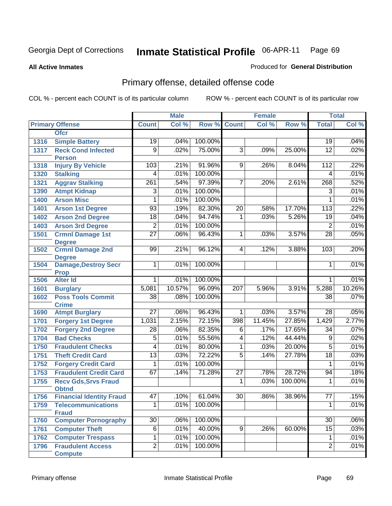**All Active Inmates**

#### Produced for **General Distribution**

# Primary offense, detailed offense code

|      |                                             | <b>Male</b>      |         | <b>Female</b> |                 |         | <b>Total</b> |                 |        |
|------|---------------------------------------------|------------------|---------|---------------|-----------------|---------|--------------|-----------------|--------|
|      | <b>Primary Offense</b>                      | <b>Count</b>     | Col %   | Row %         | <b>Count</b>    | Col %   | Row %        | <b>Total</b>    | Col %  |
|      | <b>Ofcr</b>                                 |                  |         |               |                 |         |              |                 |        |
| 1316 | <b>Simple Battery</b>                       | 19               | .04%    | 100.00%       |                 |         |              | 19              | .04%   |
| 1317 | <b>Reck Cond Infected</b>                   | $\overline{9}$   | .02%    | 75.00%        | $\overline{3}$  | .09%    | 25.00%       | $\overline{12}$ | .02%   |
|      | <b>Person</b>                               |                  |         |               |                 |         |              |                 |        |
| 1318 | <b>Injury By Vehicle</b>                    | 103              | .21%    | 91.96%        | 9               | .26%    | 8.04%        | 112             | .22%   |
| 1320 | <b>Stalking</b>                             | 4                | .01%    | 100.00%       |                 |         |              | 4               | .01%   |
| 1321 | <b>Aggrav Stalking</b>                      | $\overline{261}$ | .54%    | 97.39%        | $\overline{7}$  | .20%    | 2.61%        | 268             | .52%   |
| 1390 | <b>Atmpt Kidnap</b>                         | 3                | .01%    | 100.00%       |                 |         |              | $\overline{3}$  | .01%   |
| 1400 | <b>Arson Misc</b>                           | 1                | .01%    | 100.00%       |                 |         |              | $\mathbf{1}$    | .01%   |
| 1401 | <b>Arson 1st Degree</b>                     | 93               | .19%    | 82.30%        | $\overline{20}$ | .58%    | 17.70%       | 113             | .22%   |
| 1402 | <b>Arson 2nd Degree</b>                     | $\overline{18}$  | .04%    | 94.74%        | $\mathbf{1}$    | .03%    | 5.26%        | 19              | .04%   |
| 1403 | <b>Arson 3rd Degree</b>                     | $\overline{2}$   | .01%    | 100.00%       |                 |         |              | $\overline{2}$  | .01%   |
| 1501 | <b>Crmnl Damage 1st</b>                     | $\overline{27}$  | .06%    | 96.43%        | 1               | .03%    | 3.57%        | $\overline{28}$ | .05%   |
|      | <b>Degree</b>                               |                  |         |               |                 |         |              |                 |        |
| 1502 | <b>Crmnl Damage 2nd</b><br><b>Degree</b>    | 99               | .21%    | 96.12%        | 4               | .12%    | 3.88%        | 103             | .20%   |
| 1504 | <b>Damage, Destroy Secr</b>                 | 1                | .01%    | 100.00%       |                 |         |              | 1               | .01%   |
|      | <b>Prop</b>                                 |                  |         |               |                 |         |              |                 |        |
| 1506 | <b>Alter Id</b>                             | $\overline{1}$   | .01%    | 100.00%       |                 |         |              | 1               | .01%   |
| 1601 | <b>Burglary</b>                             | 5,081            | 10.57%  | 96.09%        | 207             | 5.96%   | 3.91%        | 5,288           | 10.26% |
| 1602 | <b>Poss Tools Commit</b>                    | 38               | .08%    | 100.00%       |                 |         |              | 38              | .07%   |
|      | <b>Crime</b>                                |                  |         |               |                 |         |              |                 |        |
| 1690 | <b>Atmpt Burglary</b>                       | $\overline{27}$  | .06%    | 96.43%        | $\mathbf{1}$    | .03%    | 3.57%        | 28              | .05%   |
| 1701 | <b>Forgery 1st Degree</b>                   | 1,031            | 2.15%   | 72.15%        | 398             | 11.45%  | 27.85%       | 1,429           | 2.77%  |
| 1702 | <b>Forgery 2nd Degree</b>                   | 28               | .06%    | 82.35%        | 6               | .17%    | 17.65%       | 34              | .07%   |
| 1704 | <b>Bad Checks</b>                           | $\overline{5}$   | .01%    | 55.56%        | $\overline{4}$  | .12%    | 44.44%       | 9               | .02%   |
| 1750 | <b>Fraudulent Checks</b>                    | 4                | .01%    | 80.00%        | 1               | .03%    | 20.00%       | $\overline{5}$  | .01%   |
| 1751 | <b>Theft Credit Card</b>                    | $\overline{13}$  | .03%    | 72.22%        | $\overline{5}$  | .14%    | 27.78%       | $\overline{18}$ | .03%   |
| 1752 | <b>Forgery Credit Card</b>                  | 1                | .01%    | 100.00%       |                 |         |              | 1               | .01%   |
| 1753 | <b>Fraudulent Credit Card</b>               | 67               | .14%    | 71.28%        | $\overline{27}$ | .78%    | 28.72%       | 94              | .18%   |
| 1755 | <b>Recv Gds, Srvs Fraud</b><br><b>Obtnd</b> |                  |         |               | 1               | .03%    | 100.00%      | 1               | .01%   |
| 1756 | <b>Financial Identity Fraud</b>             | 47               | $.10\%$ | 61.04%        | 30              | $.86\%$ | 38.96%       | $\overline{77}$ | .15%   |
| 1759 | <b>Telecommunications</b>                   | 1                | .01%    | 100.00%       |                 |         |              | 1               | .01%   |
|      | <b>Fraud</b>                                |                  |         |               |                 |         |              |                 |        |
| 1760 | <b>Computer Pornography</b>                 | $\overline{30}$  | .06%    | 100.00%       |                 |         |              | $\overline{30}$ | .06%   |
| 1761 | <b>Computer Theft</b>                       | $\overline{6}$   | .01%    | 40.00%        | $\overline{9}$  | .26%    | 60.00%       | 15              | .03%   |
| 1762 | <b>Computer Trespass</b>                    | $\overline{1}$   | .01%    | 100.00%       |                 |         |              | $\mathbf{1}$    | .01%   |
| 1796 | <b>Fraudulent Access</b><br><b>Compute</b>  | $\overline{2}$   | .01%    | 100.00%       |                 |         |              | $\overline{2}$  | .01%   |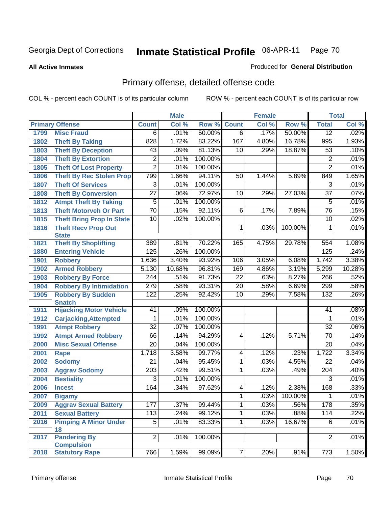**All Active Inmates**

#### Produced for **General Distribution**

# Primary offense, detailed offense code

|      |                                                 | <b>Male</b>      |        |         | <b>Female</b>   | <b>Total</b> |         |                  |        |
|------|-------------------------------------------------|------------------|--------|---------|-----------------|--------------|---------|------------------|--------|
|      | <b>Primary Offense</b>                          | <b>Count</b>     | Col %  | Row %   | <b>Count</b>    | Col %        | Row %   | <b>Total</b>     | Col %  |
| 1799 | <b>Misc Fraud</b>                               | 6                | .01%   | 50.00%  | $\overline{6}$  | .17%         | 50.00%  | $\overline{12}$  | .02%   |
| 1802 | <b>Theft By Taking</b>                          | 828              | 1.72%  | 83.22%  | 167             | 4.80%        | 16.78%  | 995              | 1.93%  |
| 1803 | <b>Theft By Deception</b>                       | 43               | .09%   | 81.13%  | 10              | .29%         | 18.87%  | $\overline{53}$  | .10%   |
| 1804 | <b>Theft By Extortion</b>                       | 2                | .01%   | 100.00% |                 |              |         | $\overline{c}$   | .01%   |
| 1805 | <b>Theft Of Lost Property</b>                   | $\overline{2}$   | .01%   | 100.00% |                 |              |         | $\overline{2}$   | .01%   |
| 1806 | <b>Theft By Rec Stolen Prop</b>                 | 799              | 1.66%  | 94.11%  | 50              | 1.44%        | 5.89%   | 849              | 1.65%  |
| 1807 | <b>Theft Of Services</b>                        | 3                | .01%   | 100.00% |                 |              |         | 3                | .01%   |
| 1808 | <b>Theft By Conversion</b>                      | $\overline{27}$  | .06%   | 72.97%  | 10              | .29%         | 27.03%  | $\overline{37}$  | .07%   |
| 1812 | <b>Atmpt Theft By Taking</b>                    | 5                | .01%   | 100.00% |                 |              |         | 5                | .01%   |
| 1813 | <b>Theft Motorveh Or Part</b>                   | $\overline{70}$  | .15%   | 92.11%  | 6               | .17%         | 7.89%   | 76               | .15%   |
| 1815 | <b>Theft Bring Prop In State</b>                | 10               | .02%   | 100.00% |                 |              |         | 10               | .02%   |
| 1816 | <b>Theft Recv Prop Out</b>                      |                  |        |         | 1               | .03%         | 100.00% | 1                | .01%   |
|      | <b>State</b>                                    |                  |        |         |                 |              |         |                  |        |
| 1821 | <b>Theft By Shoplifting</b>                     | 389              | .81%   | 70.22%  | 165             | 4.75%        | 29.78%  | 554              | 1.08%  |
| 1880 | <b>Entering Vehicle</b>                         | 125              | .26%   | 100.00% |                 |              |         | 125              | .24%   |
| 1901 | <b>Robbery</b>                                  | 1,636            | 3.40%  | 93.92%  | 106             | 3.05%        | 6.08%   | 1,742            | 3.38%  |
| 1902 | <b>Armed Robbery</b>                            | 5,130            | 10.68% | 96.81%  | 169             | 4.86%        | 3.19%   | 5,299            | 10.28% |
| 1903 | <b>Robbery By Force</b>                         | 244              | .51%   | 91.73%  | 22              | .63%         | 8.27%   | 266              | .52%   |
| 1904 | <b>Robbery By Intimidation</b>                  | $\overline{279}$ | .58%   | 93.31%  | $\overline{20}$ | .58%         | 6.69%   | 299              | .58%   |
| 1905 | <b>Robbery By Sudden</b>                        | 122              | .25%   | 92.42%  | 10              | .29%         | 7.58%   | 132              | .26%   |
| 1911 | <b>Snatch</b><br><b>Hijacking Motor Vehicle</b> | 41               | .09%   | 100.00% |                 |              |         | 41               | .08%   |
| 1912 | <b>Carjacking, Attempted</b>                    | 1                | .01%   | 100.00% |                 |              |         | 1                | .01%   |
| 1991 | <b>Atmpt Robbery</b>                            | $\overline{32}$  | .07%   | 100.00% |                 |              |         | 32               | .06%   |
| 1992 | <b>Atmpt Armed Robbery</b>                      | 66               | .14%   | 94.29%  | $\overline{4}$  | .12%         | 5.71%   | $\overline{70}$  | .14%   |
| 2000 | <b>Misc Sexual Offense</b>                      | $\overline{20}$  | .04%   | 100.00% |                 |              |         | $\overline{20}$  | .04%   |
| 2001 | Rape                                            | 1,718            | 3.58%  | 99.77%  | 4               | .12%         | .23%    | 1,722            | 3.34%  |
| 2002 | <b>Sodomy</b>                                   | $\overline{21}$  | .04%   | 95.45%  | 1               | .03%         | 4.55%   | $\overline{22}$  | .04%   |
| 2003 | <b>Aggrav Sodomy</b>                            | $\overline{203}$ | .42%   | 99.51%  | 1               | .03%         | .49%    | 204              | .40%   |
| 2004 | <b>Bestiality</b>                               | $\overline{3}$   | .01%   | 100.00% |                 |              |         | $\overline{3}$   | .01%   |
| 2006 | <b>Incest</b>                                   | 164              | .34%   | 97.62%  | $\overline{4}$  | .12%         | 2.38%   | 168              | .33%   |
| 2007 | <b>Bigamy</b>                                   |                  |        |         | $\overline{1}$  | 03%          | 100.00% | 1                | .01%   |
| 2009 | <b>Aggrav Sexual Battery</b>                    | 177              | .37%   | 99.44%  | 1               | .03%         | .56%    | 178              | .35%   |
| 2011 | <b>Sexual Battery</b>                           | 113              | .24%   | 99.12%  | 1               | .03%         | .88%    | $\overline{114}$ | .22%   |
| 2016 | <b>Pimping A Minor Under</b>                    | $\overline{5}$   | .01%   | 83.33%  | 1               | .03%         | 16.67%  | 6                | .01%   |
|      | 18                                              |                  |        |         |                 |              |         |                  |        |
| 2017 | <b>Pandering By</b>                             | $\overline{2}$   | .01%   | 100.00% |                 |              |         | $\overline{2}$   | .01%   |
|      | <b>Compulsion</b>                               |                  |        |         |                 |              |         |                  |        |
| 2018 | <b>Statutory Rape</b>                           | 766              | 1.59%  | 99.09%  | 7 <sup>1</sup>  | .20%         | .91%    | $\overline{773}$ | 1.50%  |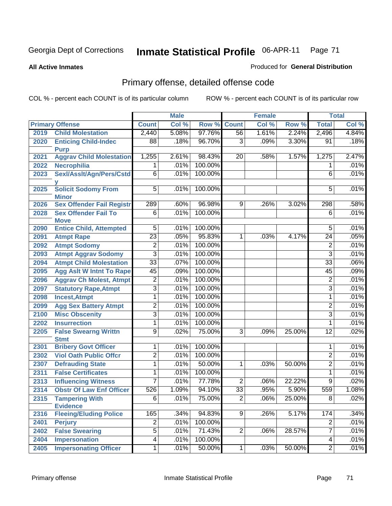#### **All Active Inmates**

#### Produced for **General Distribution**

# Primary offense, detailed offense code

|      |                                          | <b>Male</b>     |       | <b>Female</b> |                |       | <b>Total</b> |                 |       |
|------|------------------------------------------|-----------------|-------|---------------|----------------|-------|--------------|-----------------|-------|
|      | <b>Primary Offense</b>                   | <b>Count</b>    | Col % | Row %         | <b>Count</b>   | Col % | Row %        | <b>Total</b>    | Col % |
| 2019 | <b>Child Molestation</b>                 | 2,440           | 5.08% | 97.76%        | 56             | 1.61% | 2.24%        | 2,496           | 4.84% |
| 2020 | <b>Enticing Child-Indec</b>              | 88              | .18%  | 96.70%        | 3              | .09%  | 3.30%        | 91              | .18%  |
|      | <b>Purp</b>                              |                 |       |               |                |       |              |                 |       |
| 2021 | <b>Aggrav Child Molestation</b>          | 1,255           | 2.61% | 98.43%        | 20             | .58%  | 1.57%        | 1,275           | 2.47% |
| 2022 | <b>Necrophilia</b>                       | 1               | .01%  | 100.00%       |                |       |              | 1               | .01%  |
| 2023 | Sexl/Asslt/Agn/Pers/Cstd                 | 6               | .01%  | 100.00%       |                |       |              | 6               | .01%  |
| 2025 | <b>Solicit Sodomy From</b>               | $5\overline{)}$ | .01%  | 100.00%       |                |       |              | 5               | .01%  |
|      | <b>Minor</b>                             |                 |       |               |                |       |              |                 |       |
| 2026 | <b>Sex Offender Fail Registr</b>         | 289             | .60%  | 96.98%        | 9              | .26%  | 3.02%        | 298             | .58%  |
| 2028 | <b>Sex Offender Fail To</b>              | 6               | .01%  | 100.00%       |                |       |              | 6               | .01%  |
|      | <b>Move</b>                              |                 |       |               |                |       |              |                 |       |
| 2090 | <b>Entice Child, Attempted</b>           | $\overline{5}$  | .01%  | 100.00%       |                |       |              | 5               | .01%  |
| 2091 | <b>Atmpt Rape</b>                        | $\overline{23}$ | .05%  | 95.83%        | 1              | .03%  | 4.17%        | $\overline{24}$ | .05%  |
| 2092 | <b>Atmpt Sodomy</b>                      | $\overline{2}$  | .01%  | 100.00%       |                |       |              | $\overline{2}$  | .01%  |
| 2093 | <b>Atmpt Aggrav Sodomy</b>               | $\overline{3}$  | .01%  | 100.00%       |                |       |              | 3               | .01%  |
| 2094 | <b>Atmpt Child Molestation</b>           | $\overline{33}$ | .07%  | 100.00%       |                |       |              | $\overline{33}$ | .06%  |
| 2095 | <b>Agg Aslt W Intnt To Rape</b>          | 45              | .09%  | 100.00%       |                |       |              | 45              | .09%  |
| 2096 | <b>Aggrav Ch Molest, Atmpt</b>           | $\overline{2}$  | .01%  | 100.00%       |                |       |              | $\overline{2}$  | .01%  |
| 2097 | <b>Statutory Rape, Atmpt</b>             | $\overline{3}$  | .01%  | 100.00%       |                |       |              | $\overline{3}$  | .01%  |
| 2098 | <b>Incest, Atmpt</b>                     | 1               | .01%  | 100.00%       |                |       |              | 1               | .01%  |
| 2099 | <b>Agg Sex Battery Atmpt</b>             | $\overline{2}$  | .01%  | 100.00%       |                |       |              | $\overline{2}$  | .01%  |
| 2100 | <b>Misc Obscenity</b>                    | $\overline{3}$  | .01%  | 100.00%       |                |       |              | $\overline{3}$  | .01%  |
| 2202 | <b>Insurrection</b>                      | $\overline{1}$  | .01%  | 100.00%       |                |       |              | 1               | .01%  |
| 2205 | <b>False Swearng Writtn</b>              | $\overline{9}$  | .02%  | 75.00%        | 3              | .09%  | 25.00%       | $\overline{12}$ | .02%  |
|      | <b>Stmt</b>                              |                 |       |               |                |       |              |                 |       |
| 2301 | <b>Bribery Govt Officer</b>              | 1               | .01%  | 100.00%       |                |       |              | 1               | .01%  |
| 2302 | <b>Viol Oath Public Offcr</b>            | $\overline{2}$  | .01%  | 100.00%       |                |       |              | $\overline{2}$  | .01%  |
| 2307 | <b>Defrauding State</b>                  | 1               | .01%  | 50.00%        | 1              | .03%  | 50.00%       | $\overline{2}$  | .01%  |
| 2311 | <b>False Certificates</b>                | 1               | .01%  | 100.00%       |                |       |              | $\mathbf{1}$    | .01%  |
| 2313 | <b>Influencing Witness</b>               | 7               | .01%  | 77.78%        | $\overline{2}$ | .06%  | 22.22%       | 9               | .02%  |
| 2314 | <b>Obstr Of Law Enf Officer</b>          | 526             | 1.09% | 94.10%        | 33             | .95%  | 5.90%        | 559             | 1.08% |
| 2315 | <b>Tampering With</b><br><b>Evidence</b> | $\overline{6}$  | .01%  | 75.00%        | $\overline{2}$ | .06%  | 25.00%       | $\overline{8}$  | .02%  |
| 2316 | <b>Fleeing/Eluding Police</b>            | 165             | .34%  | 94.83%        | $\overline{9}$ | .26%  | 5.17%        | 174             | .34%  |
| 2401 | <b>Perjury</b>                           | $\overline{2}$  | .01%  | 100.00%       |                |       |              | $\overline{2}$  | .01%  |
| 2402 | <b>False Swearing</b>                    | $\overline{5}$  | .01%  | 71.43%        | $\overline{2}$ | .06%  | 28.57%       | 7               | .01%  |
| 2404 | <b>Impersonation</b>                     | $\overline{4}$  | .01%  | 100.00%       |                |       |              | $\overline{4}$  | .01%  |
| 2405 | <b>Impersonating Officer</b>             | $\overline{1}$  | .01%  | 50.00%        | $\overline{1}$ | .03%  | 50.00%       | $\overline{2}$  | .01%  |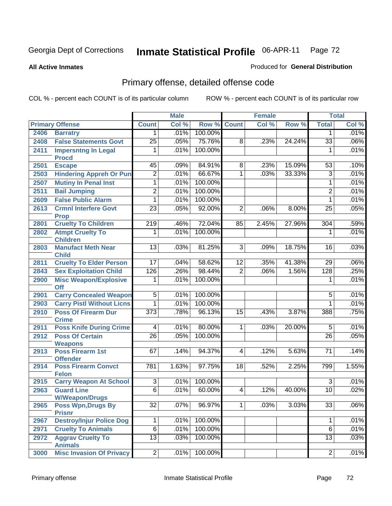#### **All Active Inmates**

#### Produced for **General Distribution**

# Primary offense, detailed offense code

|      |                                                               |                  | <b>Male</b> |         |                 | <b>Female</b> |        |                 | <b>Total</b> |
|------|---------------------------------------------------------------|------------------|-------------|---------|-----------------|---------------|--------|-----------------|--------------|
|      | <b>Primary Offense</b>                                        | <b>Count</b>     | Col %       | Row %   | <b>Count</b>    | Col %         | Row %  | <b>Total</b>    | Col %        |
| 2406 | <b>Barratry</b>                                               | 1 <sup>1</sup>   | .01%        | 100.00% |                 |               |        | 1               | .01%         |
| 2408 | <b>False Statements Govt</b>                                  | $\overline{25}$  | .05%        | 75.76%  | 8               | .23%          | 24.24% | $\overline{33}$ | .06%         |
| 2411 | <b>Impersntng In Legal</b>                                    | 1                | .01%        | 100.00% |                 |               |        | 1               | .01%         |
| 2501 | <b>Procd</b><br><b>Escape</b>                                 | 45               | .09%        | 84.91%  | 8               | .23%          | 15.09% | 53              | .10%         |
| 2503 |                                                               | $\overline{2}$   | .01%        | 66.67%  | 1               | .03%          | 33.33% | $\overline{3}$  | .01%         |
| 2507 | <b>Hindering Appreh Or Pun</b><br><b>Mutiny In Penal Inst</b> | 1                | .01%        | 100.00% |                 |               |        | $\mathbf{1}$    | .01%         |
|      | <b>Bail Jumping</b>                                           | $\overline{2}$   | .01%        | 100.00% |                 |               |        | $\overline{2}$  | .01%         |
| 2511 |                                                               | $\overline{1}$   |             |         |                 |               |        |                 |              |
| 2609 | <b>False Public Alarm</b>                                     |                  | .01%        | 100.00% |                 |               |        | $\mathbf{1}$    | .01%         |
| 2613 | <b>Crmnl Interfere Govt</b>                                   | $\overline{23}$  | .05%        | 92.00%  | $\overline{2}$  | .06%          | 8.00%  | $\overline{25}$ | .05%         |
| 2801 | <b>Prop</b><br><b>Cruelty To Children</b>                     | 219              | .46%        | 72.04%  | 85              | 2.45%         | 27.96% | 304             | .59%         |
| 2802 | <b>Atmpt Cruelty To</b>                                       | $\overline{1}$   | .01%        | 100.00% |                 |               |        | 1               | .01%         |
|      | <b>Children</b>                                               |                  |             |         |                 |               |        |                 |              |
| 2803 | <b>Manufact Meth Near</b>                                     | $\overline{13}$  | .03%        | 81.25%  | $\overline{3}$  | .09%          | 18.75% | 16              | .03%         |
|      | <b>Child</b>                                                  |                  |             |         |                 |               |        |                 |              |
| 2811 | <b>Cruelty To Elder Person</b>                                | $\overline{17}$  | .04%        | 58.62%  | $\overline{12}$ | .35%          | 41.38% | $\overline{29}$ | .06%         |
| 2843 | <b>Sex Exploitation Child</b>                                 | 126              | .26%        | 98.44%  | $\overline{2}$  | .06%          | 1.56%  | 128             | .25%         |
| 2900 | <b>Misc Weapon/Explosive</b>                                  | 1                | .01%        | 100.00% |                 |               |        | 1               | .01%         |
|      | <b>Off</b>                                                    |                  |             |         |                 |               |        |                 |              |
| 2901 | <b>Carry Concealed Weapon</b>                                 | $\overline{5}$   | .01%        | 100.00% |                 |               |        | 5               | .01%         |
| 2903 | <b>Carry Pistl Without Licns</b>                              | 1                | .01%        | 100.00% |                 |               |        | 1               | .01%         |
| 2910 | <b>Poss Of Firearm Dur</b>                                    | $\overline{373}$ | .78%        | 96.13%  | 15              | .43%          | 3.87%  | 388             | .75%         |
| 2911 | <b>Crime</b><br><b>Poss Knife During Crime</b>                | $\overline{4}$   | .01%        | 80.00%  | $\overline{1}$  | .03%          | 20.00% | $\overline{5}$  | .01%         |
| 2912 | <b>Poss Of Certain</b>                                        | $\overline{26}$  | .05%        | 100.00% |                 |               |        | $\overline{26}$ | .05%         |
|      | <b>Weapons</b>                                                |                  |             |         |                 |               |        |                 |              |
| 2913 | <b>Poss Firearm 1st</b>                                       | 67               | .14%        | 94.37%  | $\overline{4}$  | .12%          | 5.63%  | $\overline{71}$ | .14%         |
|      | <b>Offender</b>                                               |                  |             |         |                 |               |        |                 |              |
| 2914 | <b>Poss Firearm Convct</b><br><b>Felon</b>                    | 781              | 1.63%       | 97.75%  | $\overline{18}$ | .52%          | 2.25%  | 799             | 1.55%        |
| 2915 | <b>Carry Weapon At School</b>                                 | $\overline{3}$   | .01%        | 100.00% |                 |               |        | $\overline{3}$  | .01%         |
| 2963 | <b>Guard Line</b>                                             | $\overline{6}$   | .01%        | 60.00%  | $\overline{4}$  | .12%          | 40.00% | 10              | .02%         |
|      | <b>W/Weapon/Drugs</b>                                         |                  |             |         |                 |               |        |                 |              |
| 2965 | <b>Poss Wpn, Drugs By</b>                                     | $\overline{32}$  | $.07\%$     | 96.97%  | $\overline{1}$  | .03%          | 3.03%  | $\overline{33}$ | .06%         |
|      | <b>Prisnr</b>                                                 |                  |             |         |                 |               |        |                 |              |
| 2967 | <b>Destroy/Injur Police Dog</b>                               | $\mathbf{1}$     | .01%        | 100.00% |                 |               |        | 1               | .01%         |
| 2971 | <b>Cruelty To Animals</b>                                     | $\overline{6}$   | .01%        | 100.00% |                 |               |        | $\overline{6}$  | .01%         |
| 2972 | <b>Aggrav Cruelty To</b><br><b>Animals</b>                    | $\overline{13}$  | .03%        | 100.00% |                 |               |        | $\overline{13}$ | .03%         |
| 3000 | <b>Misc Invasion Of Privacy</b>                               | $\overline{2}$   | .01%        | 100.00% |                 |               |        | $\overline{2}$  | .01%         |
|      |                                                               |                  |             |         |                 |               |        |                 |              |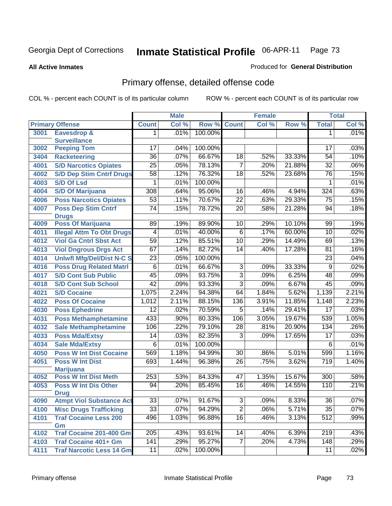**All Active Inmates**

#### Produced for **General Distribution**

# Primary offense, detailed offense code

|      |                                      |                 | <b>Male</b> |         |                 | <b>Female</b> |        |                  | <b>Total</b> |
|------|--------------------------------------|-----------------|-------------|---------|-----------------|---------------|--------|------------------|--------------|
|      | <b>Primary Offense</b>               | <b>Count</b>    | Col %       | Row %   | <b>Count</b>    | Col %         | Row %  | <b>Total</b>     | Col %        |
| 3001 | <b>Eavesdrop &amp;</b>               | 1.              | .01%        | 100.00% |                 |               |        | 1                | .01%         |
|      | <b>Surveillance</b>                  |                 |             |         |                 |               |        |                  |              |
| 3002 | <b>Peeping Tom</b>                   | 17              | .04%        | 100.00% |                 |               |        | 17               | .03%         |
| 3404 | <b>Racketeering</b>                  | $\overline{36}$ | .07%        | 66.67%  | $\overline{18}$ | .52%          | 33.33% | $\overline{54}$  | .10%         |
| 4001 | <b>S/D Narcotics Opiates</b>         | $\overline{25}$ | .05%        | 78.13%  | $\overline{7}$  | .20%          | 21.88% | $\overline{32}$  | .06%         |
| 4002 | <b>S/D Dep Stim Cntrf Drugs</b>      | $\overline{58}$ | .12%        | 76.32%  | $\overline{18}$ | .52%          | 23.68% | 76               | .15%         |
| 4003 | <b>S/D Of Lsd</b>                    | 1               | .01%        | 100.00% |                 |               |        | 1                | .01%         |
| 4004 | <b>S/D Of Marijuana</b>              | 308             | .64%        | 95.06%  | $\overline{16}$ | .46%          | 4.94%  | 324              | .63%         |
| 4006 | <b>Poss Narcotics Opiates</b>        | $\overline{53}$ | .11%        | 70.67%  | $\overline{22}$ | .63%          | 29.33% | $\overline{75}$  | .15%         |
| 4007 | <b>Poss Dep Stim Cntrf</b>           | $\overline{74}$ | .15%        | 78.72%  | $\overline{20}$ | .58%          | 21.28% | 94               | .18%         |
|      | <b>Drugs</b>                         |                 |             |         |                 |               |        |                  |              |
| 4009 | <b>Poss Of Marijuana</b>             | 89              | .19%        | 89.90%  | 10              | .29%          | 10.10% | 99               | .19%         |
| 4011 | <b>Illegal Attm To Obt Drugs</b>     | 4               | .01%        | 40.00%  | 6               | .17%          | 60.00% | $\overline{10}$  | .02%         |
| 4012 | <b>Viol Ga Cntrl Sbst Act</b>        | 59              | .12%        | 85.51%  | 10              | .29%          | 14.49% | 69               | .13%         |
| 4013 | <b>Viol Dngrous Drgs Act</b>         | 67              | .14%        | 82.72%  | 14              | .40%          | 17.28% | 81               | .16%         |
| 4014 | <b>Uniwfi Mfg/Del/Dist N-C S</b>     | $\overline{23}$ | .05%        | 100.00% |                 |               |        | 23               | .04%         |
| 4016 | <b>Poss Drug Related Matri</b>       | $\overline{6}$  | .01%        | 66.67%  | $\overline{3}$  | .09%          | 33.33% | $\overline{9}$   | .02%         |
| 4017 | <b>S/D Cont Sub Public</b>           | $\overline{45}$ | .09%        | 93.75%  | $\overline{3}$  | .09%          | 6.25%  | 48               | .09%         |
| 4018 | <b>S/D Cont Sub School</b>           | $\overline{42}$ | .09%        | 93.33%  | $\overline{3}$  | .09%          | 6.67%  | $\overline{45}$  | .09%         |
| 4021 | <b>S/D Cocaine</b>                   | 1,075           | 2.24%       | 94.38%  | 64              | 1.84%         | 5.62%  | 1,139            | 2.21%        |
| 4022 | <b>Poss Of Cocaine</b>               | 1,012           | 2.11%       | 88.15%  | 136             | 3.91%         | 11.85% | 1,148            | 2.23%        |
| 4030 | <b>Poss Ephedrine</b>                | $\overline{12}$ | .02%        | 70.59%  | $\overline{5}$  | .14%          | 29.41% | $\overline{17}$  | .03%         |
| 4031 | <b>Poss Methamphetamine</b>          | 433             | .90%        | 80.33%  | 106             | 3.05%         | 19.67% | 539              | 1.05%        |
| 4032 | <b>Sale Methamphetamine</b>          | 106             | .22%        | 79.10%  | $\overline{28}$ | .81%          | 20.90% | $\overline{134}$ | .26%         |
| 4033 | <b>Poss Mda/Extsy</b>                | 14              | .03%        | 82.35%  | $\overline{3}$  | .09%          | 17.65% | $\overline{17}$  | .03%         |
| 4034 | <b>Sale Mda/Extsy</b>                | $\overline{6}$  | .01%        | 100.00% |                 |               |        | $\overline{6}$   | .01%         |
| 4050 | <b>Poss W Int Dist Cocaine</b>       | 569             | 1.18%       | 94.99%  | 30              | .86%          | 5.01%  | 599              | 1.16%        |
| 4051 | <b>Poss W Int Dist</b>               | 693             | 1.44%       | 96.38%  | $\overline{26}$ | .75%          | 3.62%  | 719              | 1.40%        |
|      | <b>Marijuana</b>                     |                 |             |         |                 |               |        |                  |              |
| 4052 | <b>Poss W Int Dist Meth</b>          | 253             | .53%        | 84.33%  | 47              | 1.35%         | 15.67% | 300              | .58%         |
| 4053 | <b>Poss W Int Dis Other</b>          | $\overline{94}$ | .20%        | 85.45%  | 16              | .46%          | 14.55% | 110              | .21%         |
|      | <b>Drug</b>                          |                 |             |         |                 |               |        |                  |              |
| 4090 | <b>Atmpt Viol Substance Act</b>      | 33              | .07%        | 91.67%  | 3               | .09%          | 8.33%  | 36               | $.07\%$      |
| 4100 | <b>Misc Drugs Trafficking</b>        | $\overline{33}$ | .07%        | 94.29%  | $\overline{2}$  | .06%          | 5.71%  | $\overline{35}$  | .07%         |
| 4101 | <b>Traf Cocaine Less 200</b>         | 496             | 1.03%       | 96.88%  | 16              | .46%          | 3.13%  | $\overline{512}$ | .99%         |
| 4102 | Gm<br><b>Traf Cocaine 201-400 Gm</b> | 205             | .43%        | 93.61%  | 14              | .40%          | 6.39%  | 219              | .43%         |
| 4103 | <b>Traf Cocaine 401+ Gm</b>          | 141             | .29%        | 95.27%  | $\overline{7}$  | .20%          | 4.73%  | 148              | .29%         |
|      |                                      |                 |             | 100.00% |                 |               |        |                  |              |
| 4111 | <b>Traf Narcotic Less 14 Gm</b>      | 11              | .02%        |         |                 |               |        | 11               | .02%         |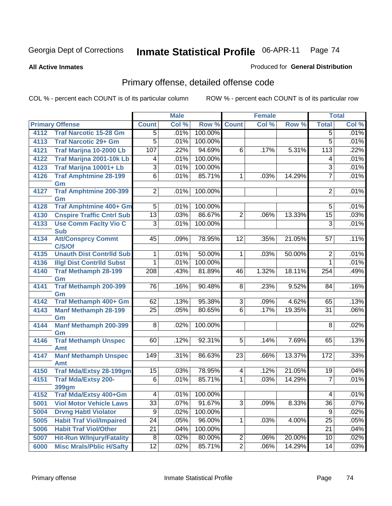**All Active Inmates**

#### Produced for **General Distribution**

# Primary offense, detailed offense code

|      |                                     |                  | <b>Male</b> |         |                 | <b>Female</b> |        |                 | <b>Total</b> |
|------|-------------------------------------|------------------|-------------|---------|-----------------|---------------|--------|-----------------|--------------|
|      | <b>Primary Offense</b>              | <b>Count</b>     | Col %       | Row %   | <b>Count</b>    | Col %         | Row %  | <b>Total</b>    | Col %        |
| 4112 | <b>Traf Narcotic 15-28 Gm</b>       | $\overline{5}$   | .01%        | 100.00% |                 |               |        | $\overline{5}$  | .01%         |
| 4113 | <b>Traf Narcotic 29+ Gm</b>         | $\overline{5}$   | .01%        | 100.00% |                 |               |        | 5               | .01%         |
| 4121 | Traf Marijna 10-2000 Lb             | 107              | .22%        | 94.69%  | 6               | .17%          | 5.31%  | 113             | .22%         |
| 4122 | Traf Marijna 2001-10k Lb            | 4                | .01%        | 100.00% |                 |               |        | 4               | .01%         |
| 4123 | Traf Marijna 10001+ Lb              | $\overline{3}$   | .01%        | 100.00% |                 |               |        | $\overline{3}$  | .01%         |
| 4126 | <b>Traf Amphtmine 28-199</b>        | $\overline{6}$   | .01%        | 85.71%  | $\mathbf{1}$    | .03%          | 14.29% | 7               | .01%         |
|      | Gm                                  |                  |             |         |                 |               |        |                 |              |
| 4127 | <b>Traf Amphtmine 200-399</b>       | $\overline{2}$   | .01%        | 100.00% |                 |               |        | $\overline{2}$  | .01%         |
| 4128 | Gm<br><b>Traf Amphtmine 400+ Gm</b> | $\overline{5}$   | .01%        | 100.00% |                 |               |        | $\overline{5}$  | .01%         |
| 4130 | <b>Cnspire Traffic Cntrl Sub</b>    | $\overline{13}$  | .03%        | 86.67%  | $\overline{2}$  | .06%          | 13.33% | 15              | .03%         |
| 4133 | <b>Use Comm Facity Vio C</b>        | $\overline{3}$   | .01%        | 100.00% |                 |               |        | $\overline{3}$  | .01%         |
|      | <b>Sub</b>                          |                  |             |         |                 |               |        |                 |              |
| 4134 | <b>Att/Consprcy Commt</b>           | 45               | .09%        | 78.95%  | $\overline{12}$ | .35%          | 21.05% | 57              | .11%         |
|      | C/S/Of                              |                  |             |         |                 |               |        |                 |              |
| 4135 | <b>Unauth Dist Contrild Sub</b>     | 1                | .01%        | 50.00%  | $\mathbf 1$     | .03%          | 50.00% | $\overline{2}$  | .01%         |
| 4136 | <b>Illgl Dist Contrild Subst</b>    | 1                | .01%        | 100.00% |                 |               |        | 1               | .01%         |
| 4140 | <b>Traf Methamph 28-199</b>         | $\overline{208}$ | .43%        | 81.89%  | 46              | 1.32%         | 18.11% | 254             | .49%         |
|      | Gm                                  |                  |             |         |                 |               |        |                 |              |
| 4141 | <b>Traf Methamph 200-399</b>        | $\overline{76}$  | .16%        | 90.48%  | 8               | .23%          | 9.52%  | 84              | .16%         |
| 4142 | Gm<br>Traf Methamph 400+ Gm         | 62               | .13%        | 95.38%  | $\overline{3}$  | .09%          | 4.62%  | 65              | .13%         |
| 4143 | <b>Manf Methamph 28-199</b>         | $\overline{25}$  | .05%        | 80.65%  | $\overline{6}$  | .17%          | 19.35% | $\overline{31}$ | .06%         |
|      | Gm                                  |                  |             |         |                 |               |        |                 |              |
| 4144 | <b>Manf Methamph 200-399</b>        | 8 <sup>1</sup>   | .02%        | 100.00% |                 |               |        | 8               | .02%         |
|      | Gm                                  |                  |             |         |                 |               |        |                 |              |
| 4146 | <b>Traf Methamph Unspec</b>         | $\overline{60}$  | .12%        | 92.31%  | $\overline{5}$  | .14%          | 7.69%  | 65              | .13%         |
|      | Amt                                 |                  |             |         |                 |               |        |                 |              |
| 4147 | <b>Manf Methamph Unspec</b><br>Amt  | $\overline{149}$ | .31%        | 86.63%  | 23              | .66%          | 13.37% | 172             | .33%         |
| 4150 | <b>Traf Mda/Extsy 28-199gm</b>      | $\overline{15}$  | .03%        | 78.95%  | 4               | .12%          | 21.05% | 19              | .04%         |
| 4151 | <b>Traf Mda/Extsy 200-</b>          | $\overline{6}$   | .01%        | 85.71%  | $\overline{1}$  | .03%          | 14.29% | 7               | .01%         |
|      | <b>399gm</b>                        |                  |             |         |                 |               |        |                 |              |
| 4152 | Traf Mda/Extsy 400+Gm               | $\vert 4 \vert$  | $.01\%$     | 100.00% |                 |               |        | 4               | .01%         |
| 5001 | <b>Viol Motor Vehicle Laws</b>      | 33               | .07%        | 91.67%  | $\overline{3}$  | .09%          | 8.33%  | $\overline{36}$ | .07%         |
| 5004 | <b>Drvng Habtl Violator</b>         | 9                | .02%        | 100.00% |                 |               |        | 9               | .02%         |
| 5005 | <b>Habit Traf Viol/Impaired</b>     | $\overline{24}$  | .05%        | 96.00%  | $\mathbf 1$     | .03%          | 4.00%  | $\overline{25}$ | .05%         |
| 5006 | <b>Habit Traf Viol/Other</b>        | $\overline{21}$  | .04%        | 100.00% |                 |               |        | 21              | .04%         |
| 5007 | <b>Hit-Run W/Injury/Fatality</b>    | 8                | .02%        | 80.00%  | $\overline{c}$  | .06%          | 20.00% | 10              | .02%         |
| 6000 | <b>Misc Mrals/Pblic H/Safty</b>     | $\overline{12}$  | .02%        | 85.71%  | $\overline{2}$  | .06%          | 14.29% | 14              | .03%         |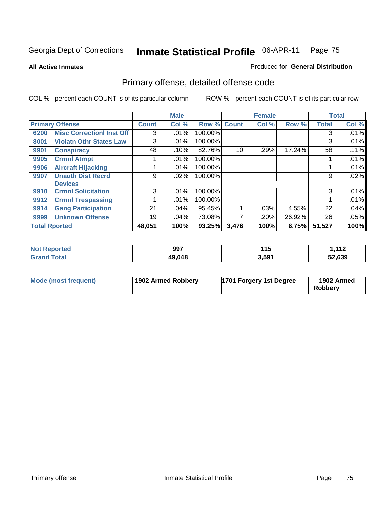**All Active Inmates**

#### Produced for **General Distribution**

# Primary offense, detailed offense code

|      |                                  |              | <b>Male</b> |         |              | <b>Female</b> |        |              | <b>Total</b> |
|------|----------------------------------|--------------|-------------|---------|--------------|---------------|--------|--------------|--------------|
|      | <b>Primary Offense</b>           | <b>Count</b> | Col %       | Row %   | <b>Count</b> | Col %         | Row %  | <b>Total</b> | Col %        |
| 6200 | <b>Misc CorrectionI Inst Off</b> | 3            | .01%        | 100.00% |              |               |        | 3            | $.01\%$      |
| 8001 | <b>Violatn Othr States Law</b>   | 3            | .01%        | 100.00% |              |               |        | 3            | .01%         |
| 9901 | <b>Conspiracy</b>                | 48           | .10%        | 82.76%  | 10           | .29%          | 17.24% | 58           | .11%         |
| 9905 | <b>Crmnl Atmpt</b>               |              | .01%        | 100.00% |              |               |        |              | .01%         |
| 9906 | <b>Aircraft Hijacking</b>        |              | $.01\%$     | 100.00% |              |               |        |              | .01%         |
| 9907 | <b>Unauth Dist Recrd</b>         | 9            | .02%        | 100.00% |              |               |        | 9            | .02%         |
|      | <b>Devices</b>                   |              |             |         |              |               |        |              |              |
| 9910 | <b>Crmnl Solicitation</b>        | 3            | .01%        | 100.00% |              |               |        | 3            | .01%         |
| 9912 | <b>Crmnl Trespassing</b>         |              | .01%        | 100.00% |              |               |        |              | .01%         |
| 9914 | <b>Gang Participation</b>        | 21           | $.04\%$     | 95.45%  |              | .03%          | 4.55%  | 22           | .04%         |
| 9999 | <b>Unknown Offense</b>           | 19           | .04%        | 73.08%  | 7            | .20%          | 26.92% | 26           | .05%         |
|      | <b>Total Rported</b>             | 48,051       | 100%        | 93.25%  | 3,476        | 100%          | 6.75%  | 51,527       | 100%         |

| <b>Not Reported</b> | 997    | <b>115</b><br>. | $-112$<br>11Z |
|---------------------|--------|-----------------|---------------|
| <b>Grand Total</b>  | 49,048 | 3,591           | 52,639        |

| Mode (most frequent) | 1902 Armed Robbery | <b>1701 Forgery 1st Degree</b> | 1902 Armed<br>Robbery |
|----------------------|--------------------|--------------------------------|-----------------------|
|----------------------|--------------------|--------------------------------|-----------------------|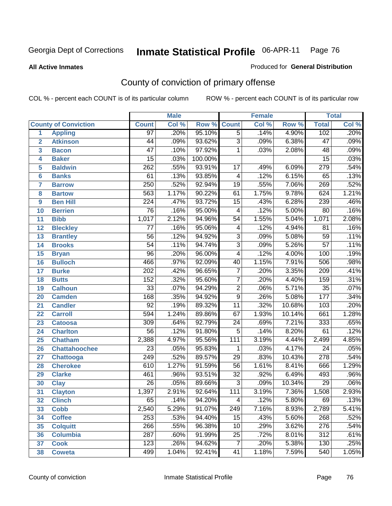**All Active Inmates**

#### Produced for **General Distribution**

# County of conviction of primary offense

|                         |                             |                  | <b>Male</b> |         |                         | <b>Female</b> |          |                  | <b>Total</b> |
|-------------------------|-----------------------------|------------------|-------------|---------|-------------------------|---------------|----------|------------------|--------------|
|                         | <b>County of Conviction</b> | <b>Count</b>     | Col %       | Row %   | <b>Count</b>            | Col %         | Row %    | <b>Total</b>     | Col %        |
| 1                       | <b>Appling</b>              | $\overline{97}$  | .20%        | 95.10%  | $\overline{5}$          | .14%          | 4.90%    | 102              | .20%         |
| $\overline{2}$          | <b>Atkinson</b>             | 44               | .09%        | 93.62%  | $\overline{3}$          | .09%          | 6.38%    | $\overline{47}$  | .09%         |
| $\overline{\mathbf{3}}$ | <b>Bacon</b>                | $\overline{47}$  | .10%        | 97.92%  | 1                       | .03%          | 2.08%    | 48               | .09%         |
| 4                       | <b>Baker</b>                | $\overline{15}$  | .03%        | 100.00% |                         |               |          | $\overline{15}$  | .03%         |
| 5                       | <b>Baldwin</b>              | $\overline{262}$ | .55%        | 93.91%  | $\overline{17}$         | .49%          | 6.09%    | 279              | .54%         |
| 6                       | <b>Banks</b>                | 61               | .13%        | 93.85%  | $\overline{4}$          | .12%          | 6.15%    | 65               | .13%         |
| 7                       | <b>Barrow</b>               | 250              | .52%        | 92.94%  | $\overline{19}$         | .55%          | 7.06%    | 269              | .52%         |
| 8                       | <b>Bartow</b>               | 563              | 1.17%       | 90.22%  | 61                      | 1.75%         | 9.78%    | 624              | 1.21%        |
| 9                       | <b>Ben Hill</b>             | $\overline{224}$ | .47%        | 93.72%  | $\overline{15}$         | .43%          | 6.28%    | 239              | .46%         |
| 10                      | <b>Berrien</b>              | $\overline{76}$  | .16%        | 95.00%  | $\overline{4}$          | .12%          | 5.00%    | 80               | .16%         |
| 11                      | <b>Bibb</b>                 | 1,017            | 2.12%       | 94.96%  | $\overline{54}$         | 1.55%         | 5.04%    | 1,071            | 2.08%        |
| 12                      | <b>Bleckley</b>             | 77               | .16%        | 95.06%  | $\overline{\mathbf{4}}$ | .12%          | 4.94%    | $\overline{81}$  | .16%         |
| $\overline{13}$         | <b>Brantley</b>             | $\overline{56}$  | .12%        | 94.92%  | $\overline{3}$          | .09%          | 5.08%    | $\overline{59}$  | .11%         |
| 14                      | <b>Brooks</b>               | $\overline{54}$  | .11%        | 94.74%  | $\overline{3}$          | .09%          | 5.26%    | $\overline{57}$  | .11%         |
| 15                      | <b>Bryan</b>                | $\overline{96}$  | .20%        | 96.00%  | $\overline{4}$          | .12%          | 4.00%    | 100              | .19%         |
| 16                      | <b>Bulloch</b>              | 466              | .97%        | 92.09%  | 40                      | 1.15%         | 7.91%    | 506              | .98%         |
| 17                      | <b>Burke</b>                | $\overline{202}$ | .42%        | 96.65%  | $\overline{7}$          | .20%          | 3.35%    | $\overline{209}$ | .41%         |
| 18                      | <b>Butts</b>                | 152              | .32%        | 95.60%  | $\overline{7}$          | .20%          | 4.40%    | 159              | .31%         |
| 19                      | <b>Calhoun</b>              | $\overline{33}$  | .07%        | 94.29%  | $\overline{2}$          | .06%          | 5.71%    | $\overline{35}$  | .07%         |
| 20                      | <b>Camden</b>               | 168              | .35%        | 94.92%  | $\overline{9}$          | .26%          | 5.08%    | 177              | .34%         |
| 21                      | <b>Candler</b>              | $\overline{92}$  | .19%        | 89.32%  | $\overline{11}$         | .32%          | 10.68%   | 103              | .20%         |
| 22                      | <b>Carroll</b>              | 594              | 1.24%       | 89.86%  | 67                      | 1.93%         | 10.14%   | 661              | 1.28%        |
| 23                      | <b>Catoosa</b>              | 309              | .64%        | 92.79%  | $\overline{24}$         | .69%          | 7.21%    | $\frac{1}{333}$  | .65%         |
| 24                      | <b>Charlton</b>             | $\overline{56}$  | .12%        | 91.80%  | 5                       | .14%          | 8.20%    | 61               | .12%         |
| 25                      | <b>Chatham</b>              | 2,388            | 4.97%       | 95.56%  | 111                     | 3.19%         | 4.44%    | 2,499            | 4.85%        |
| 26                      | <b>Chattahoochee</b>        | $\overline{23}$  | .05%        | 95.83%  | 1                       | .03%          | 4.17%    | $\overline{24}$  | .05%         |
| 27                      | <b>Chattooga</b>            | 249              | .52%        | 89.57%  | $\overline{29}$         | .83%          | 10.43%   | 278              | .54%         |
| 28                      | <b>Cherokee</b>             | 610              | 1.27%       | 91.59%  | $\overline{56}$         | 1.61%         | 8.41%    | 666              | 1.29%        |
| 29                      | <b>Clarke</b>               | 461              | .96%        | 93.51%  | $\overline{32}$         | .92%          | 6.49%    | 493              | .96%         |
| 30                      | <b>Clay</b>                 | $\overline{26}$  | .05%        | 89.66%  | $\overline{3}$          | .09%          | 10.34%   | $\overline{29}$  | .06%         |
| 31                      | <b>Clayton</b>              | 1,397            | 2.91%       | 92.64%  | 111                     | 3.19%         | 7.36%    | 1,508            | 2.93%        |
| 32                      | <b>Clinch</b>               | 65               | .14%        | 94.20%  | 4                       | .12%          | $5.80\%$ | 69               | .13%         |
| 33                      | <b>Cobb</b>                 | 2,540            | 5.29%       | 91.07%  | 249                     | 7.16%         | 8.93%    | 2,789            | 5.41%        |
| 34                      | <b>Coffee</b>               | 253              | .53%        | 94.40%  | 15                      | .43%          | 5.60%    | 268              | .52%         |
| 35                      | <b>Colquitt</b>             | 266              | .55%        | 96.38%  | 10                      | .29%          | 3.62%    | 276              | .54%         |
| 36                      | <b>Columbia</b>             | 287              | .60%        | 91.99%  | 25                      | .72%          | 8.01%    | 312              | .61%         |
| 37                      | <b>Cook</b>                 | 123              | .26%        | 94.62%  | $\overline{7}$          | .20%          | 5.38%    | 130              | .25%         |
| 38                      | <b>Coweta</b>               | 499              | 1.04%       | 92.41%  | 41                      | 1.18%         | 7.59%    | 540              | 1.05%        |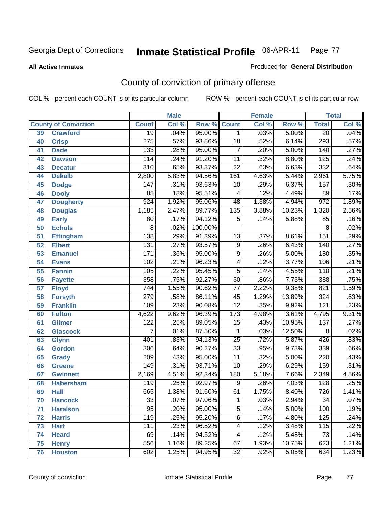#### **All Active Inmates**

#### Produced for **General Distribution**

# County of conviction of primary offense

|                 |                             |                  | <b>Male</b> |         | Female                   |       |        | <b>Total</b>     |       |
|-----------------|-----------------------------|------------------|-------------|---------|--------------------------|-------|--------|------------------|-------|
|                 | <b>County of Conviction</b> | <b>Count</b>     | Col %       | Row %   | <b>Count</b>             | Col % | Row %  | <b>Total</b>     | Col % |
| 39              | <b>Crawford</b>             | $\overline{19}$  | .04%        | 95.00%  | $\mathbf 1$              | .03%  | 5.00%  | $\overline{20}$  | .04%  |
| 40              | <b>Crisp</b>                | $\overline{275}$ | .57%        | 93.86%  | $\overline{18}$          | .52%  | 6.14%  | 293              | .57%  |
| 41              | <b>Dade</b>                 | $\overline{133}$ | .28%        | 95.00%  | $\overline{7}$           | .20%  | 5.00%  | 140              | .27%  |
| 42              | <b>Dawson</b>               | 114              | .24%        | 91.20%  | $\overline{11}$          | .32%  | 8.80%  | $\overline{125}$ | .24%  |
| 43              | <b>Decatur</b>              | $\overline{310}$ | .65%        | 93.37%  | $\overline{22}$          | .63%  | 6.63%  | 332              | .64%  |
| 44              | <b>Dekalb</b>               | 2,800            | 5.83%       | 94.56%  | 161                      | 4.63% | 5.44%  | 2,961            | 5.75% |
| 45              | <b>Dodge</b>                | 147              | .31%        | 93.63%  | 10                       | .29%  | 6.37%  | 157              | .30%  |
| 46              | <b>Dooly</b>                | 85               | .18%        | 95.51%  | $\overline{\mathcal{A}}$ | .12%  | 4.49%  | 89               | .17%  |
| 47              | <b>Dougherty</b>            | $\overline{924}$ | 1.92%       | 95.06%  | 48                       | 1.38% | 4.94%  | $\overline{972}$ | 1.89% |
| 48              | <b>Douglas</b>              | 1,185            | 2.47%       | 89.77%  | 135                      | 3.88% | 10.23% | 1,320            | 2.56% |
| 49              | <b>Early</b>                | 80               | .17%        | 94.12%  | 5                        | .14%  | 5.88%  | 85               | .16%  |
| 50              | <b>Echols</b>               | $\overline{8}$   | .02%        | 100.00% |                          |       |        | $\overline{8}$   | .02%  |
| $\overline{51}$ | <b>Effingham</b>            | 138              | .29%        | 91.39%  | 13                       | .37%  | 8.61%  | 151              | .29%  |
| 52              | <b>Elbert</b>               | 131              | .27%        | 93.57%  | $\overline{9}$           | .26%  | 6.43%  | 140              | .27%  |
| 53              | <b>Emanuel</b>              | 171              | .36%        | 95.00%  | $\overline{9}$           | .26%  | 5.00%  | 180              | .35%  |
| $\overline{54}$ | <b>Evans</b>                | 102              | .21%        | 96.23%  | 4                        | .12%  | 3.77%  | 106              | .21%  |
| 55              | <b>Fannin</b>               | 105              | .22%        | 95.45%  | $\overline{5}$           | .14%  | 4.55%  | $\overline{110}$ | .21%  |
| 56              | <b>Fayette</b>              | 358              | .75%        | 92.27%  | $\overline{30}$          | .86%  | 7.73%  | 388              | .75%  |
| 57              | <b>Floyd</b>                | 744              | 1.55%       | 90.62%  | 77                       | 2.22% | 9.38%  | 821              | 1.59% |
| 58              | <b>Forsyth</b>              | 279              | .58%        | 86.11%  | 45                       | 1.29% | 13.89% | 324              | .63%  |
| 59              | <b>Franklin</b>             | 109              | .23%        | 90.08%  | $\overline{12}$          | .35%  | 9.92%  | 121              | .23%  |
| 60              | <b>Fulton</b>               | 4,622            | 9.62%       | 96.39%  | 173                      | 4.98% | 3.61%  | 4,795            | 9.31% |
| 61              | Gilmer                      | 122              | .25%        | 89.05%  | $\overline{15}$          | .43%  | 10.95% | $\overline{137}$ | .27%  |
| 62              | <b>Glascock</b>             | $\overline{7}$   | .01%        | 87.50%  | $\mathbf{1}$             | .03%  | 12.50% | 8                | .02%  |
| 63              | <b>Glynn</b>                | 401              | .83%        | 94.13%  | $\overline{25}$          | .72%  | 5.87%  | 426              | .83%  |
| 64              | <b>Gordon</b>               | 306              | .64%        | 90.27%  | $\overline{33}$          | .95%  | 9.73%  | 339              | .66%  |
| 65              | <b>Grady</b>                | $\overline{209}$ | .43%        | 95.00%  | $\overline{11}$          | .32%  | 5.00%  | $\overline{220}$ | .43%  |
| 66              | <b>Greene</b>               | 149              | .31%        | 93.71%  | $\overline{10}$          | .29%  | 6.29%  | 159              | .31%  |
| 67              | <b>Gwinnett</b>             | 2,169            | 4.51%       | 92.34%  | 180                      | 5.18% | 7.66%  | 2,349            | 4.56% |
| 68              | <b>Habersham</b>            | $\overline{119}$ | .25%        | 92.97%  | $\overline{9}$           | .26%  | 7.03%  | 128              | .25%  |
| 69              | <b>Hall</b>                 | 665              | 1.38%       | 91.60%  | 61                       | 1.75% | 8.40%  | 726              | 1.41% |
| 70              | <b>Hancock</b>              | 33               | .07%        | 97.06%  | 1                        | .03%  | 2.94%  | 34               | .07%  |
| 71              | <b>Haralson</b>             | $\overline{95}$  | .20%        | 95.00%  | $\overline{5}$           | .14%  | 5.00%  | 100              | .19%  |
| 72              | <b>Harris</b>               | $\overline{119}$ | .25%        | 95.20%  | $\overline{6}$           | .17%  | 4.80%  | 125              | .24%  |
| 73              | <b>Hart</b>                 | 111              | .23%        | 96.52%  | 4                        | .12%  | 3.48%  | 115              | .22%  |
| 74              | <b>Heard</b>                | 69               | .14%        | 94.52%  | 4                        | .12%  | 5.48%  | $\overline{73}$  | .14%  |
| 75              | <b>Henry</b>                | 556              | 1.16%       | 89.25%  | 67                       | 1.93% | 10.75% | 623              | 1.21% |
| 76              | <b>Houston</b>              | 602              | 1.25%       | 94.95%  | $\overline{32}$          | .92%  | 5.05%  | 634              | 1.23% |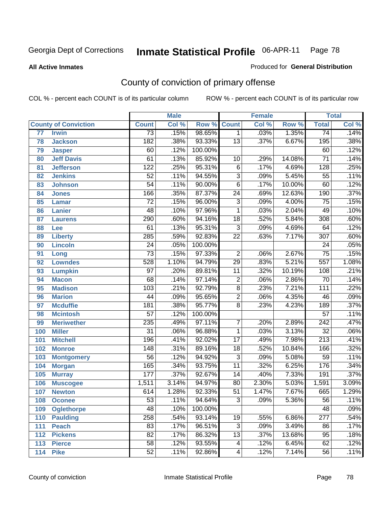**All Active Inmates**

#### Produced for **General Distribution**

# County of conviction of primary offense

|                 |                             |                  | <b>Male</b> |         | <b>Female</b>   |       | <b>Total</b> |                  |       |
|-----------------|-----------------------------|------------------|-------------|---------|-----------------|-------|--------------|------------------|-------|
|                 | <b>County of Conviction</b> | <b>Count</b>     | Col %       | Row %   | <b>Count</b>    | Col % | Row %        | <b>Total</b>     | Col % |
| $\overline{77}$ | <b>Irwin</b>                | $\overline{73}$  | .15%        | 98.65%  | $\mathbf 1$     | .03%  | 1.35%        | 74               | .14%  |
| 78              | <b>Jackson</b>              | 182              | .38%        | 93.33%  | $\overline{13}$ | .37%  | 6.67%        | 195              | .38%  |
| 79              | <b>Jasper</b>               | 60               | .12%        | 100.00% |                 |       |              | 60               | .12%  |
| 80              | <b>Jeff Davis</b>           | 61               | .13%        | 85.92%  | 10              | .29%  | 14.08%       | $\overline{71}$  | .14%  |
| 81              | <b>Jefferson</b>            | $\overline{122}$ | .25%        | 95.31%  | $\overline{6}$  | .17%  | 4.69%        | $\overline{128}$ | .25%  |
| 82              | <b>Jenkins</b>              | $\overline{52}$  | .11%        | 94.55%  | $\overline{3}$  | .09%  | 5.45%        | $\overline{55}$  | .11%  |
| 83              | <b>Johnson</b>              | $\overline{54}$  | .11%        | 90.00%  | $\overline{6}$  | .17%  | 10.00%       | 60               | .12%  |
| 84              | <b>Jones</b>                | 166              | .35%        | 87.37%  | $\overline{24}$ | .69%  | 12.63%       | 190              | .37%  |
| 85              | <b>Lamar</b>                | $\overline{72}$  | .15%        | 96.00%  | $\overline{3}$  | .09%  | 4.00%        | $\overline{75}$  | .15%  |
| 86              | <b>Lanier</b>               | $\overline{48}$  | .10%        | 97.96%  | $\mathbf{1}$    | .03%  | 2.04%        | 49               | .10%  |
| 87              | <b>Laurens</b>              | 290              | .60%        | 94.16%  | 18              | .52%  | 5.84%        | 308              | .60%  |
| 88              | Lee                         | 61               | .13%        | 95.31%  | $\overline{3}$  | .09%  | 4.69%        | 64               | .12%  |
| 89              | <b>Liberty</b>              | 285              | .59%        | 92.83%  | $\overline{22}$ | .63%  | 7.17%        | $\overline{307}$ | .60%  |
| 90              | <b>Lincoln</b>              | $\overline{24}$  | .05%        | 100.00% |                 |       |              | $\overline{24}$  | .05%  |
| 91              | Long                        | $\overline{73}$  | .15%        | 97.33%  | $\overline{2}$  | .06%  | 2.67%        | $\overline{75}$  | .15%  |
| 92              | <b>Lowndes</b>              | 528              | 1.10%       | 94.79%  | $\overline{29}$ | .83%  | 5.21%        | $\overline{557}$ | 1.08% |
| 93              | <b>Lumpkin</b>              | $\overline{97}$  | .20%        | 89.81%  | $\overline{11}$ | .32%  | 10.19%       | 108              | .21%  |
| 94              | <b>Macon</b>                | 68               | .14%        | 97.14%  | $\overline{2}$  | .06%  | 2.86%        | $\overline{70}$  | .14%  |
| 95              | <b>Madison</b>              | 103              | .21%        | 92.79%  | $\overline{8}$  | .23%  | 7.21%        | $\overline{111}$ | .22%  |
| 96              | <b>Marion</b>               | $\overline{44}$  | .09%        | 95.65%  | $\overline{2}$  | .06%  | 4.35%        | $\overline{46}$  | .09%  |
| 97              | <b>Mcduffie</b>             | 181              | .38%        | 95.77%  | $\overline{8}$  | .23%  | 4.23%        | 189              | .37%  |
| 98              | <b>Mcintosh</b>             | $\overline{57}$  | .12%        | 100.00% |                 |       |              | $\overline{57}$  | .11%  |
| 99              | <b>Meriwether</b>           | 235              | .49%        | 97.11%  | $\overline{7}$  | .20%  | 2.89%        | 242              | .47%  |
| 100             | <b>Miller</b>               | $\overline{31}$  | .06%        | 96.88%  | $\mathbf{1}$    | .03%  | 3.13%        | $\overline{32}$  | .06%  |
| 101             | <b>Mitchell</b>             | 196              | .41%        | 92.02%  | $\overline{17}$ | .49%  | 7.98%        | $\overline{213}$ | .41%  |
| 102             | <b>Monroe</b>               | $\overline{148}$ | .31%        | 89.16%  | $\overline{18}$ | .52%  | 10.84%       | 166              | .32%  |
| 103             | <b>Montgomery</b>           | $\overline{56}$  | .12%        | 94.92%  | $\overline{3}$  | .09%  | 5.08%        | 59               | .11%  |
| 104             | <b>Morgan</b>               | 165              | .34%        | 93.75%  | $\overline{11}$ | .32%  | 6.25%        | 176              | .34%  |
| 105             | <b>Murray</b>               | 177              | .37%        | 92.67%  | $\overline{14}$ | .40%  | 7.33%        | 191              | .37%  |
| 106             | <b>Muscogee</b>             | 1,511            | 3.14%       | 94.97%  | $\overline{80}$ | 2.30% | 5.03%        | 1,591            | 3.09% |
| 107             | <b>Newton</b>               | 614              | 1.28%       | 92.33%  | $\overline{51}$ | 1.47% | 7.67%        | 665              | 1.29% |
| 108             | <b>Oconee</b>               | 53               | .11%        | 94.64%  | 3               | .09%  | 5.36%        | $\overline{56}$  | .11%  |
| 109             | <b>Oglethorpe</b>           | 48               | .10%        | 100.00% |                 |       |              | 48               | .09%  |
| 110             | <b>Paulding</b>             | 258              | .54%        | 93.14%  | $\overline{19}$ | .55%  | 6.86%        | $\overline{277}$ | .54%  |
| 111             | <b>Peach</b>                | 83               | .17%        | 96.51%  | $\overline{3}$  | .09%  | 3.49%        | 86               | .17%  |
| 112             | <b>Pickens</b>              | $\overline{82}$  | .17%        | 86.32%  | $\overline{13}$ | .37%  | 13.68%       | 95               | .18%  |
| 113             | <b>Pierce</b>               | $\overline{58}$  | .12%        | 93.55%  | 4               | .12%  | 6.45%        | 62               | .12%  |
| 114             | <b>Pike</b>                 | $\overline{52}$  | .11%        | 92.86%  | 4               | .12%  | 7.14%        | 56               | .11%  |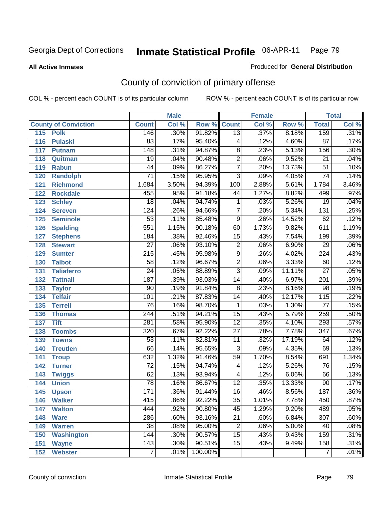**All Active Inmates**

#### Produced for **General Distribution**

# County of conviction of primary offense

|     |                             |                  | <b>Male</b> |                    |                 | <b>Female</b> |        |                  | <b>Total</b> |
|-----|-----------------------------|------------------|-------------|--------------------|-----------------|---------------|--------|------------------|--------------|
|     | <b>County of Conviction</b> | <b>Count</b>     | Col %       | <b>Row % Count</b> |                 | Col %         | Row %  | <b>Total</b>     | Col %        |
| 115 | <b>Polk</b>                 | 146              | .30%        | 91.82%             | $\overline{13}$ | .37%          | 8.18%  | 159              | .31%         |
| 116 | <b>Pulaski</b>              | 83               | .17%        | 95.40%             | 4               | .12%          | 4.60%  | 87               | .17%         |
| 117 | <b>Putnam</b>               | $\overline{148}$ | .31%        | 94.87%             | $\overline{8}$  | .23%          | 5.13%  | 156              | .30%         |
| 118 | Quitman                     | 19               | .04%        | 90.48%             | $\overline{2}$  | .06%          | 9.52%  | 21               | .04%         |
| 119 | <b>Rabun</b>                | $\overline{44}$  | .09%        | 86.27%             | $\overline{7}$  | .20%          | 13.73% | $\overline{51}$  | .10%         |
| 120 | <b>Randolph</b>             | $\overline{71}$  | .15%        | 95.95%             | $\overline{3}$  | .09%          | 4.05%  | $\overline{74}$  | .14%         |
| 121 | <b>Richmond</b>             | 1,684            | 3.50%       | 94.39%             | 100             | 2.88%         | 5.61%  | 1,784            | 3.46%        |
| 122 | <b>Rockdale</b>             | 455              | .95%        | 91.18%             | 44              | 1.27%         | 8.82%  | 499              | .97%         |
| 123 | <b>Schley</b>               | $\overline{18}$  | .04%        | 94.74%             | 1               | .03%          | 5.26%  | $\overline{19}$  | .04%         |
| 124 | <b>Screven</b>              | 124              | .26%        | 94.66%             | $\overline{7}$  | .20%          | 5.34%  | $\overline{131}$ | .25%         |
| 125 | <b>Seminole</b>             | $\overline{53}$  | .11%        | 85.48%             | $\overline{9}$  | .26%          | 14.52% | 62               | .12%         |
| 126 | <b>Spalding</b>             | $\overline{551}$ | 1.15%       | 90.18%             | 60              | 1.73%         | 9.82%  | 611              | 1.19%        |
| 127 | <b>Stephens</b>             | 184              | .38%        | 92.46%             | $\overline{15}$ | .43%          | 7.54%  | 199              | .39%         |
| 128 | <b>Stewart</b>              | $\overline{27}$  | .06%        | 93.10%             | $\overline{2}$  | .06%          | 6.90%  | 29               | .06%         |
| 129 | <b>Sumter</b>               | $\overline{215}$ | .45%        | 95.98%             | $\overline{9}$  | .26%          | 4.02%  | $\overline{224}$ | .43%         |
| 130 | <b>Talbot</b>               | 58               | .12%        | 96.67%             | $\overline{2}$  | .06%          | 3.33%  | 60               | .12%         |
| 131 | <b>Taliaferro</b>           | $\overline{24}$  | .05%        | 88.89%             | $\overline{3}$  | .09%          | 11.11% | $\overline{27}$  | .05%         |
| 132 | <b>Tattnall</b>             | $\overline{187}$ | .39%        | 93.03%             | 14              | .40%          | 6.97%  | $\overline{201}$ | .39%         |
| 133 | <b>Taylor</b>               | $\overline{90}$  | .19%        | 91.84%             | $\overline{8}$  | .23%          | 8.16%  | $\overline{98}$  | .19%         |
| 134 | <b>Telfair</b>              | 101              | .21%        | 87.83%             | 14              | .40%          | 12.17% | 115              | .22%         |
| 135 | <b>Terrell</b>              | $\overline{76}$  | .16%        | 98.70%             | $\mathbf{1}$    | .03%          | 1.30%  | $\overline{77}$  | .15%         |
| 136 | <b>Thomas</b>               | $\overline{244}$ | .51%        | 94.21%             | $\overline{15}$ | .43%          | 5.79%  | 259              | .50%         |
| 137 | <b>Tift</b>                 | $\overline{281}$ | .58%        | 95.90%             | $\overline{12}$ | .35%          | 4.10%  | 293              | .57%         |
| 138 | <b>Toombs</b>               | 320              | .67%        | 92.22%             | 27              | .78%          | 7.78%  | $\overline{347}$ | .67%         |
| 139 | <b>Towns</b>                | $\overline{53}$  | .11%        | 82.81%             | $\overline{11}$ | .32%          | 17.19% | 64               | .12%         |
| 140 | <b>Treutlen</b>             | 66               | .14%        | 95.65%             | 3               | .09%          | 4.35%  | 69               | .13%         |
| 141 | <b>Troup</b>                | 632              | 1.32%       | 91.46%             | 59              | 1.70%         | 8.54%  | 691              | 1.34%        |
| 142 | <b>Turner</b>               | $\overline{72}$  | .15%        | 94.74%             | 4               | .12%          | 5.26%  | 76               | .15%         |
| 143 | <b>Twiggs</b>               | $\overline{62}$  | .13%        | 93.94%             | 4               | .12%          | 6.06%  | 66               | .13%         |
| 144 | <b>Union</b>                | $\overline{78}$  | .16%        | 86.67%             | $\overline{12}$ | .35%          | 13.33% | 90               | .17%         |
| 145 | <b>Upson</b>                | 171              | .36%        | 91.44%             | $\overline{16}$ | .46%          | 8.56%  | 187              | .36%         |
| 146 | <b>Walker</b>               | 415              | .86%        | 92.22%             | 35              | 1.01%         | 7.78%  | 450              | .87%         |
| 147 | <b>Walton</b>               | 444              | .92%        | 90.80%             | $\overline{45}$ | 1.29%         | 9.20%  | 489              | .95%         |
| 148 | <b>Ware</b>                 | 286              | .60%        | 93.16%             | $\overline{21}$ | .60%          | 6.84%  | 307              | .60%         |
| 149 | <b>Warren</b>               | $\overline{38}$  | .08%        | 95.00%             | $\overline{2}$  | .06%          | 5.00%  | 40               | .08%         |
| 150 | <b>Washington</b>           | 144              | .30%        | 90.57%             | 15              | .43%          | 9.43%  | 159              | .31%         |
| 151 | <b>Wayne</b>                | 143              | .30%        | 90.51%             | 15              | .43%          | 9.49%  | 158              | .31%         |
| 152 | <b>Webster</b>              | $\overline{7}$   | .01%        | 100.00%            |                 |               |        | $\overline{7}$   | .01%         |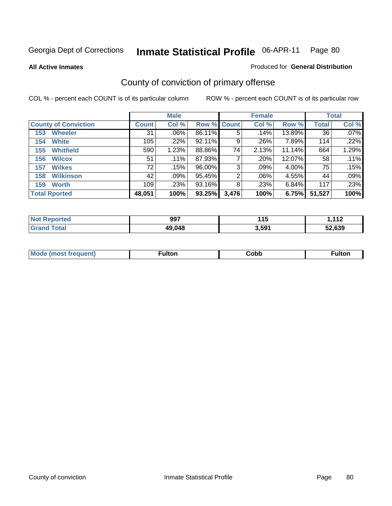**All Active Inmates**

#### Produced for **General Distribution**

# County of conviction of primary offense

|                             |              | <b>Male</b> |                    |       | <b>Female</b> |        |              | <b>Total</b> |
|-----------------------------|--------------|-------------|--------------------|-------|---------------|--------|--------------|--------------|
| <b>County of Conviction</b> | <b>Count</b> | Col %       | <b>Row % Count</b> |       | Col %         | Row %  | <b>Total</b> | Col %        |
| <b>Wheeler</b><br>153       | 31           | $.06\%$     | 86.11%             | 5     | .14%          | 13.89% | 36           | $.07\%$      |
| <b>White</b><br>154         | 105          | .22%        | $92.11\%$          | 9     | .26%          | 7.89%  | 114          | .22%         |
| <b>Whitfield</b><br>155     | 590          | 1.23%       | 88.86%             | 74    | 2.13%         | 11.14% | 664          | 1.29%        |
| <b>Wilcox</b><br>156        | 51           | .11%        | 87.93%             |       | .20%          | 12.07% | 58           | .11%         |
| <b>Wilkes</b><br>157        | 72           | .15%        | 96.00%             | 3     | .09%          | 4.00%  | 75           | .15%         |
| <b>Wilkinson</b><br>158     | 42           | .09%        | 95.45%             | 2     | $.06\%$       | 4.55%  | 44           | .09%         |
| <b>Worth</b><br>159         | 109          | $.23\%$     | 93.16%             | 8     | .23%          | 6.84%  | 117          | .23%         |
| <b>Total Rported</b>        | 48,051       | 100%        | 93.25%             | 3,476 | 100%          | 6.75%  | 51,527       | 100%         |

| <b>eported</b><br>NG | 997    | . .<br>. .<br>. | 112<br>- 14 |
|----------------------|--------|-----------------|-------------|
| ota.                 | 49,048 | 3,591           | 52.639      |

| Mc | ™ulton | Cobb |  |
|----|--------|------|--|
|    |        |      |  |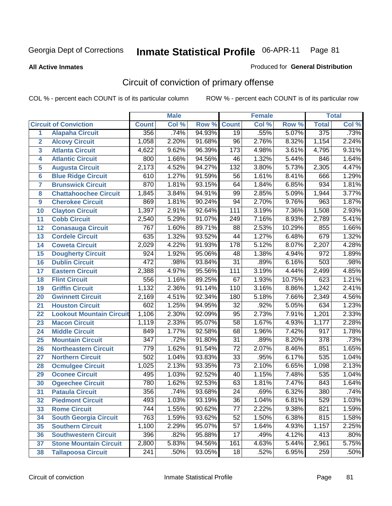**All Active Inmates**

#### Produced for **General Distribution**

# Circuit of conviction of primary offense

|                 |                                 |                  | <b>Male</b> |        |                  | <b>Female</b> |        |                  | <b>Total</b> |
|-----------------|---------------------------------|------------------|-------------|--------|------------------|---------------|--------|------------------|--------------|
|                 | <b>Circuit of Conviction</b>    | <b>Count</b>     | Col %       | Row %  | <b>Count</b>     | Col %         | Row %  | <b>Total</b>     | Col %        |
| 1               | <b>Alapaha Circuit</b>          | 356              | .74%        | 94.93% | $\overline{19}$  | .55%          | 5.07%  | 375              | .73%         |
| $\overline{2}$  | <b>Alcovy Circuit</b>           | 1,058            | 2.20%       | 91.68% | $\overline{96}$  | 2.76%         | 8.32%  | 1,154            | 2.24%        |
| 3               | <b>Atlanta Circuit</b>          | 4,622            | 9.62%       | 96.39% | $\overline{173}$ | 4.98%         | 3.61%  | 4,795            | 9.31%        |
| 4               | <b>Atlantic Circuit</b>         | 800              | 1.66%       | 94.56% | 46               | 1.32%         | 5.44%  | 846              | 1.64%        |
| 5               | <b>Augusta Circuit</b>          | 2,173            | 4.52%       | 94.27% | $\overline{132}$ | 3.80%         | 5.73%  | 2,305            | 4.47%        |
| $6\phantom{a}$  | <b>Blue Ridge Circuit</b>       | 610              | 1.27%       | 91.59% | 56               | 1.61%         | 8.41%  | 666              | 1.29%        |
| $\overline{7}$  | <b>Brunswick Circuit</b>        | 870              | 1.81%       | 93.15% | 64               | 1.84%         | 6.85%  | 934              | 1.81%        |
| 8               | <b>Chattahoochee Circuit</b>    | 1,845            | 3.84%       | 94.91% | $\overline{99}$  | 2.85%         | 5.09%  | 1,944            | 3.77%        |
| 9               | <b>Cherokee Circuit</b>         | 869              | 1.81%       | 90.24% | 94               | 2.70%         | 9.76%  | 963              | 1.87%        |
| 10              | <b>Clayton Circuit</b>          | 1,397            | 2.91%       | 92.64% | 111              | 3.19%         | 7.36%  | 1,508            | 2.93%        |
| 11              | <b>Cobb Circuit</b>             | 2,540            | 5.29%       | 91.07% | 249              | 7.16%         | 8.93%  | 2,789            | 5.41%        |
| 12              | <b>Conasauga Circuit</b>        | 767              | 1.60%       | 89.71% | 88               | 2.53%         | 10.29% | 855              | 1.66%        |
| $\overline{13}$ | <b>Cordele Circuit</b>          | 635              | 1.32%       | 93.52% | $\overline{44}$  | 1.27%         | 6.48%  | 679              | 1.32%        |
| 14              | <b>Coweta Circuit</b>           | 2,029            | 4.22%       | 91.93% | $\overline{178}$ | 5.12%         | 8.07%  | 2,207            | 4.28%        |
| 15              | <b>Dougherty Circuit</b>        | 924              | 1.92%       | 95.06% | 48               | 1.38%         | 4.94%  | $\overline{972}$ | 1.89%        |
| 16              | <b>Dublin Circuit</b>           | 472              | .98%        | 93.84% | $\overline{31}$  | .89%          | 6.16%  | 503              | .98%         |
| 17              | <b>Eastern Circuit</b>          | 2,388            | 4.97%       | 95.56% | 111              | 3.19%         | 4.44%  | 2,499            | 4.85%        |
| 18              | <b>Flint Circuit</b>            | 556              | 1.16%       | 89.25% | 67               | 1.93%         | 10.75% | 623              | 1.21%        |
| 19              | <b>Griffin Circuit</b>          | 1,132            | 2.36%       | 91.14% | 110              | 3.16%         | 8.86%  | 1,242            | 2.41%        |
| 20              | <b>Gwinnett Circuit</b>         | 2,169            | 4.51%       | 92.34% | 180              | 5.18%         | 7.66%  | 2,349            | 4.56%        |
| 21              | <b>Houston Circuit</b>          | 602              | 1.25%       | 94.95% | $\overline{32}$  | .92%          | 5.05%  | 634              | 1.23%        |
| 22              | <b>Lookout Mountain Circuit</b> | 1,106            | 2.30%       | 92.09% | $\overline{95}$  | 2.73%         | 7.91%  | 1,201            | 2.33%        |
| 23              | <b>Macon Circuit</b>            | 1,119            | 2.33%       | 95.07% | $\overline{58}$  | 1.67%         | 4.93%  | 1,177            | 2.28%        |
| 24              | <b>Middle Circuit</b>           | 849              | 1.77%       | 92.58% | 68               | 1.96%         | 7.42%  | $\overline{917}$ | 1.78%        |
| 25              | <b>Mountain Circuit</b>         | $\overline{347}$ | .72%        | 91.80% | $\overline{31}$  | .89%          | 8.20%  | $\overline{378}$ | .73%         |
| 26              | <b>Northeastern Circuit</b>     | 779              | 1.62%       | 91.54% | $\overline{72}$  | 2.07%         | 8.46%  | 851              | 1.65%        |
| 27              | <b>Northern Circuit</b>         | 502              | 1.04%       | 93.83% | $\overline{33}$  | .95%          | 6.17%  | 535              | 1.04%        |
| 28              | <b>Ocmulgee Circuit</b>         | 1,025            | 2.13%       | 93.35% | 73               | 2.10%         | 6.65%  | 1,098            | 2.13%        |
| 29              | <b>Oconee Circuit</b>           | 495              | 1.03%       | 92.52% | $\overline{40}$  | 1.15%         | 7.48%  | 535              | 1.04%        |
| 30              | <b>Ogeechee Circuit</b>         | 780              | 1.62%       | 92.53% | 63               | 1.81%         | 7.47%  | 843              | 1.64%        |
| 31              | <b>Pataula Circuit</b>          | 356              | .74%        | 93.68% | $\overline{24}$  | .69%          | 6.32%  | 380              | .74%         |
| 32              | <b>Piedmont Circuit</b>         | 493              | 1.03%       | 93.19% | 36               | 1.04%         | 6.81%  | 529              | 1.03%        |
| 33              | <b>Rome Circuit</b>             | $\overline{744}$ | 1.55%       | 90.62% | $\overline{77}$  | 2.22%         | 9.38%  | 821              | 1.59%        |
| 34              | <b>South Georgia Circuit</b>    | 763              | 1.59%       | 93.62% | 52               | 1.50%         | 6.38%  | 815              | 1.58%        |
| 35              | <b>Southern Circuit</b>         | 1,100            | 2.29%       | 95.07% | 57               | 1.64%         | 4.93%  | 1,157            | 2.25%        |
| 36              | <b>Southwestern Circuit</b>     | 396              | .82%        | 95.88% | 17               | .49%          | 4.12%  | 413              | .80%         |
| 37              | <b>Stone Mountain Circuit</b>   | 2,800            | 5.83%       | 94.56% | 161              | 4.63%         | 5.44%  | 2,961            | 5.75%        |
| 38              | <b>Tallapoosa Circuit</b>       | 241              | .50%        | 93.05% | 18               | .52%          | 6.95%  | 259              | .50%         |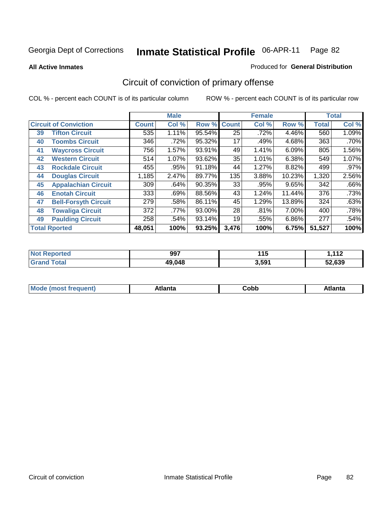**All Active Inmates**

#### Produced for **General Distribution**

# Circuit of conviction of primary offense

|    |                              |              | <b>Male</b> |        |              | <b>Female</b> |        |              | <b>Total</b> |
|----|------------------------------|--------------|-------------|--------|--------------|---------------|--------|--------------|--------------|
|    | <b>Circuit of Conviction</b> | <b>Count</b> | Col %       | Row %  | <b>Count</b> | Col %         | Row %  | <b>Total</b> | Col %        |
| 39 | <b>Tifton Circuit</b>        | 535          | 1.11%       | 95.54% | 25           | .72%          | 4.46%  | 560          | 1.09%        |
| 40 | <b>Toombs Circuit</b>        | 346          | .72%        | 95.32% | 17           | .49%          | 4.68%  | 363          | .70%         |
| 41 | <b>Waycross Circuit</b>      | 756          | 1.57%       | 93.91% | 49           | 1.41%         | 6.09%  | 805          | 1.56%        |
| 42 | <b>Western Circuit</b>       | 514          | 1.07%       | 93.62% | 35           | 1.01%         | 6.38%  | 549          | 1.07%        |
| 43 | <b>Rockdale Circuit</b>      | 455          | .95%        | 91.18% | 44           | 1.27%         | 8.82%  | 499          | $.97\%$      |
| 44 | <b>Douglas Circuit</b>       | 1,185        | 2.47%       | 89.77% | 135          | 3.88%         | 10.23% | 1,320        | 2.56%        |
| 45 | <b>Appalachian Circuit</b>   | 309          | .64%        | 90.35% | 33           | .95%          | 9.65%  | 342          | .66%         |
| 46 | <b>Enotah Circuit</b>        | 333          | .69%        | 88.56% | 43           | 1.24%         | 11.44% | 376          | .73%         |
| 47 | <b>Bell-Forsyth Circuit</b>  | 279          | .58%        | 86.11% | 45           | 1.29%         | 13.89% | 324          | .63%         |
| 48 | <b>Towaliga Circuit</b>      | 372          | .77%        | 93.00% | 28           | .81%          | 7.00%  | 400          | .78%         |
| 49 | <b>Paulding Circuit</b>      | 258          | .54%        | 93.14% | 19           | .55%          | 6.86%  | 277          | .54%         |
|    | <b>Total Rported</b>         | 48,051       | 100%        | 93.25% | 3,476        | 100%          | 6.75%  | 51,527       | 100%         |

| N   | 997    | 4 4 E | 110                      |
|-----|--------|-------|--------------------------|
| тео |        | .     | $\overline{\phantom{a}}$ |
|     | 49,048 | 3,591 | 52.639                   |

| <b>M</b> ດ<br>.<br>. | $+1$ ant $\cdot$<br>ιαπιω<br>. <i>. .</i> | ∶obb<br>- - - - - | 'anta |
|----------------------|-------------------------------------------|-------------------|-------|
|----------------------|-------------------------------------------|-------------------|-------|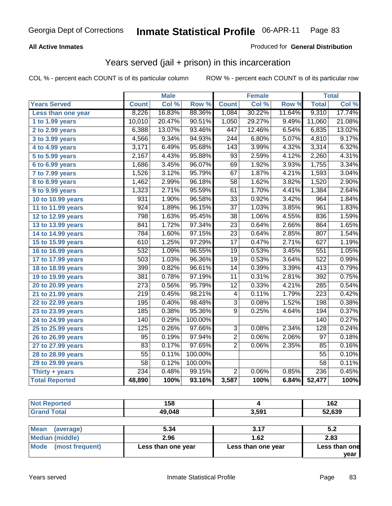### **All Active Inmates**

### Produced for **General Distribution**

## Years served (jail + prison) in this incarceration

COL % - percent each COUNT is of its particular column ROW % - percent each COUNT is of its particular row

|                              |                  | <b>Male</b> |         |                  | <b>Female</b> |        |                  | <b>Total</b> |
|------------------------------|------------------|-------------|---------|------------------|---------------|--------|------------------|--------------|
| <b>Years Served</b>          | <b>Count</b>     | Col %       | Row %   | <b>Count</b>     | Col %         | Row %  | <b>Total</b>     | Col%         |
| Less than one year           | 8,226            | 16.83%      | 88.36%  | 1,084            | 30.22%        | 11.64% | 9,310            | 17.74%       |
| 1 to 1.99 years              | 10,010           | 20.47%      | 90.51%  | 1,050            | 29.27%        | 9.49%  | 11,060           | 21.08%       |
| 2 to 2.99 years              | 6,388            | 13.07%      | 93.46%  | 447              | 12.46%        | 6.54%  | 6,835            | 13.02%       |
| 3 to 3.99 years              | 4,566            | 9.34%       | 94.93%  | $\overline{244}$ | 6.80%         | 5.07%  | 4,810            | 9.17%        |
| 4 to 4.99 years              | 3,171            | 6.49%       | 95.68%  | 143              | 3.99%         | 4.32%  | 3,314            | 6.32%        |
| 5 to 5.99 years              | 2,167            | 4.43%       | 95.88%  | 93               | 2.59%         | 4.12%  | 2,260            | 4.31%        |
| 6 to 6.99 years              | 1,686            | 3.45%       | 96.07%  | 69               | 1.92%         | 3.93%  | 1,755            | 3.34%        |
| $\overline{7}$ to 7.99 years | 1,526            | 3.12%       | 95.79%  | 67               | 1.87%         | 4.21%  | 1,593            | 3.04%        |
| 8 to 8.99 years              | 1,462            | 2.99%       | 96.18%  | $\overline{58}$  | 1.62%         | 3.82%  | 1,520            | 2.90%        |
| 9 to 9.99 years              | 1,323            | 2.71%       | 95.59%  | 61               | 1.70%         | 4.41%  | 1,384            | 2.64%        |
| 10 to 10.99 years            | 931              | 1.90%       | 96.58%  | $\overline{33}$  | 0.92%         | 3.42%  | 964              | 1.84%        |
| 11 to 11.99 years            | $\overline{924}$ | 1.89%       | 96.15%  | $\overline{37}$  | 1.03%         | 3.85%  | 961              | 1.83%        |
| 12 to 12.99 years            | 798              | 1.63%       | 95.45%  | $\overline{38}$  | 1.06%         | 4.55%  | 836              | 1.59%        |
| 13 to 13.99 years            | 841              | 1.72%       | 97.34%  | $\overline{23}$  | 0.64%         | 2.66%  | 864              | 1.65%        |
| 14 to 14.99 years            | 784              | 1.60%       | 97.15%  | $\overline{23}$  | 0.64%         | 2.85%  | 807              | 1.54%        |
| 15 to 15.99 years            | 610              | 1.25%       | 97.29%  | 17               | 0.47%         | 2.71%  | 627              | 1.19%        |
| 16 to 16.99 years            | 532              | 1.09%       | 96.55%  | 19               | 0.53%         | 3.45%  | 551              | 1.05%        |
| 17 to 17.99 years            | $\overline{503}$ | 1.03%       | 96.36%  | $\overline{19}$  | 0.53%         | 3.64%  | $\overline{522}$ | 0.99%        |
| 18 to 18.99 years            | 399              | 0.82%       | 96.61%  | 14               | 0.39%         | 3.39%  | 413              | 0.79%        |
| 19 to 19.99 years            | 381              | 0.78%       | 97.19%  | $\overline{11}$  | 0.31%         | 2.81%  | $\overline{392}$ | 0.75%        |
| 20 to 20.99 years            | $\overline{273}$ | 0.56%       | 95.79%  | $\overline{12}$  | 0.33%         | 4.21%  | 285              | 0.54%        |
| 21 to 21.99 years            | $\overline{219}$ | 0.45%       | 98.21%  | 4                | 0.11%         | 1.79%  | $\overline{223}$ | 0.42%        |
| 22 to 22.99 years            | 195              | 0.40%       | 98.48%  | $\overline{3}$   | 0.08%         | 1.52%  | 198              | 0.38%        |
| 23 to 23.99 years            | 185              | 0.38%       | 95.36%  | $\overline{9}$   | 0.25%         | 4.64%  | 194              | 0.37%        |
| 24 to 24.99 years            | 140              | 0.29%       | 100.00% |                  |               |        | 140              | 0.27%        |
| 25 to 25.99 years            | 125              | 0.26%       | 97.66%  | $\overline{3}$   | 0.08%         | 2.34%  | 128              | 0.24%        |
| 26 to 26.99 years            | 95               | 0.19%       | 97.94%  | $\overline{2}$   | 0.06%         | 2.06%  | 97               | 0.18%        |
| 27 to 27.99 years            | 83               | 0.17%       | 97.65%  | $\overline{2}$   | 0.06%         | 2.35%  | 85               | 0.16%        |
| 28 to 28.99 years            | $\overline{55}$  | 0.11%       | 100.00% |                  |               |        | $\overline{55}$  | 0.10%        |
| 29 to 29.99 years            | $\overline{58}$  | 0.12%       | 100.00% |                  |               |        | 58               | 0.11%        |
| Thirty + years               | 234              | 0.48%       | 99.15%  | $\overline{2}$   | 0.06%         | 0.85%  | 236              | 0.45%        |
| <b>Total Reported</b>        | 48,890           | 100%        | 93.16%  | 3,587            | 100%          | 6.84%  | 52,477           | 100%         |

| <b>Not Reported</b>      | 158    |       | 162    |
|--------------------------|--------|-------|--------|
| <b>Grand Total</b>       | 49,048 | 3,591 | 52,639 |
|                          |        |       |        |
| <b>Mean</b><br>(average) | 5.34   | 3.17  | 5.2    |
| <b>Median (middle)</b>   | 2.96   | 1.62  | 2.83   |

| <b>Mode</b><br>(most frequent) | Less than one year | Less than one year | <b>Less than one</b> |
|--------------------------------|--------------------|--------------------|----------------------|
|                                |                    |                    | vear                 |
|                                |                    |                    |                      |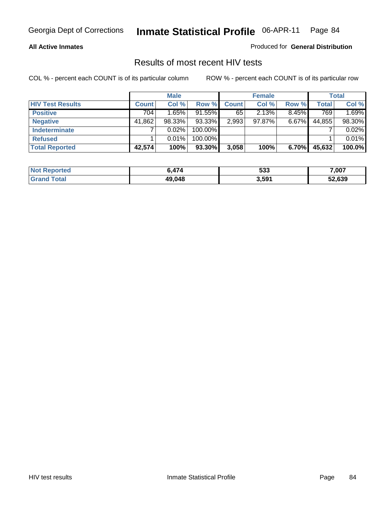#### **All Active Inmates**

Produced for **General Distribution**

### Results of most recent HIV tests

|                         |              | <b>Male</b> |         |              | <b>Female</b> |          |              | <b>Total</b> |
|-------------------------|--------------|-------------|---------|--------------|---------------|----------|--------------|--------------|
| <b>HIV Test Results</b> | <b>Count</b> | Col %       | Row %   | <b>Count</b> | Col %         | Row %    | <b>Total</b> | Col %        |
| <b>Positive</b>         | 704          | 1.65%       | 91.55%  | 65           | 2.13%         | 8.45%    | 769          | 1.69%        |
| <b>Negative</b>         | 41,862       | 98.33%      | 93.33%  | 2,993        | 97.87%        | $6.67\%$ | 44,855       | 98.30%       |
| Indeterminate           |              | 0.02%       | 100.00% |              |               |          |              | 0.02%        |
| <b>Refused</b>          |              | 0.01%       | 100.00% |              |               |          |              | 0.01%        |
| <b>Total Reported</b>   | 42,574       | 100%        | 93.30%I | 3,058        | 100%          | 6.70%    | 45,632       | 100.0%       |

| <b>Not Reported</b> | $\mathbf{.474}$ | よつつ<br>უაა | 7,007  |
|---------------------|-----------------|------------|--------|
| <b>Grand Total</b>  | 49,048          | 3,591      | 52,639 |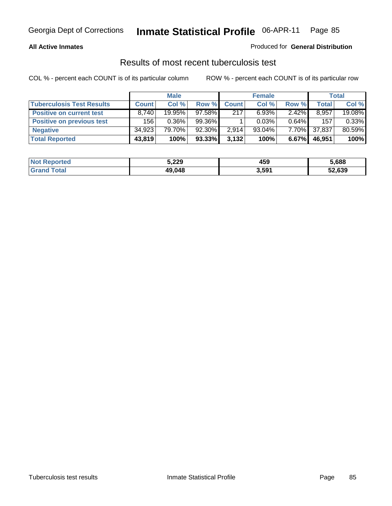#### **All Active Inmates**

#### Produced for **General Distribution**

### Results of most recent tuberculosis test

|                                  |              | <b>Male</b> |        |              | <b>Female</b> |          |              | <b>Total</b> |
|----------------------------------|--------------|-------------|--------|--------------|---------------|----------|--------------|--------------|
| <b>Tuberculosis Test Results</b> | <b>Count</b> | Col %       | Row %  | <b>Count</b> | Col %         | Row %    | <b>Total</b> | Col %        |
| <b>Positive on current test</b>  | 8,740        | 19.95%      | 97.58% | 217          | 6.93%         | $2.42\%$ | 8,957        | 19.08%       |
| <b>Positive on previous test</b> | 156          | $0.36\%$    | 99.36% |              | 0.03%         | $0.64\%$ | 157          | 0.33%        |
| <b>Negative</b>                  | 34,923       | 79.70%      | 92.30% | 2,914        | $93.04\%$     | $7.70\%$ | 37,837       | 80.59%       |
| <b>Total Reported</b>            | 43,819       | 100%        | 93.33% | 3,132        | 100%          | 6.67%    | 46,951       | 100%         |

| <b>Not Reported</b> | 5,229  | 459   | 5.688  |
|---------------------|--------|-------|--------|
| ſotal               | 49,048 | 3,591 | 52,639 |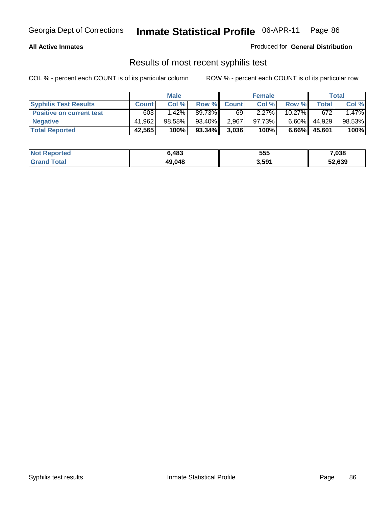#### **All Active Inmates**

Produced for **General Distribution**

### Results of most recent syphilis test

|                                 | <b>Male</b>  |          |           | <b>Female</b> |          |           | Total  |        |
|---------------------------------|--------------|----------|-----------|---------------|----------|-----------|--------|--------|
| <b>Syphilis Test Results</b>    | <b>Count</b> | Col %    | Row %     | <b>Count</b>  | Col %    | Row %     | Total  | Col %  |
| <b>Positive on current test</b> | 603          | $1.42\%$ | 89.73%    | 69            | $2.27\%$ | $10.27\%$ | 672    | 1.47%  |
| <b>Negative</b>                 | 41,962       | 98.58%   | 93.40%    | 2,967         | 97.73%   | $6.60\%$  | 44,929 | 98.53% |
| <b>Total Reported</b>           | 42,565       | 100%     | $93.34\%$ | 3,036         | 100%     | $6.66\%$  | 45,601 | 100%   |

| <b>Not Reported</b> | 6.483  | 555   | 7,038  |
|---------------------|--------|-------|--------|
| <b>Grand Total</b>  | 49,048 | 3,591 | 52,639 |